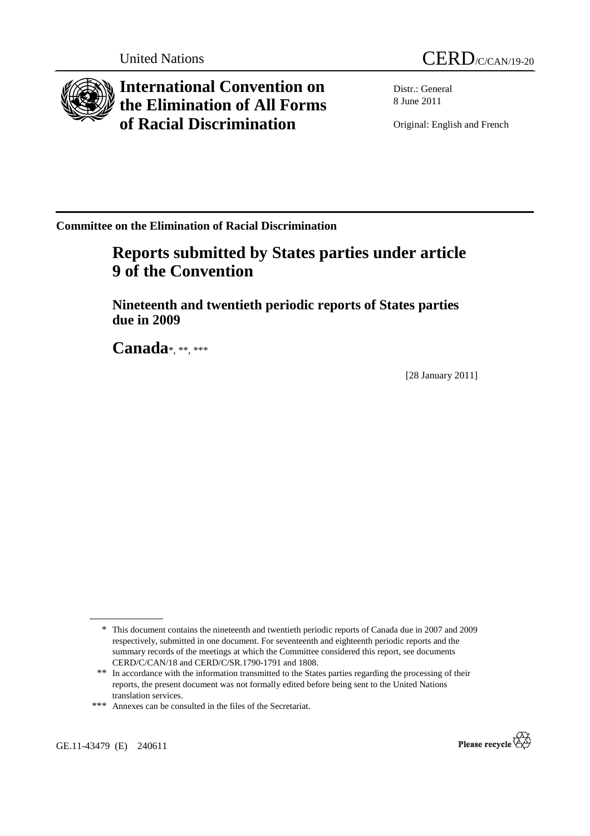

**International Convention on the Elimination of All Forms of Racial Discrimination** 

Distr.: General 8 June 2011

Original: English and French

**Committee on the Elimination of Racial Discrimination** 

# **Reports submitted by States parties under article 9 of the Convention**

 **Nineteenth and twentieth periodic reports of States parties due in 2009** 

 **Canada**\*, \*\*, \*\*\*

[28 January 2011]

GE.11-43479 (E) 240611



<sup>\*</sup> This document contains the nineteenth and twentieth periodic reports of Canada due in 2007 and 2009 respectively, submitted in one document. For seventeenth and eighteenth periodic reports and the summary records of the meetings at which the Committee considered this report, see documents CERD/C/CAN/18 and CERD/C/SR.1790-1791 and 1808.

<sup>\*\*</sup> In accordance with the information transmitted to the States parties regarding the processing of their reports, the present document was not formally edited before being sent to the United Nations translation services.

<sup>\*\*\*</sup> Annexes can be consulted in the files of the Secretariat.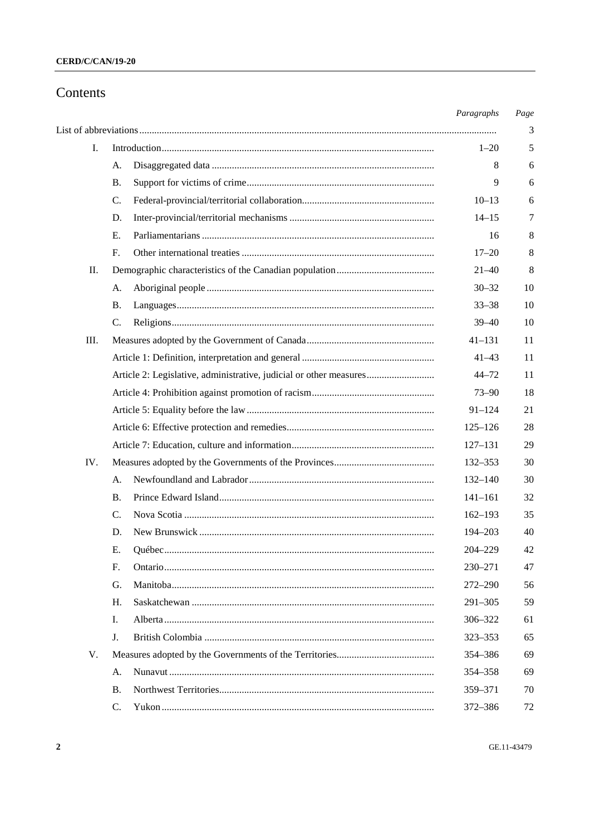## Contents

|     |                                                                    | Paragraphs  | Page |
|-----|--------------------------------------------------------------------|-------------|------|
|     |                                                                    |             | 3    |
| I.  |                                                                    | $1 - 20$    | 5    |
|     | А.                                                                 | 8           | 6    |
|     | <b>B.</b>                                                          | 9           | 6    |
|     | C.                                                                 | $10 - 13$   | 6    |
|     | D.                                                                 | $14 - 15$   | 7    |
|     | Е.                                                                 | 16          | 8    |
|     | F.                                                                 | $17 - 20$   | 8    |
| П.  |                                                                    | $21 - 40$   | 8    |
|     | А.                                                                 | $30 - 32$   | 10   |
|     | <b>B.</b>                                                          | $33 - 38$   | 10   |
|     | C.                                                                 | $39 - 40$   | 10   |
| Ш.  |                                                                    | $41 - 131$  | 11   |
|     |                                                                    | $41 - 43$   | 11   |
|     | Article 2: Legislative, administrative, judicial or other measures | $44 - 72$   | 11   |
|     |                                                                    | $73 - 90$   | 18   |
|     |                                                                    | $91 - 124$  | 21   |
|     |                                                                    | $125 - 126$ | 28   |
|     |                                                                    | $127 - 131$ | 29   |
| IV. |                                                                    | 132-353     | 30   |
|     | А.                                                                 | $132 - 140$ | 30   |
|     | <b>B.</b>                                                          | $141 - 161$ | 32   |
|     | C.                                                                 | $162 - 193$ | 35   |
|     | D.                                                                 | 194-203     | 40   |
|     | Е.                                                                 | $204 - 229$ | 42   |
|     | F.                                                                 | 230-271     | 47   |
|     | G.                                                                 | $272 - 290$ | 56   |
|     | H.                                                                 | $291 - 305$ | 59   |
|     | I.                                                                 | 306-322     | 61   |
|     | J.                                                                 | 323-353     | 65   |
| V.  |                                                                    | 354-386     | 69   |
|     | А.                                                                 | 354-358     | 69   |
|     | <b>B.</b>                                                          | 359-371     | 70   |
|     | $\mathbf{C}$ .                                                     | 372-386     | 72   |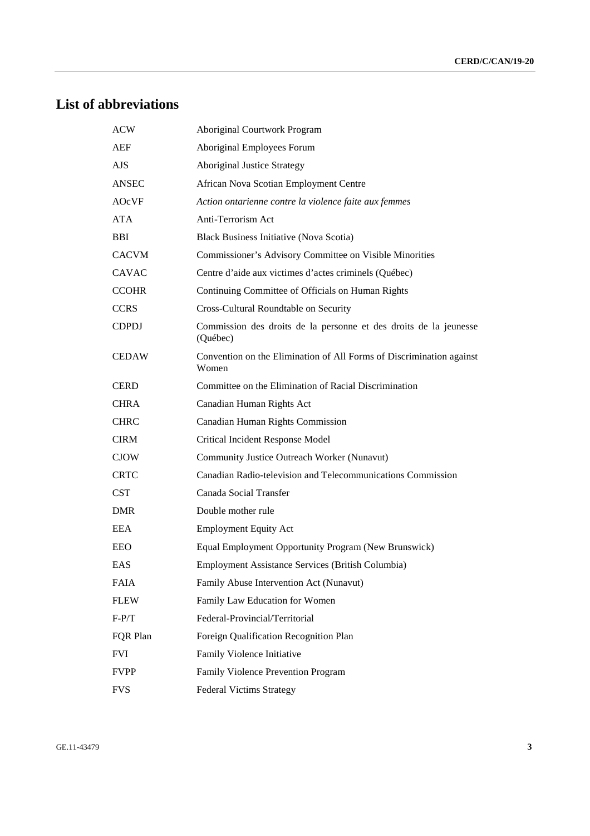# **List of abbreviations**

| <b>ACW</b>   | <b>Aboriginal Courtwork Program</b>                                           |
|--------------|-------------------------------------------------------------------------------|
| AEF          | Aboriginal Employees Forum                                                    |
| <b>AJS</b>   | <b>Aboriginal Justice Strategy</b>                                            |
| ANSEC        | African Nova Scotian Employment Centre                                        |
| AOcVF        | Action ontarienne contre la violence faite aux femmes                         |
| ATA          | Anti-Terrorism Act                                                            |
| <b>BBI</b>   | <b>Black Business Initiative (Nova Scotia)</b>                                |
| <b>CACVM</b> | Commissioner's Advisory Committee on Visible Minorities                       |
| <b>CAVAC</b> | Centre d'aide aux victimes d'actes criminels (Québec)                         |
| <b>CCOHR</b> | Continuing Committee of Officials on Human Rights                             |
| <b>CCRS</b>  | Cross-Cultural Roundtable on Security                                         |
| <b>CDPDJ</b> | Commission des droits de la personne et des droits de la jeunesse<br>(Québec) |
| <b>CEDAW</b> | Convention on the Elimination of All Forms of Discrimination against<br>Women |
| <b>CERD</b>  | Committee on the Elimination of Racial Discrimination                         |
| <b>CHRA</b>  | Canadian Human Rights Act                                                     |
| <b>CHRC</b>  | <b>Canadian Human Rights Commission</b>                                       |
| <b>CIRM</b>  | Critical Incident Response Model                                              |
| <b>CJOW</b>  | Community Justice Outreach Worker (Nunavut)                                   |
| <b>CRTC</b>  | Canadian Radio-television and Telecommunications Commission                   |
| <b>CST</b>   | Canada Social Transfer                                                        |
| <b>DMR</b>   | Double mother rule                                                            |
| <b>EEA</b>   | <b>Employment Equity Act</b>                                                  |
| EEO          | Equal Employment Opportunity Program (New Brunswick)                          |
| <b>EAS</b>   | Employment Assistance Services (British Columbia)                             |
| <b>FAIA</b>  | Family Abuse Intervention Act (Nunavut)                                       |
| <b>FLEW</b>  | Family Law Education for Women                                                |
| $F-P/T$      | Federal-Provincial/Territorial                                                |
| FOR Plan     | Foreign Qualification Recognition Plan                                        |
| <b>FVI</b>   | Family Violence Initiative                                                    |
| <b>FVPP</b>  | Family Violence Prevention Program                                            |
| <b>FVS</b>   | <b>Federal Victims Strategy</b>                                               |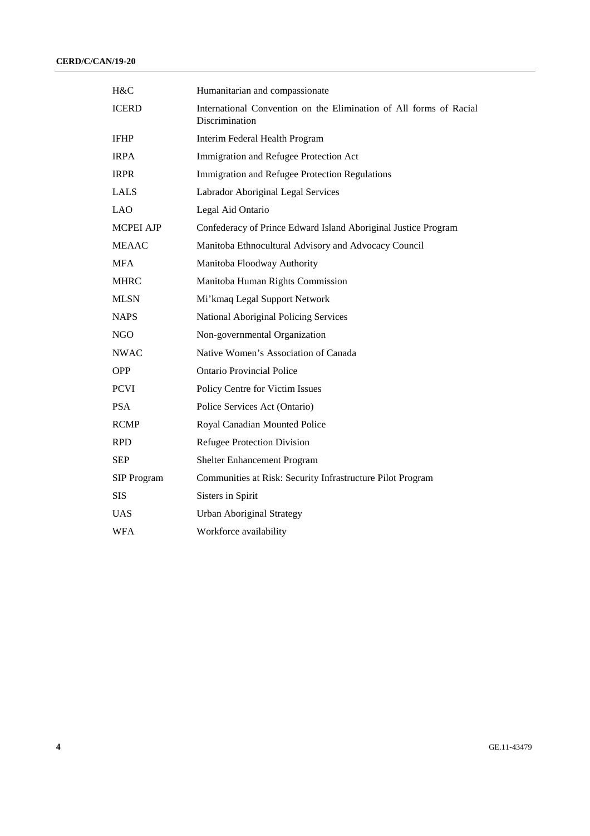| H&C                | Humanitarian and compassionate                                                       |
|--------------------|--------------------------------------------------------------------------------------|
| <b>ICERD</b>       | International Convention on the Elimination of All forms of Racial<br>Discrimination |
| <b>IFHP</b>        | Interim Federal Health Program                                                       |
| <b>IRPA</b>        | Immigration and Refugee Protection Act                                               |
| <b>IRPR</b>        | Immigration and Refugee Protection Regulations                                       |
| LALS               | Labrador Aboriginal Legal Services                                                   |
| <b>LAO</b>         | Legal Aid Ontario                                                                    |
| <b>MCPEI AJP</b>   | Confederacy of Prince Edward Island Aboriginal Justice Program                       |
| <b>MEAAC</b>       | Manitoba Ethnocultural Advisory and Advocacy Council                                 |
| <b>MFA</b>         | Manitoba Floodway Authority                                                          |
| <b>MHRC</b>        | Manitoba Human Rights Commission                                                     |
| <b>MLSN</b>        | Mi'kmaq Legal Support Network                                                        |
| <b>NAPS</b>        | National Aboriginal Policing Services                                                |
| $_{\rm NGO}$       | Non-governmental Organization                                                        |
| <b>NWAC</b>        | Native Women's Association of Canada                                                 |
| <b>OPP</b>         | <b>Ontario Provincial Police</b>                                                     |
| <b>PCVI</b>        | Policy Centre for Victim Issues                                                      |
| <b>PSA</b>         | Police Services Act (Ontario)                                                        |
| <b>RCMP</b>        | Royal Canadian Mounted Police                                                        |
| <b>RPD</b>         | Refugee Protection Division                                                          |
| <b>SEP</b>         | Shelter Enhancement Program                                                          |
| <b>SIP</b> Program | Communities at Risk: Security Infrastructure Pilot Program                           |
| <b>SIS</b>         | Sisters in Spirit                                                                    |
| <b>UAS</b>         | <b>Urban Aboriginal Strategy</b>                                                     |
| <b>WFA</b>         | Workforce availability                                                               |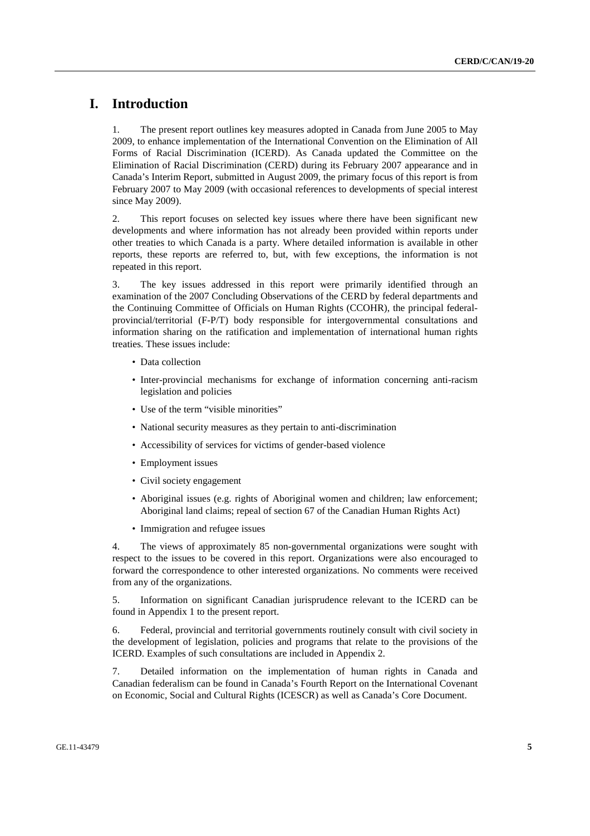## **I. Introduction**

1. The present report outlines key measures adopted in Canada from June 2005 to May 2009, to enhance implementation of the International Convention on the Elimination of All Forms of Racial Discrimination (ICERD). As Canada updated the Committee on the Elimination of Racial Discrimination (CERD) during its February 2007 appearance and in Canada's Interim Report, submitted in August 2009, the primary focus of this report is from February 2007 to May 2009 (with occasional references to developments of special interest since May 2009).

2. This report focuses on selected key issues where there have been significant new developments and where information has not already been provided within reports under other treaties to which Canada is a party. Where detailed information is available in other reports, these reports are referred to, but, with few exceptions, the information is not repeated in this report.

3. The key issues addressed in this report were primarily identified through an examination of the 2007 Concluding Observations of the CERD by federal departments and the Continuing Committee of Officials on Human Rights (CCOHR), the principal federalprovincial/territorial (F-P/T) body responsible for intergovernmental consultations and information sharing on the ratification and implementation of international human rights treaties. These issues include:

- Data collection
- Inter-provincial mechanisms for exchange of information concerning anti-racism legislation and policies
- Use of the term "visible minorities"
- National security measures as they pertain to anti-discrimination
- Accessibility of services for victims of gender-based violence
- Employment issues
- Civil society engagement
- Aboriginal issues (e.g. rights of Aboriginal women and children; law enforcement; Aboriginal land claims; repeal of section 67 of the Canadian Human Rights Act)
- Immigration and refugee issues

4. The views of approximately 85 non-governmental organizations were sought with respect to the issues to be covered in this report. Organizations were also encouraged to forward the correspondence to other interested organizations. No comments were received from any of the organizations.

5. Information on significant Canadian jurisprudence relevant to the ICERD can be found in Appendix 1 to the present report.

6. Federal, provincial and territorial governments routinely consult with civil society in the development of legislation, policies and programs that relate to the provisions of the ICERD. Examples of such consultations are included in Appendix 2.

7. Detailed information on the implementation of human rights in Canada and Canadian federalism can be found in Canada's Fourth Report on the International Covenant on Economic, Social and Cultural Rights (ICESCR) as well as Canada's Core Document.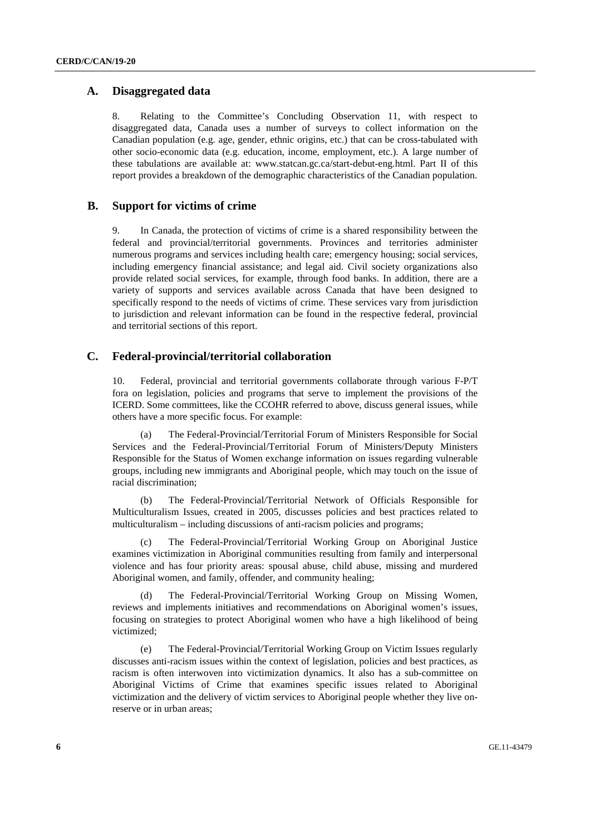## **A. Disaggregated data**

8. Relating to the Committee's Concluding Observation 11, with respect to disaggregated data, Canada uses a number of surveys to collect information on the Canadian population (e.g. age, gender, ethnic origins, etc.) that can be cross-tabulated with other socio-economic data (e.g. education, income, employment, etc.). A large number of these tabulations are available at: www.statcan.gc.ca/start-debut-eng.html. Part II of this report provides a breakdown of the demographic characteristics of the Canadian population.

## **B. Support for victims of crime**

9. In Canada, the protection of victims of crime is a shared responsibility between the federal and provincial/territorial governments. Provinces and territories administer numerous programs and services including health care; emergency housing; social services, including emergency financial assistance; and legal aid. Civil society organizations also provide related social services, for example, through food banks. In addition, there are a variety of supports and services available across Canada that have been designed to specifically respond to the needs of victims of crime. These services vary from jurisdiction to jurisdiction and relevant information can be found in the respective federal, provincial and territorial sections of this report.

## **C. Federal-provincial/territorial collaboration**

10. Federal, provincial and territorial governments collaborate through various F-P/T fora on legislation, policies and programs that serve to implement the provisions of the ICERD. Some committees, like the CCOHR referred to above, discuss general issues, while others have a more specific focus. For example:

 (a) The Federal-Provincial/Territorial Forum of Ministers Responsible for Social Services and the Federal-Provincial/Territorial Forum of Ministers/Deputy Ministers Responsible for the Status of Women exchange information on issues regarding vulnerable groups, including new immigrants and Aboriginal people, which may touch on the issue of racial discrimination;

 (b) The Federal-Provincial/Territorial Network of Officials Responsible for Multiculturalism Issues, created in 2005, discusses policies and best practices related to multiculturalism – including discussions of anti-racism policies and programs;

 (c) The Federal-Provincial/Territorial Working Group on Aboriginal Justice examines victimization in Aboriginal communities resulting from family and interpersonal violence and has four priority areas: spousal abuse, child abuse, missing and murdered Aboriginal women, and family, offender, and community healing;

The Federal-Provincial/Territorial Working Group on Missing Women, reviews and implements initiatives and recommendations on Aboriginal women's issues, focusing on strategies to protect Aboriginal women who have a high likelihood of being victimized;

 (e) The Federal-Provincial/Territorial Working Group on Victim Issues regularly discusses anti-racism issues within the context of legislation, policies and best practices, as racism is often interwoven into victimization dynamics. It also has a sub-committee on Aboriginal Victims of Crime that examines specific issues related to Aboriginal victimization and the delivery of victim services to Aboriginal people whether they live onreserve or in urban areas;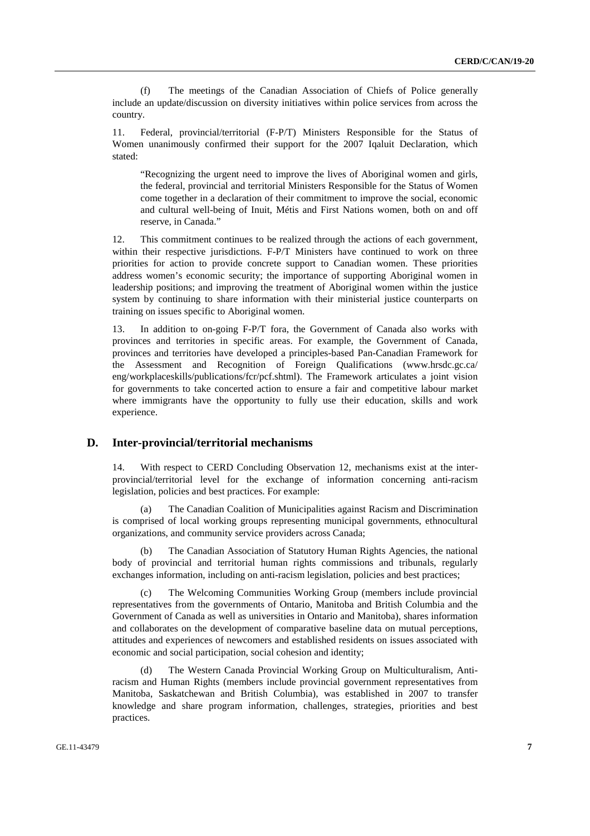(f) The meetings of the Canadian Association of Chiefs of Police generally include an update/discussion on diversity initiatives within police services from across the country.

11. Federal, provincial/territorial (F-P/T) Ministers Responsible for the Status of Women unanimously confirmed their support for the 2007 Iqaluit Declaration, which stated:

 "Recognizing the urgent need to improve the lives of Aboriginal women and girls, the federal, provincial and territorial Ministers Responsible for the Status of Women come together in a declaration of their commitment to improve the social, economic and cultural well-being of Inuit, Métis and First Nations women, both on and off reserve, in Canada."

12. This commitment continues to be realized through the actions of each government, within their respective jurisdictions. F-P/T Ministers have continued to work on three priorities for action to provide concrete support to Canadian women. These priorities address women's economic security; the importance of supporting Aboriginal women in leadership positions; and improving the treatment of Aboriginal women within the justice system by continuing to share information with their ministerial justice counterparts on training on issues specific to Aboriginal women.

13. In addition to on-going F-P/T fora, the Government of Canada also works with provinces and territories in specific areas. For example, the Government of Canada, provinces and territories have developed a principles-based Pan-Canadian Framework for the Assessment and Recognition of Foreign Qualifications (www.hrsdc.gc.ca/ eng/workplaceskills/publications/fcr/pcf.shtml). The Framework articulates a joint vision for governments to take concerted action to ensure a fair and competitive labour market where immigrants have the opportunity to fully use their education, skills and work experience.

## **D. Inter-provincial/territorial mechanisms**

14. With respect to CERD Concluding Observation 12, mechanisms exist at the interprovincial/territorial level for the exchange of information concerning anti-racism legislation, policies and best practices. For example:

 (a) The Canadian Coalition of Municipalities against Racism and Discrimination is comprised of local working groups representing municipal governments, ethnocultural organizations, and community service providers across Canada;

 (b) The Canadian Association of Statutory Human Rights Agencies, the national body of provincial and territorial human rights commissions and tribunals, regularly exchanges information, including on anti-racism legislation, policies and best practices;

 (c) The Welcoming Communities Working Group (members include provincial representatives from the governments of Ontario, Manitoba and British Columbia and the Government of Canada as well as universities in Ontario and Manitoba), shares information and collaborates on the development of comparative baseline data on mutual perceptions, attitudes and experiences of newcomers and established residents on issues associated with economic and social participation, social cohesion and identity;

 (d) The Western Canada Provincial Working Group on Multiculturalism, Antiracism and Human Rights (members include provincial government representatives from Manitoba, Saskatchewan and British Columbia), was established in 2007 to transfer knowledge and share program information, challenges, strategies, priorities and best practices.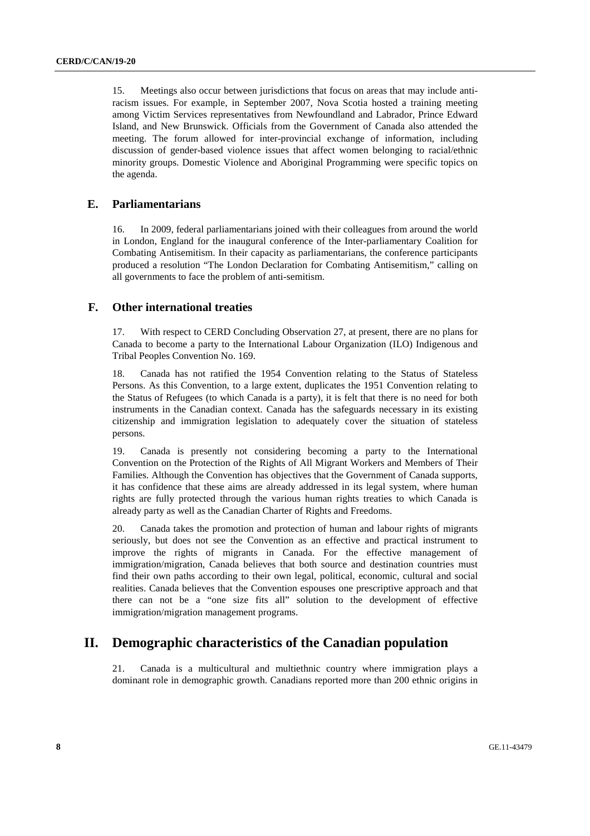15. Meetings also occur between jurisdictions that focus on areas that may include antiracism issues. For example, in September 2007, Nova Scotia hosted a training meeting among Victim Services representatives from Newfoundland and Labrador, Prince Edward Island, and New Brunswick. Officials from the Government of Canada also attended the meeting. The forum allowed for inter-provincial exchange of information, including discussion of gender-based violence issues that affect women belonging to racial/ethnic minority groups. Domestic Violence and Aboriginal Programming were specific topics on the agenda.

## **E. Parliamentarians**

16. In 2009, federal parliamentarians joined with their colleagues from around the world in London, England for the inaugural conference of the Inter-parliamentary Coalition for Combating Antisemitism. In their capacity as parliamentarians, the conference participants produced a resolution "The London Declaration for Combating Antisemitism," calling on all governments to face the problem of anti-semitism.

## **F. Other international treaties**

17. With respect to CERD Concluding Observation 27, at present, there are no plans for Canada to become a party to the International Labour Organization (ILO) Indigenous and Tribal Peoples Convention No. 169.

18. Canada has not ratified the 1954 Convention relating to the Status of Stateless Persons. As this Convention, to a large extent, duplicates the 1951 Convention relating to the Status of Refugees (to which Canada is a party), it is felt that there is no need for both instruments in the Canadian context. Canada has the safeguards necessary in its existing citizenship and immigration legislation to adequately cover the situation of stateless persons.

19. Canada is presently not considering becoming a party to the International Convention on the Protection of the Rights of All Migrant Workers and Members of Their Families. Although the Convention has objectives that the Government of Canada supports, it has confidence that these aims are already addressed in its legal system, where human rights are fully protected through the various human rights treaties to which Canada is already party as well as the Canadian Charter of Rights and Freedoms.

20. Canada takes the promotion and protection of human and labour rights of migrants seriously, but does not see the Convention as an effective and practical instrument to improve the rights of migrants in Canada. For the effective management of immigration/migration, Canada believes that both source and destination countries must find their own paths according to their own legal, political, economic, cultural and social realities. Canada believes that the Convention espouses one prescriptive approach and that there can not be a "one size fits all" solution to the development of effective immigration/migration management programs.

## **II. Demographic characteristics of the Canadian population**

21. Canada is a multicultural and multiethnic country where immigration plays a dominant role in demographic growth. Canadians reported more than 200 ethnic origins in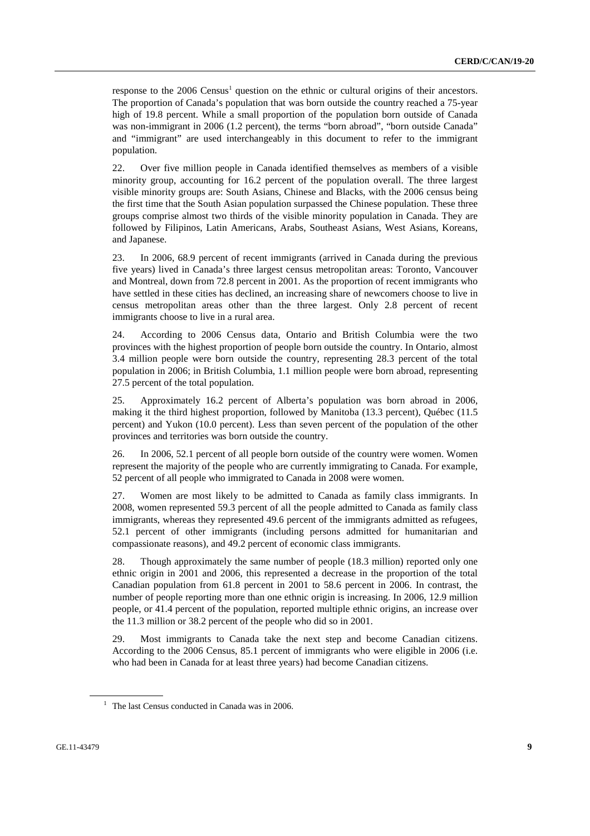response to the 2006 Census<sup>1</sup> question on the ethnic or cultural origins of their ancestors. The proportion of Canada's population that was born outside the country reached a 75-year high of 19.8 percent. While a small proportion of the population born outside of Canada was non-immigrant in 2006 (1.2 percent), the terms "born abroad", "born outside Canada" and "immigrant" are used interchangeably in this document to refer to the immigrant population.

22. Over five million people in Canada identified themselves as members of a visible minority group, accounting for 16.2 percent of the population overall. The three largest visible minority groups are: South Asians, Chinese and Blacks, with the 2006 census being the first time that the South Asian population surpassed the Chinese population. These three groups comprise almost two thirds of the visible minority population in Canada. They are followed by Filipinos, Latin Americans, Arabs, Southeast Asians, West Asians, Koreans, and Japanese.

23. In 2006, 68.9 percent of recent immigrants (arrived in Canada during the previous five years) lived in Canada's three largest census metropolitan areas: Toronto, Vancouver and Montreal, down from 72.8 percent in 2001. As the proportion of recent immigrants who have settled in these cities has declined, an increasing share of newcomers choose to live in census metropolitan areas other than the three largest. Only 2.8 percent of recent immigrants choose to live in a rural area.

24. According to 2006 Census data, Ontario and British Columbia were the two provinces with the highest proportion of people born outside the country. In Ontario, almost 3.4 million people were born outside the country, representing 28.3 percent of the total population in 2006; in British Columbia, 1.1 million people were born abroad, representing 27.5 percent of the total population.

25. Approximately 16.2 percent of Alberta's population was born abroad in 2006, making it the third highest proportion, followed by Manitoba (13.3 percent), Québec (11.5 percent) and Yukon (10.0 percent). Less than seven percent of the population of the other provinces and territories was born outside the country.

26. In 2006, 52.1 percent of all people born outside of the country were women. Women represent the majority of the people who are currently immigrating to Canada. For example, 52 percent of all people who immigrated to Canada in 2008 were women.

27. Women are most likely to be admitted to Canada as family class immigrants. In 2008, women represented 59.3 percent of all the people admitted to Canada as family class immigrants, whereas they represented 49.6 percent of the immigrants admitted as refugees, 52.1 percent of other immigrants (including persons admitted for humanitarian and compassionate reasons), and 49.2 percent of economic class immigrants.

28. Though approximately the same number of people (18.3 million) reported only one ethnic origin in 2001 and 2006, this represented a decrease in the proportion of the total Canadian population from 61.8 percent in 2001 to 58.6 percent in 2006. In contrast, the number of people reporting more than one ethnic origin is increasing. In 2006, 12.9 million people, or 41.4 percent of the population, reported multiple ethnic origins, an increase over the 11.3 million or 38.2 percent of the people who did so in 2001.

29. Most immigrants to Canada take the next step and become Canadian citizens. According to the 2006 Census, 85.1 percent of immigrants who were eligible in 2006 (i.e. who had been in Canada for at least three years) had become Canadian citizens.

 $1$  The last Census conducted in Canada was in 2006.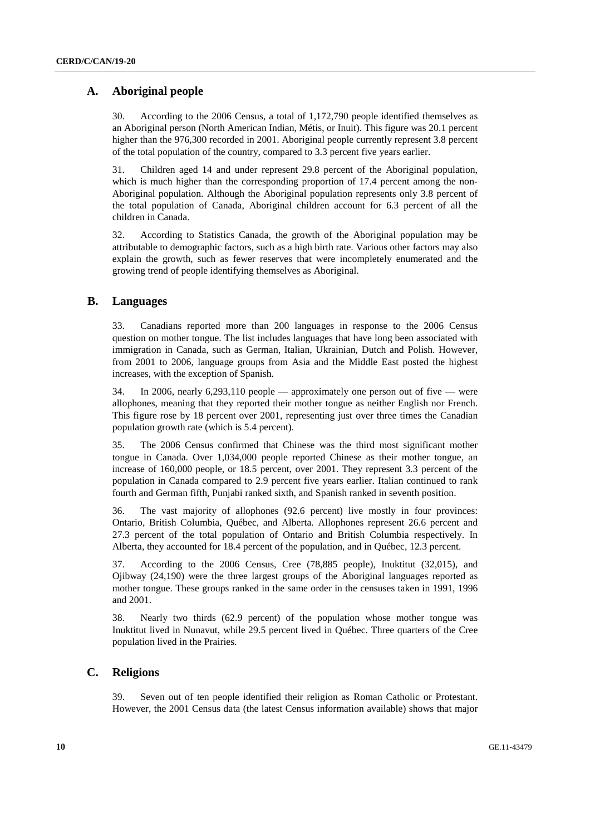## **A. Aboriginal people**

30. According to the 2006 Census, a total of 1,172,790 people identified themselves as an Aboriginal person (North American Indian, Métis, or Inuit). This figure was 20.1 percent higher than the 976,300 recorded in 2001. Aboriginal people currently represent 3.8 percent of the total population of the country, compared to 3.3 percent five years earlier.

31. Children aged 14 and under represent 29.8 percent of the Aboriginal population, which is much higher than the corresponding proportion of 17.4 percent among the non-Aboriginal population. Although the Aboriginal population represents only 3.8 percent of the total population of Canada, Aboriginal children account for 6.3 percent of all the children in Canada.

32. According to Statistics Canada, the growth of the Aboriginal population may be attributable to demographic factors, such as a high birth rate. Various other factors may also explain the growth, such as fewer reserves that were incompletely enumerated and the growing trend of people identifying themselves as Aboriginal.

## **B. Languages**

33. Canadians reported more than 200 languages in response to the 2006 Census question on mother tongue. The list includes languages that have long been associated with immigration in Canada, such as German, Italian, Ukrainian, Dutch and Polish. However, from 2001 to 2006, language groups from Asia and the Middle East posted the highest increases, with the exception of Spanish.

34. In 2006, nearly 6,293,110 people — approximately one person out of five — were allophones, meaning that they reported their mother tongue as neither English nor French. This figure rose by 18 percent over 2001, representing just over three times the Canadian population growth rate (which is 5.4 percent).

35. The 2006 Census confirmed that Chinese was the third most significant mother tongue in Canada. Over 1,034,000 people reported Chinese as their mother tongue, an increase of 160,000 people, or 18.5 percent, over 2001. They represent 3.3 percent of the population in Canada compared to 2.9 percent five years earlier. Italian continued to rank fourth and German fifth, Punjabi ranked sixth, and Spanish ranked in seventh position.

36. The vast majority of allophones (92.6 percent) live mostly in four provinces: Ontario, British Columbia, Québec, and Alberta. Allophones represent 26.6 percent and 27.3 percent of the total population of Ontario and British Columbia respectively. In Alberta, they accounted for 18.4 percent of the population, and in Québec, 12.3 percent.

37. According to the 2006 Census, Cree (78,885 people), Inuktitut (32,015), and Ojibway (24,190) were the three largest groups of the Aboriginal languages reported as mother tongue. These groups ranked in the same order in the censuses taken in 1991, 1996 and 2001.

38. Nearly two thirds (62.9 percent) of the population whose mother tongue was Inuktitut lived in Nunavut, while 29.5 percent lived in Québec. Three quarters of the Cree population lived in the Prairies.

## **C. Religions**

39. Seven out of ten people identified their religion as Roman Catholic or Protestant. However, the 2001 Census data (the latest Census information available) shows that major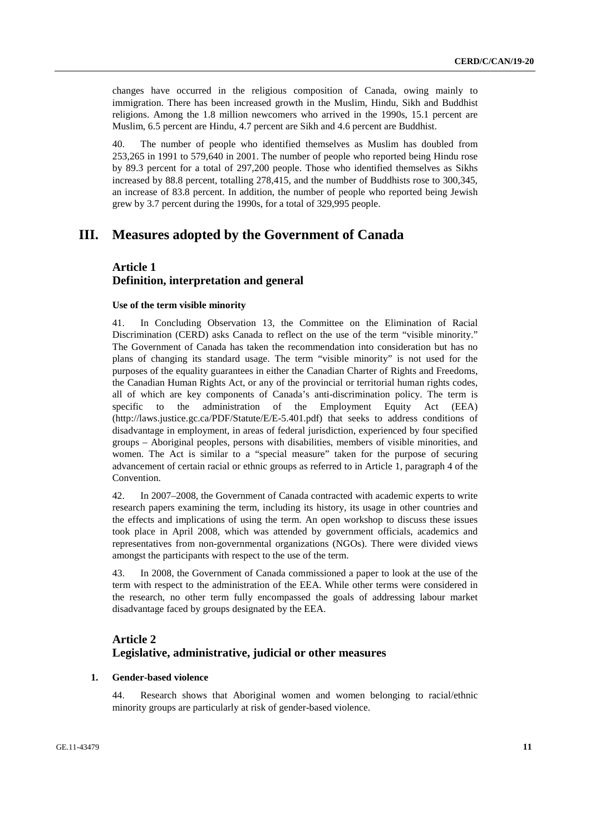changes have occurred in the religious composition of Canada, owing mainly to immigration. There has been increased growth in the Muslim, Hindu, Sikh and Buddhist religions. Among the 1.8 million newcomers who arrived in the 1990s, 15.1 percent are Muslim, 6.5 percent are Hindu, 4.7 percent are Sikh and 4.6 percent are Buddhist.

40. The number of people who identified themselves as Muslim has doubled from 253,265 in 1991 to 579,640 in 2001. The number of people who reported being Hindu rose by 89.3 percent for a total of 297,200 people. Those who identified themselves as Sikhs increased by 88.8 percent, totalling 278,415, and the number of Buddhists rose to 300,345, an increase of 83.8 percent. In addition, the number of people who reported being Jewish grew by 3.7 percent during the 1990s, for a total of 329,995 people.

## **III. Measures adopted by the Government of Canada**

## **Article 1 Definition, interpretation and general**

#### **Use of the term visible minority**

41. In Concluding Observation 13, the Committee on the Elimination of Racial Discrimination (CERD) asks Canada to reflect on the use of the term "visible minority." The Government of Canada has taken the recommendation into consideration but has no plans of changing its standard usage. The term "visible minority" is not used for the purposes of the equality guarantees in either the Canadian Charter of Rights and Freedoms, the Canadian Human Rights Act, or any of the provincial or territorial human rights codes, all of which are key components of Canada's anti-discrimination policy. The term is specific to the administration of the Employment Equity Act (EEA) (http://laws.justice.gc.ca/PDF/Statute/E/E-5.401.pdf) that seeks to address conditions of disadvantage in employment, in areas of federal jurisdiction, experienced by four specified groups – Aboriginal peoples, persons with disabilities, members of visible minorities, and women. The Act is similar to a "special measure" taken for the purpose of securing advancement of certain racial or ethnic groups as referred to in Article 1, paragraph 4 of the Convention.

42. In 2007–2008, the Government of Canada contracted with academic experts to write research papers examining the term, including its history, its usage in other countries and the effects and implications of using the term. An open workshop to discuss these issues took place in April 2008, which was attended by government officials, academics and representatives from non-governmental organizations (NGOs). There were divided views amongst the participants with respect to the use of the term.

43. In 2008, the Government of Canada commissioned a paper to look at the use of the term with respect to the administration of the EEA. While other terms were considered in the research, no other term fully encompassed the goals of addressing labour market disadvantage faced by groups designated by the EEA.

## **Article 2 Legislative, administrative, judicial or other measures**

### **1. Gender-based violence**

44. Research shows that Aboriginal women and women belonging to racial/ethnic minority groups are particularly at risk of gender-based violence.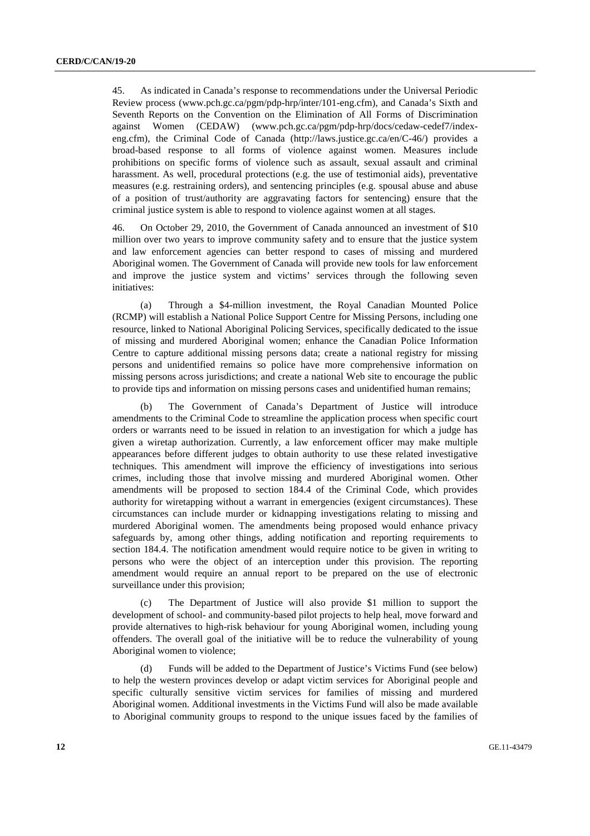45. As indicated in Canada's response to recommendations under the Universal Periodic Review process (www.pch.gc.ca/pgm/pdp-hrp/inter/101-eng.cfm), and Canada's Sixth and Seventh Reports on the Convention on the Elimination of All Forms of Discrimination against Women (CEDAW) (www.pch.gc.ca/pgm/pdp-hrp/docs/cedaw-cedef7/indexeng.cfm), the Criminal Code of Canada (http://laws.justice.gc.ca/en/C-46/) provides a broad-based response to all forms of violence against women. Measures include prohibitions on specific forms of violence such as assault, sexual assault and criminal harassment. As well, procedural protections (e.g. the use of testimonial aids), preventative measures (e.g. restraining orders), and sentencing principles (e.g. spousal abuse and abuse of a position of trust/authority are aggravating factors for sentencing) ensure that the criminal justice system is able to respond to violence against women at all stages.

46. On October 29, 2010, the Government of Canada announced an investment of \$10 million over two years to improve community safety and to ensure that the justice system and law enforcement agencies can better respond to cases of missing and murdered Aboriginal women. The Government of Canada will provide new tools for law enforcement and improve the justice system and victims' services through the following seven initiatives:

 (a) Through a \$4-million investment, the Royal Canadian Mounted Police (RCMP) will establish a National Police Support Centre for Missing Persons, including one resource, linked to National Aboriginal Policing Services, specifically dedicated to the issue of missing and murdered Aboriginal women; enhance the Canadian Police Information Centre to capture additional missing persons data; create a national registry for missing persons and unidentified remains so police have more comprehensive information on missing persons across jurisdictions; and create a national Web site to encourage the public to provide tips and information on missing persons cases and unidentified human remains;

 (b) The Government of Canada's Department of Justice will introduce amendments to the Criminal Code to streamline the application process when specific court orders or warrants need to be issued in relation to an investigation for which a judge has given a wiretap authorization. Currently, a law enforcement officer may make multiple appearances before different judges to obtain authority to use these related investigative techniques. This amendment will improve the efficiency of investigations into serious crimes, including those that involve missing and murdered Aboriginal women. Other amendments will be proposed to section 184.4 of the Criminal Code, which provides authority for wiretapping without a warrant in emergencies (exigent circumstances). These circumstances can include murder or kidnapping investigations relating to missing and murdered Aboriginal women. The amendments being proposed would enhance privacy safeguards by, among other things, adding notification and reporting requirements to section 184.4. The notification amendment would require notice to be given in writing to persons who were the object of an interception under this provision. The reporting amendment would require an annual report to be prepared on the use of electronic surveillance under this provision;

 (c) The Department of Justice will also provide \$1 million to support the development of school- and community-based pilot projects to help heal, move forward and provide alternatives to high-risk behaviour for young Aboriginal women, including young offenders. The overall goal of the initiative will be to reduce the vulnerability of young Aboriginal women to violence;

 (d) Funds will be added to the Department of Justice's Victims Fund (see below) to help the western provinces develop or adapt victim services for Aboriginal people and specific culturally sensitive victim services for families of missing and murdered Aboriginal women. Additional investments in the Victims Fund will also be made available to Aboriginal community groups to respond to the unique issues faced by the families of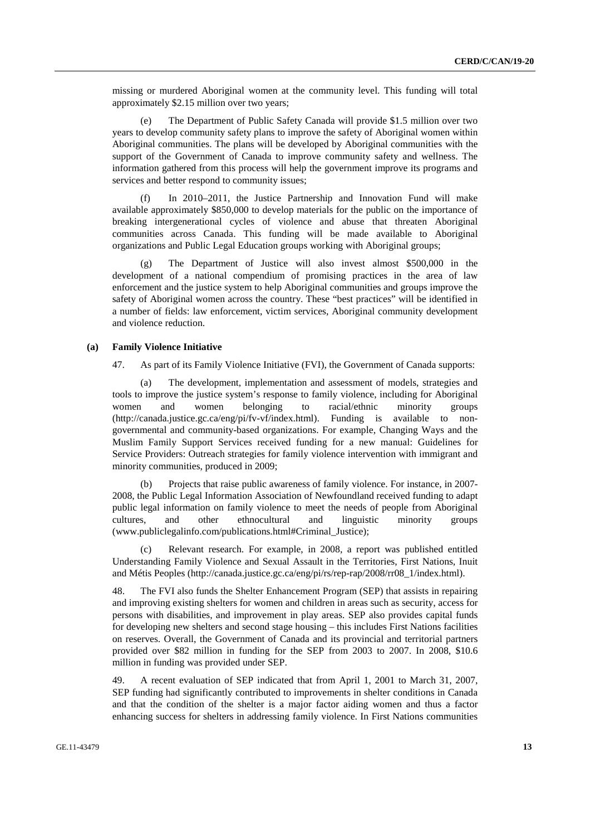missing or murdered Aboriginal women at the community level. This funding will total approximately \$2.15 million over two years;

 (e) The Department of Public Safety Canada will provide \$1.5 million over two years to develop community safety plans to improve the safety of Aboriginal women within Aboriginal communities. The plans will be developed by Aboriginal communities with the support of the Government of Canada to improve community safety and wellness. The information gathered from this process will help the government improve its programs and services and better respond to community issues;

 (f) In 2010–2011, the Justice Partnership and Innovation Fund will make available approximately \$850,000 to develop materials for the public on the importance of breaking intergenerational cycles of violence and abuse that threaten Aboriginal communities across Canada. This funding will be made available to Aboriginal organizations and Public Legal Education groups working with Aboriginal groups;

 (g) The Department of Justice will also invest almost \$500,000 in the development of a national compendium of promising practices in the area of law enforcement and the justice system to help Aboriginal communities and groups improve the safety of Aboriginal women across the country. These "best practices" will be identified in a number of fields: law enforcement, victim services, Aboriginal community development and violence reduction.

### **(a) Family Violence Initiative**

47. As part of its Family Violence Initiative (FVI), the Government of Canada supports:

 (a) The development, implementation and assessment of models, strategies and tools to improve the justice system's response to family violence, including for Aboriginal women and women belonging to racial/ethnic minority groups (http://canada.justice.gc.ca/eng/pi/fv-vf/index.html). Funding is available to nongovernmental and community-based organizations. For example, Changing Ways and the Muslim Family Support Services received funding for a new manual: Guidelines for Service Providers: Outreach strategies for family violence intervention with immigrant and minority communities, produced in 2009;

 (b) Projects that raise public awareness of family violence. For instance, in 2007- 2008, the Public Legal Information Association of Newfoundland received funding to adapt public legal information on family violence to meet the needs of people from Aboriginal cultures, and other ethnocultural and linguistic minority groups (www.publiclegalinfo.com/publications.html#Criminal\_Justice);

 (c) Relevant research. For example, in 2008, a report was published entitled Understanding Family Violence and Sexual Assault in the Territories, First Nations, Inuit and Métis Peoples (http://canada.justice.gc.ca/eng/pi/rs/rep-rap/2008/rr08\_1/index.html).

48. The FVI also funds the Shelter Enhancement Program (SEP) that assists in repairing and improving existing shelters for women and children in areas such as security, access for persons with disabilities, and improvement in play areas. SEP also provides capital funds for developing new shelters and second stage housing – this includes First Nations facilities on reserves. Overall, the Government of Canada and its provincial and territorial partners provided over \$82 million in funding for the SEP from 2003 to 2007. In 2008, \$10.6 million in funding was provided under SEP.

49. A recent evaluation of SEP indicated that from April 1, 2001 to March 31, 2007, SEP funding had significantly contributed to improvements in shelter conditions in Canada and that the condition of the shelter is a major factor aiding women and thus a factor enhancing success for shelters in addressing family violence. In First Nations communities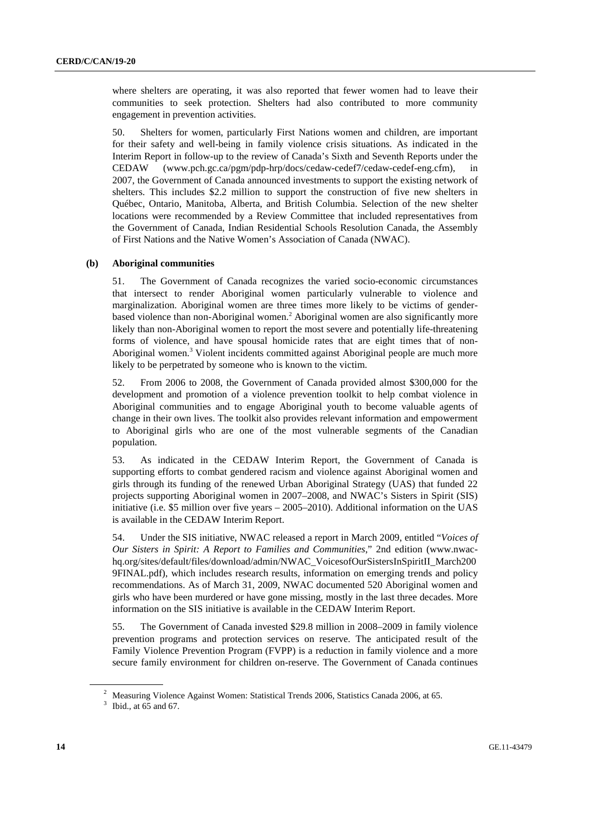where shelters are operating, it was also reported that fewer women had to leave their communities to seek protection. Shelters had also contributed to more community engagement in prevention activities.

50. Shelters for women, particularly First Nations women and children, are important for their safety and well-being in family violence crisis situations. As indicated in the Interim Report in follow-up to the review of Canada's Sixth and Seventh Reports under the CEDAW (www.pch.gc.ca/pgm/pdp-hrp/docs/cedaw-cedef7/cedaw-cedef-eng.cfm), in 2007, the Government of Canada announced investments to support the existing network of shelters. This includes \$2.2 million to support the construction of five new shelters in Québec, Ontario, Manitoba, Alberta, and British Columbia. Selection of the new shelter locations were recommended by a Review Committee that included representatives from the Government of Canada, Indian Residential Schools Resolution Canada, the Assembly of First Nations and the Native Women's Association of Canada (NWAC).

#### **(b) Aboriginal communities**

51. The Government of Canada recognizes the varied socio-economic circumstances that intersect to render Aboriginal women particularly vulnerable to violence and marginalization. Aboriginal women are three times more likely to be victims of genderbased violence than non-Aboriginal women.<sup>2</sup> Aboriginal women are also significantly more likely than non-Aboriginal women to report the most severe and potentially life-threatening forms of violence, and have spousal homicide rates that are eight times that of non-Aboriginal women.<sup>3</sup> Violent incidents committed against Aboriginal people are much more likely to be perpetrated by someone who is known to the victim.

52. From 2006 to 2008, the Government of Canada provided almost \$300,000 for the development and promotion of a violence prevention toolkit to help combat violence in Aboriginal communities and to engage Aboriginal youth to become valuable agents of change in their own lives. The toolkit also provides relevant information and empowerment to Aboriginal girls who are one of the most vulnerable segments of the Canadian population.

53. As indicated in the CEDAW Interim Report, the Government of Canada is supporting efforts to combat gendered racism and violence against Aboriginal women and girls through its funding of the renewed Urban Aboriginal Strategy (UAS) that funded 22 projects supporting Aboriginal women in 2007–2008, and NWAC's Sisters in Spirit (SIS) initiative (i.e. \$5 million over five years  $-2005-2010$ ). Additional information on the UAS is available in the CEDAW Interim Report.

54. Under the SIS initiative, NWAC released a report in March 2009, entitled "*Voices of Our Sisters in Spirit: A Report to Families and Communities*," 2nd edition (www.nwachq.org/sites/default/files/download/admin/NWAC\_VoicesofOurSistersInSpiritII\_March200 9FINAL.pdf), which includes research results, information on emerging trends and policy recommendations. As of March 31, 2009, NWAC documented 520 Aboriginal women and girls who have been murdered or have gone missing, mostly in the last three decades. More information on the SIS initiative is available in the CEDAW Interim Report.

55. The Government of Canada invested \$29.8 million in 2008–2009 in family violence prevention programs and protection services on reserve. The anticipated result of the Family Violence Prevention Program (FVPP) is a reduction in family violence and a more secure family environment for children on-reserve. The Government of Canada continues

<sup>&</sup>lt;sup>2</sup> Measuring Violence Against Women: Statistical Trends 2006, Statistics Canada 2006, at 65.

 $3$  Ibid., at 65 and 67.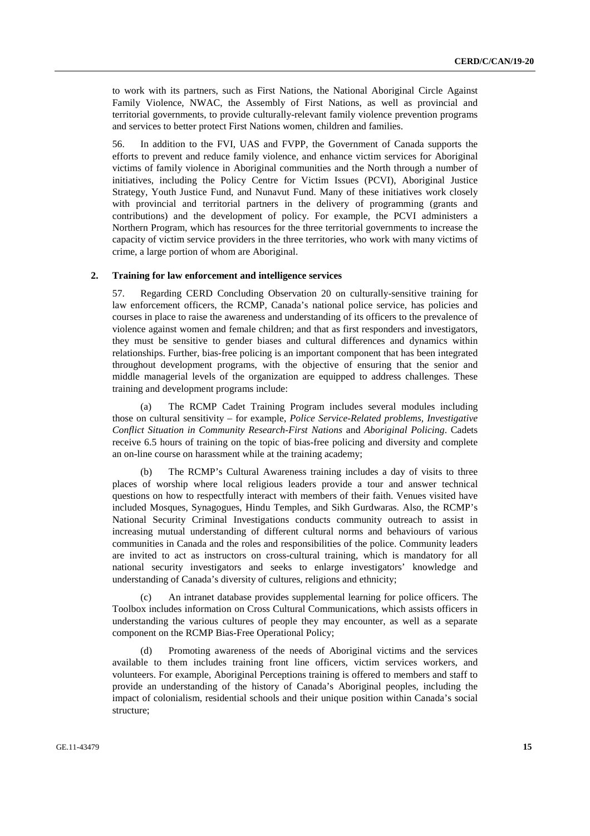to work with its partners, such as First Nations, the National Aboriginal Circle Against Family Violence, NWAC, the Assembly of First Nations, as well as provincial and territorial governments, to provide culturally-relevant family violence prevention programs and services to better protect First Nations women, children and families.

56. In addition to the FVI, UAS and FVPP, the Government of Canada supports the efforts to prevent and reduce family violence, and enhance victim services for Aboriginal victims of family violence in Aboriginal communities and the North through a number of initiatives, including the Policy Centre for Victim Issues (PCVI), Aboriginal Justice Strategy, Youth Justice Fund, and Nunavut Fund. Many of these initiatives work closely with provincial and territorial partners in the delivery of programming (grants and contributions) and the development of policy. For example, the PCVI administers a Northern Program, which has resources for the three territorial governments to increase the capacity of victim service providers in the three territories, who work with many victims of crime, a large portion of whom are Aboriginal.

#### **2. Training for law enforcement and intelligence services**

57. Regarding CERD Concluding Observation 20 on culturally-sensitive training for law enforcement officers, the RCMP, Canada's national police service, has policies and courses in place to raise the awareness and understanding of its officers to the prevalence of violence against women and female children; and that as first responders and investigators, they must be sensitive to gender biases and cultural differences and dynamics within relationships. Further, bias-free policing is an important component that has been integrated throughout development programs, with the objective of ensuring that the senior and middle managerial levels of the organization are equipped to address challenges. These training and development programs include:

 (a) The RCMP Cadet Training Program includes several modules including those on cultural sensitivity – for example, *Police Service-Related problems, Investigative Conflict Situation in Community Research-First Nations* and *Aboriginal Policing*. Cadets receive 6.5 hours of training on the topic of bias-free policing and diversity and complete an on-line course on harassment while at the training academy;

 (b) The RCMP's Cultural Awareness training includes a day of visits to three places of worship where local religious leaders provide a tour and answer technical questions on how to respectfully interact with members of their faith. Venues visited have included Mosques, Synagogues, Hindu Temples, and Sikh Gurdwaras. Also, the RCMP's National Security Criminal Investigations conducts community outreach to assist in increasing mutual understanding of different cultural norms and behaviours of various communities in Canada and the roles and responsibilities of the police. Community leaders are invited to act as instructors on cross-cultural training, which is mandatory for all national security investigators and seeks to enlarge investigators' knowledge and understanding of Canada's diversity of cultures, religions and ethnicity;

 (c) An intranet database provides supplemental learning for police officers. The Toolbox includes information on Cross Cultural Communications, which assists officers in understanding the various cultures of people they may encounter, as well as a separate component on the RCMP Bias-Free Operational Policy;

 (d) Promoting awareness of the needs of Aboriginal victims and the services available to them includes training front line officers, victim services workers, and volunteers. For example, Aboriginal Perceptions training is offered to members and staff to provide an understanding of the history of Canada's Aboriginal peoples, including the impact of colonialism, residential schools and their unique position within Canada's social structure;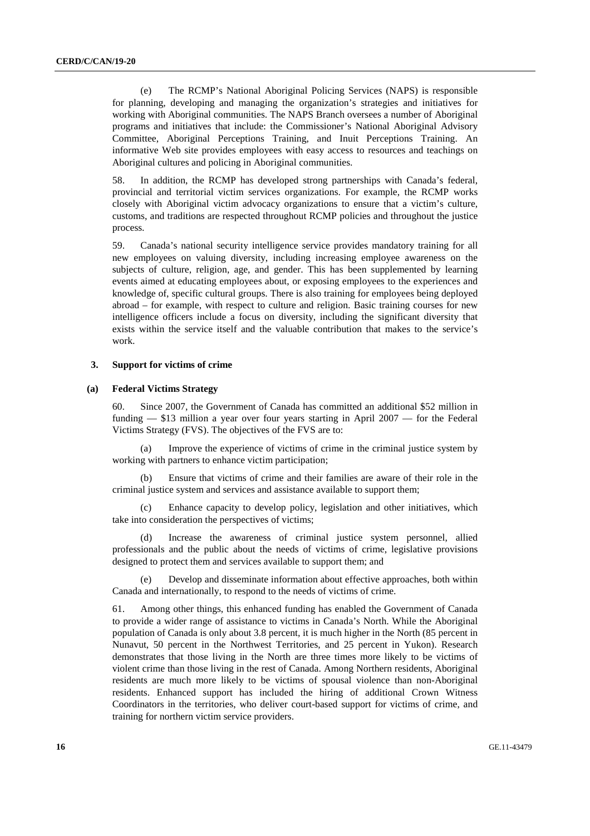(e) The RCMP's National Aboriginal Policing Services (NAPS) is responsible for planning, developing and managing the organization's strategies and initiatives for working with Aboriginal communities. The NAPS Branch oversees a number of Aboriginal programs and initiatives that include: the Commissioner's National Aboriginal Advisory Committee, Aboriginal Perceptions Training, and Inuit Perceptions Training. An informative Web site provides employees with easy access to resources and teachings on Aboriginal cultures and policing in Aboriginal communities.

58. In addition, the RCMP has developed strong partnerships with Canada's federal, provincial and territorial victim services organizations. For example, the RCMP works closely with Aboriginal victim advocacy organizations to ensure that a victim's culture, customs, and traditions are respected throughout RCMP policies and throughout the justice process.

59. Canada's national security intelligence service provides mandatory training for all new employees on valuing diversity, including increasing employee awareness on the subjects of culture, religion, age, and gender. This has been supplemented by learning events aimed at educating employees about, or exposing employees to the experiences and knowledge of, specific cultural groups. There is also training for employees being deployed abroad – for example, with respect to culture and religion. Basic training courses for new intelligence officers include a focus on diversity, including the significant diversity that exists within the service itself and the valuable contribution that makes to the service's work.

#### **3. Support for victims of crime**

### **(a) Federal Victims Strategy**

60. Since 2007, the Government of Canada has committed an additional \$52 million in funding — \$13 million a year over four years starting in April 2007 — for the Federal Victims Strategy (FVS). The objectives of the FVS are to:

 (a) Improve the experience of victims of crime in the criminal justice system by working with partners to enhance victim participation;

 (b) Ensure that victims of crime and their families are aware of their role in the criminal justice system and services and assistance available to support them;

 (c) Enhance capacity to develop policy, legislation and other initiatives, which take into consideration the perspectives of victims;

 (d) Increase the awareness of criminal justice system personnel, allied professionals and the public about the needs of victims of crime, legislative provisions designed to protect them and services available to support them; and

 (e) Develop and disseminate information about effective approaches, both within Canada and internationally, to respond to the needs of victims of crime.

61. Among other things, this enhanced funding has enabled the Government of Canada to provide a wider range of assistance to victims in Canada's North. While the Aboriginal population of Canada is only about 3.8 percent, it is much higher in the North (85 percent in Nunavut, 50 percent in the Northwest Territories, and 25 percent in Yukon). Research demonstrates that those living in the North are three times more likely to be victims of violent crime than those living in the rest of Canada. Among Northern residents, Aboriginal residents are much more likely to be victims of spousal violence than non-Aboriginal residents. Enhanced support has included the hiring of additional Crown Witness Coordinators in the territories, who deliver court-based support for victims of crime, and training for northern victim service providers.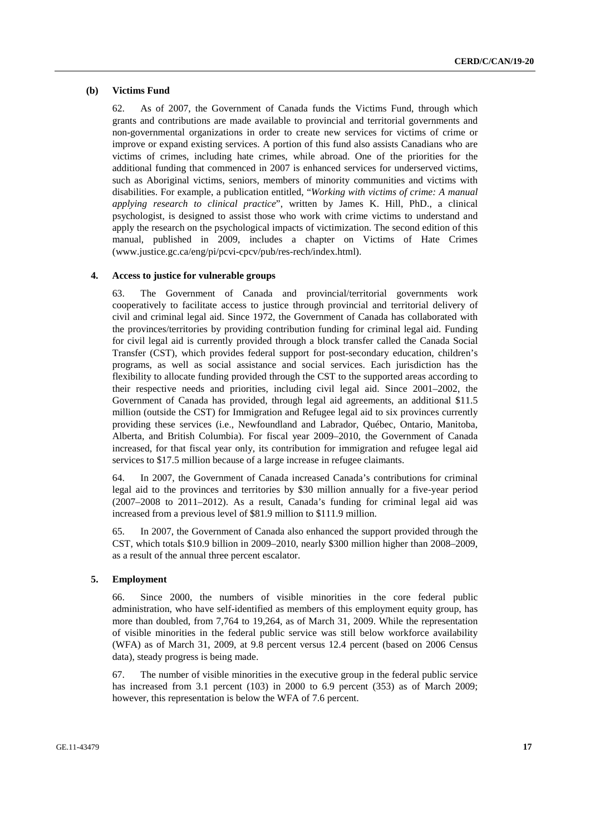#### **(b) Victims Fund**

62. As of 2007, the Government of Canada funds the Victims Fund, through which grants and contributions are made available to provincial and territorial governments and non-governmental organizations in order to create new services for victims of crime or improve or expand existing services. A portion of this fund also assists Canadians who are victims of crimes, including hate crimes, while abroad. One of the priorities for the additional funding that commenced in 2007 is enhanced services for underserved victims, such as Aboriginal victims, seniors, members of minority communities and victims with disabilities. For example, a publication entitled, "*Working with victims of crime: A manual applying research to clinical practice*", written by James K. Hill, PhD., a clinical psychologist, is designed to assist those who work with crime victims to understand and apply the research on the psychological impacts of victimization. The second edition of this manual, published in 2009, includes a chapter on Victims of Hate Crimes (www.justice.gc.ca/eng/pi/pcvi-cpcv/pub/res-rech/index.html).

#### **4. Access to justice for vulnerable groups**

63. The Government of Canada and provincial/territorial governments work cooperatively to facilitate access to justice through provincial and territorial delivery of civil and criminal legal aid. Since 1972, the Government of Canada has collaborated with the provinces/territories by providing contribution funding for criminal legal aid. Funding for civil legal aid is currently provided through a block transfer called the Canada Social Transfer (CST), which provides federal support for post-secondary education, children's programs, as well as social assistance and social services. Each jurisdiction has the flexibility to allocate funding provided through the CST to the supported areas according to their respective needs and priorities, including civil legal aid. Since 2001–2002, the Government of Canada has provided, through legal aid agreements, an additional \$11.5 million (outside the CST) for Immigration and Refugee legal aid to six provinces currently providing these services (i.e., Newfoundland and Labrador, Québec, Ontario, Manitoba, Alberta, and British Columbia). For fiscal year 2009–2010, the Government of Canada increased, for that fiscal year only, its contribution for immigration and refugee legal aid services to \$17.5 million because of a large increase in refugee claimants.

64. In 2007, the Government of Canada increased Canada's contributions for criminal legal aid to the provinces and territories by \$30 million annually for a five-year period (2007–2008 to 2011–2012). As a result, Canada's funding for criminal legal aid was increased from a previous level of \$81.9 million to \$111.9 million.

65. In 2007, the Government of Canada also enhanced the support provided through the CST, which totals \$10.9 billion in 2009–2010, nearly \$300 million higher than 2008–2009, as a result of the annual three percent escalator.

### **5. Employment**

66. Since 2000, the numbers of visible minorities in the core federal public administration, who have self-identified as members of this employment equity group, has more than doubled, from 7,764 to 19,264, as of March 31, 2009. While the representation of visible minorities in the federal public service was still below workforce availability (WFA) as of March 31, 2009, at 9.8 percent versus 12.4 percent (based on 2006 Census data), steady progress is being made.

67. The number of visible minorities in the executive group in the federal public service has increased from 3.1 percent (103) in 2000 to 6.9 percent (353) as of March 2009; however, this representation is below the WFA of 7.6 percent.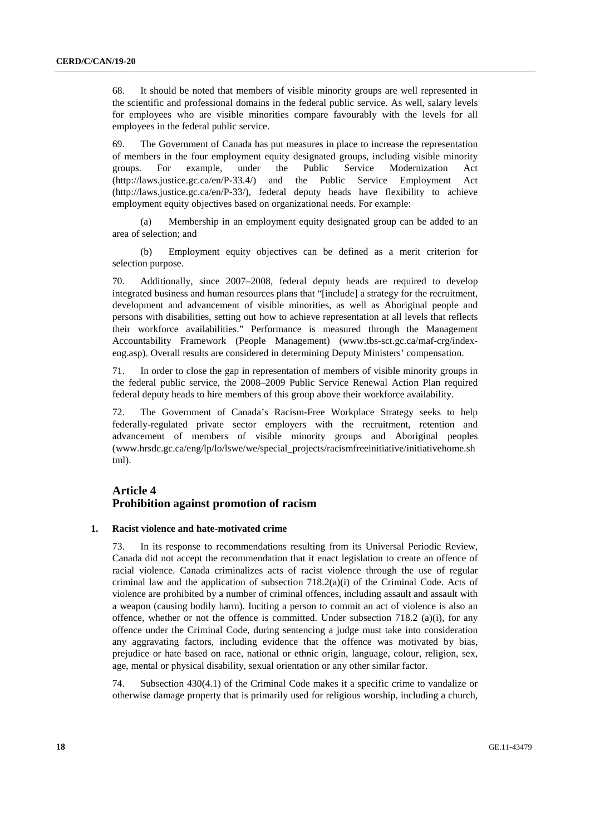68. It should be noted that members of visible minority groups are well represented in the scientific and professional domains in the federal public service. As well, salary levels for employees who are visible minorities compare favourably with the levels for all employees in the federal public service.

69. The Government of Canada has put measures in place to increase the representation of members in the four employment equity designated groups, including visible minority groups. For example, under the Public Service Modernization Act (http://laws.justice.gc.ca/en/P-33.4/) and the Public Service Employment Act (http://laws.justice.gc.ca/en/P-33/), federal deputy heads have flexibility to achieve employment equity objectives based on organizational needs. For example:

 (a) Membership in an employment equity designated group can be added to an area of selection; and

 (b) Employment equity objectives can be defined as a merit criterion for selection purpose.

70. Additionally, since 2007–2008, federal deputy heads are required to develop integrated business and human resources plans that "[include] a strategy for the recruitment, development and advancement of visible minorities, as well as Aboriginal people and persons with disabilities, setting out how to achieve representation at all levels that reflects their workforce availabilities." Performance is measured through the Management Accountability Framework (People Management) (www.tbs-sct.gc.ca/maf-crg/indexeng.asp). Overall results are considered in determining Deputy Ministers' compensation.

71. In order to close the gap in representation of members of visible minority groups in the federal public service, the 2008–2009 Public Service Renewal Action Plan required federal deputy heads to hire members of this group above their workforce availability.

72. The Government of Canada's Racism-Free Workplace Strategy seeks to help federally-regulated private sector employers with the recruitment, retention and advancement of members of visible minority groups and Aboriginal peoples (www.hrsdc.gc.ca/eng/lp/lo/lswe/we/special\_projects/racismfreeinitiative/initiativehome.sh tml).

## **Article 4 Prohibition against promotion of racism**

#### **1. Racist violence and hate-motivated crime**

73. In its response to recommendations resulting from its Universal Periodic Review, Canada did not accept the recommendation that it enact legislation to create an offence of racial violence. Canada criminalizes acts of racist violence through the use of regular criminal law and the application of subsection  $718.2(a)(i)$  of the Criminal Code. Acts of violence are prohibited by a number of criminal offences, including assault and assault with a weapon (causing bodily harm). Inciting a person to commit an act of violence is also an offence, whether or not the offence is committed. Under subsection 718.2 (a)(i), for any offence under the Criminal Code, during sentencing a judge must take into consideration any aggravating factors, including evidence that the offence was motivated by bias, prejudice or hate based on race, national or ethnic origin, language, colour, religion, sex, age, mental or physical disability, sexual orientation or any other similar factor.

74. Subsection 430(4.1) of the Criminal Code makes it a specific crime to vandalize or otherwise damage property that is primarily used for religious worship, including a church,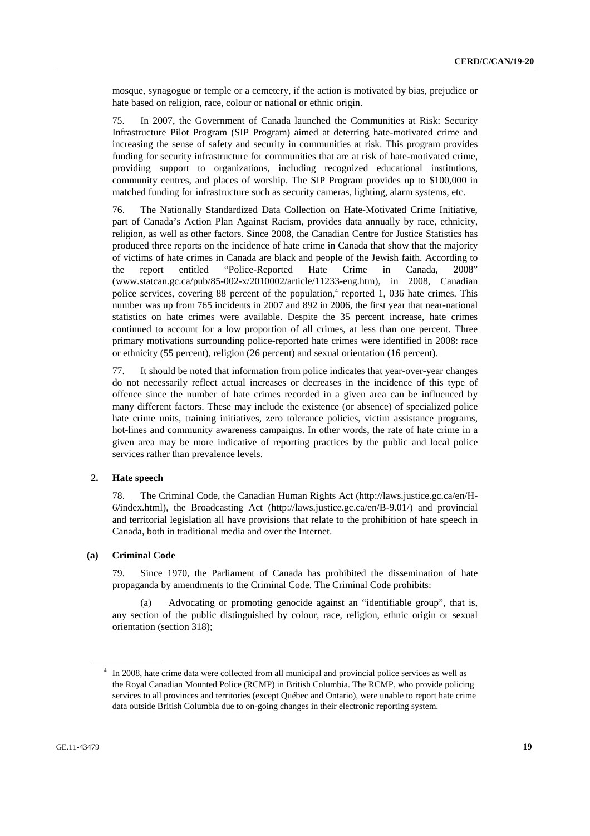mosque, synagogue or temple or a cemetery, if the action is motivated by bias, prejudice or hate based on religion, race, colour or national or ethnic origin.

75. In 2007, the Government of Canada launched the Communities at Risk: Security Infrastructure Pilot Program (SIP Program) aimed at deterring hate-motivated crime and increasing the sense of safety and security in communities at risk. This program provides funding for security infrastructure for communities that are at risk of hate-motivated crime, providing support to organizations, including recognized educational institutions, community centres, and places of worship. The SIP Program provides up to \$100,000 in matched funding for infrastructure such as security cameras, lighting, alarm systems, etc.

76. The Nationally Standardized Data Collection on Hate-Motivated Crime Initiative, part of Canada's Action Plan Against Racism, provides data annually by race, ethnicity, religion, as well as other factors. Since 2008, the Canadian Centre for Justice Statistics has produced three reports on the incidence of hate crime in Canada that show that the majority of victims of hate crimes in Canada are black and people of the Jewish faith. According to the report entitled "Police-Reported Hate Crime in Canada, 2008" (www.statcan.gc.ca/pub/85-002-x/2010002/article/11233-eng.htm), in 2008, Canadian police services, covering 88 percent of the population,<sup>4</sup> reported 1, 036 hate crimes. This number was up from 765 incidents in 2007 and 892 in 2006, the first year that near-national statistics on hate crimes were available. Despite the 35 percent increase, hate crimes continued to account for a low proportion of all crimes, at less than one percent. Three primary motivations surrounding police-reported hate crimes were identified in 2008: race or ethnicity (55 percent), religion (26 percent) and sexual orientation (16 percent).

77. It should be noted that information from police indicates that year-over-year changes do not necessarily reflect actual increases or decreases in the incidence of this type of offence since the number of hate crimes recorded in a given area can be influenced by many different factors. These may include the existence (or absence) of specialized police hate crime units, training initiatives, zero tolerance policies, victim assistance programs, hot-lines and community awareness campaigns. In other words, the rate of hate crime in a given area may be more indicative of reporting practices by the public and local police services rather than prevalence levels.

## **2. Hate speech**

78. The Criminal Code, the Canadian Human Rights Act (http://laws.justice.gc.ca/en/H- $6/index.html$ , the Broadcasting Act (http://laws.justice.gc.ca/en/B-9.01/) and provincial and territorial legislation all have provisions that relate to the prohibition of hate speech in Canada, both in traditional media and over the Internet.

#### **(a) Criminal Code**

79. Since 1970, the Parliament of Canada has prohibited the dissemination of hate propaganda by amendments to the Criminal Code. The Criminal Code prohibits:

 (a) Advocating or promoting genocide against an "identifiable group", that is, any section of the public distinguished by colour, race, religion, ethnic origin or sexual orientation (section 318);

<sup>&</sup>lt;sup>4</sup> In 2008, hate crime data were collected from all municipal and provincial police services as well as the Royal Canadian Mounted Police (RCMP) in British Columbia. The RCMP, who provide policing services to all provinces and territories (except Québec and Ontario), were unable to report hate crime data outside British Columbia due to on-going changes in their electronic reporting system.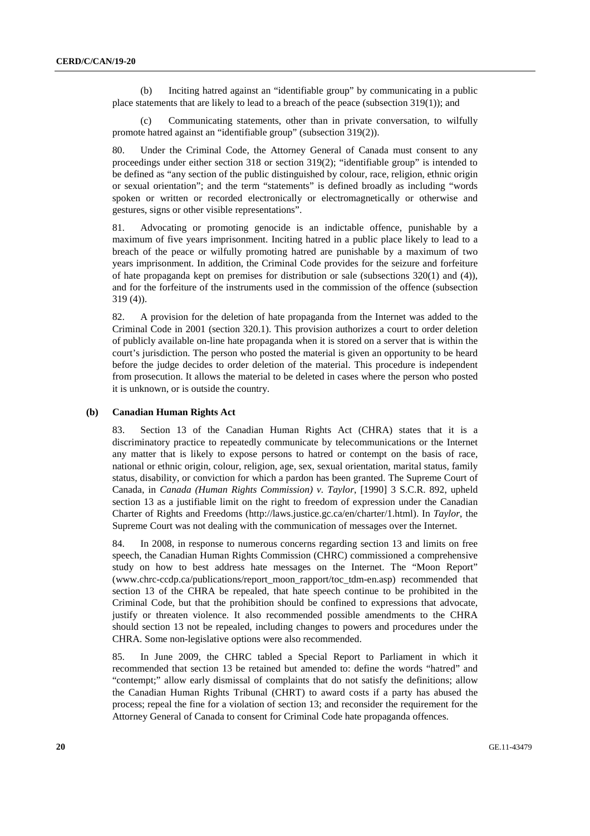(b) Inciting hatred against an "identifiable group" by communicating in a public place statements that are likely to lead to a breach of the peace (subsection  $319(1)$ ); and

 (c) Communicating statements, other than in private conversation, to wilfully promote hatred against an "identifiable group" (subsection 319(2)).

80. Under the Criminal Code, the Attorney General of Canada must consent to any proceedings under either section 318 or section 319(2); "identifiable group" is intended to be defined as "any section of the public distinguished by colour, race, religion, ethnic origin or sexual orientation"; and the term "statements" is defined broadly as including "words spoken or written or recorded electronically or electromagnetically or otherwise and gestures, signs or other visible representations".

81. Advocating or promoting genocide is an indictable offence, punishable by a maximum of five years imprisonment. Inciting hatred in a public place likely to lead to a breach of the peace or wilfully promoting hatred are punishable by a maximum of two years imprisonment. In addition, the Criminal Code provides for the seizure and forfeiture of hate propaganda kept on premises for distribution or sale (subsections 320(1) and (4)), and for the forfeiture of the instruments used in the commission of the offence (subsection 319 (4)).

82. A provision for the deletion of hate propaganda from the Internet was added to the Criminal Code in 2001 (section 320.1). This provision authorizes a court to order deletion of publicly available on-line hate propaganda when it is stored on a server that is within the court's jurisdiction. The person who posted the material is given an opportunity to be heard before the judge decides to order deletion of the material. This procedure is independent from prosecution. It allows the material to be deleted in cases where the person who posted it is unknown, or is outside the country.

#### **(b) Canadian Human Rights Act**

83. Section 13 of the Canadian Human Rights Act (CHRA) states that it is a discriminatory practice to repeatedly communicate by telecommunications or the Internet any matter that is likely to expose persons to hatred or contempt on the basis of race, national or ethnic origin, colour, religion, age, sex, sexual orientation, marital status, family status, disability, or conviction for which a pardon has been granted. The Supreme Court of Canada, in *Canada (Human Rights Commission) v. Taylor*, [1990] 3 S.C.R. 892, upheld section 13 as a justifiable limit on the right to freedom of expression under the Canadian Charter of Rights and Freedoms (http://laws.justice.gc.ca/en/charter/1.html). In *Taylor*, the Supreme Court was not dealing with the communication of messages over the Internet.

84. In 2008, in response to numerous concerns regarding section 13 and limits on free speech, the Canadian Human Rights Commission (CHRC) commissioned a comprehensive study on how to best address hate messages on the Internet. The "Moon Report" (www.chrc-ccdp.ca/publications/report\_moon\_rapport/toc\_tdm-en.asp) recommended that section 13 of the CHRA be repealed, that hate speech continue to be prohibited in the Criminal Code, but that the prohibition should be confined to expressions that advocate, justify or threaten violence. It also recommended possible amendments to the CHRA should section 13 not be repealed, including changes to powers and procedures under the CHRA. Some non-legislative options were also recommended.

85. In June 2009, the CHRC tabled a Special Report to Parliament in which it recommended that section 13 be retained but amended to: define the words "hatred" and "contempt;" allow early dismissal of complaints that do not satisfy the definitions; allow the Canadian Human Rights Tribunal (CHRT) to award costs if a party has abused the process; repeal the fine for a violation of section 13; and reconsider the requirement for the Attorney General of Canada to consent for Criminal Code hate propaganda offences.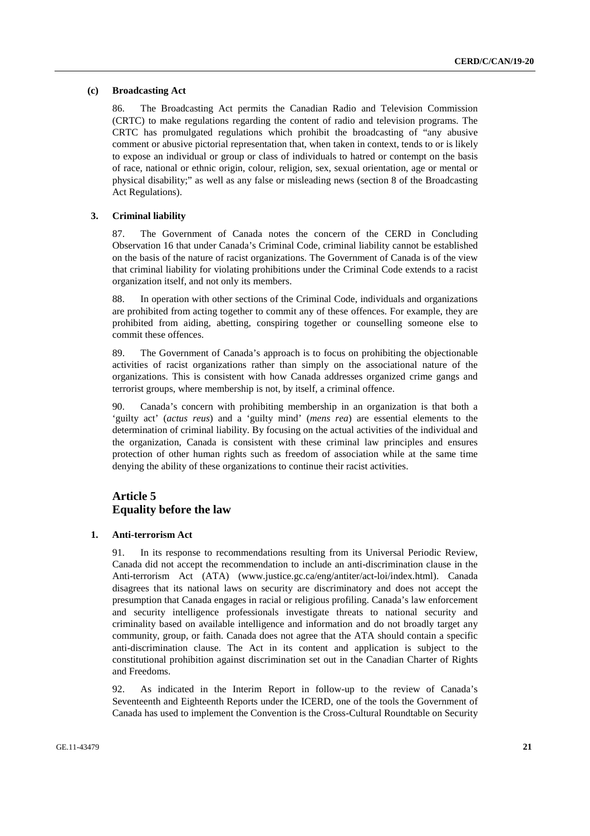#### **(c) Broadcasting Act**

86. The Broadcasting Act permits the Canadian Radio and Television Commission (CRTC) to make regulations regarding the content of radio and television programs. The CRTC has promulgated regulations which prohibit the broadcasting of "any abusive comment or abusive pictorial representation that, when taken in context, tends to or is likely to expose an individual or group or class of individuals to hatred or contempt on the basis of race, national or ethnic origin, colour, religion, sex, sexual orientation, age or mental or physical disability;" as well as any false or misleading news (section 8 of the Broadcasting Act Regulations).

### **3. Criminal liability**

87. The Government of Canada notes the concern of the CERD in Concluding Observation 16 that under Canada's Criminal Code, criminal liability cannot be established on the basis of the nature of racist organizations. The Government of Canada is of the view that criminal liability for violating prohibitions under the Criminal Code extends to a racist organization itself, and not only its members.

88. In operation with other sections of the Criminal Code, individuals and organizations are prohibited from acting together to commit any of these offences. For example, they are prohibited from aiding, abetting, conspiring together or counselling someone else to commit these offences.

89. The Government of Canada's approach is to focus on prohibiting the objectionable activities of racist organizations rather than simply on the associational nature of the organizations. This is consistent with how Canada addresses organized crime gangs and terrorist groups, where membership is not, by itself, a criminal offence.

90. Canada's concern with prohibiting membership in an organization is that both a 'guilty act' (*actus reus*) and a 'guilty mind' (*mens rea*) are essential elements to the determination of criminal liability. By focusing on the actual activities of the individual and the organization, Canada is consistent with these criminal law principles and ensures protection of other human rights such as freedom of association while at the same time denying the ability of these organizations to continue their racist activities.

## **Article 5 Equality before the law**

#### **1. Anti-terrorism Act**

91. In its response to recommendations resulting from its Universal Periodic Review, Canada did not accept the recommendation to include an anti-discrimination clause in the Anti-terrorism Act (ATA) (www.justice.gc.ca/eng/antiter/act-loi/index.html). Canada disagrees that its national laws on security are discriminatory and does not accept the presumption that Canada engages in racial or religious profiling. Canada's law enforcement and security intelligence professionals investigate threats to national security and criminality based on available intelligence and information and do not broadly target any community, group, or faith. Canada does not agree that the ATA should contain a specific anti-discrimination clause. The Act in its content and application is subject to the constitutional prohibition against discrimination set out in the Canadian Charter of Rights and Freedoms.

92. As indicated in the Interim Report in follow-up to the review of Canada's Seventeenth and Eighteenth Reports under the ICERD, one of the tools the Government of Canada has used to implement the Convention is the Cross-Cultural Roundtable on Security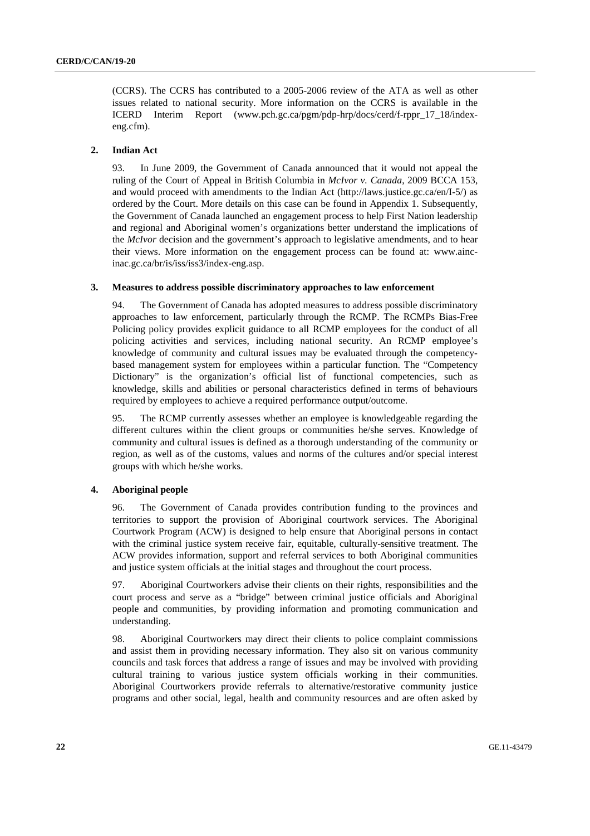(CCRS). The CCRS has contributed to a 2005-2006 review of the ATA as well as other issues related to national security. More information on the CCRS is available in the ICERD Interim Report (www.pch.gc.ca/pgm/pdp-hrp/docs/cerd/f-rppr\_17\_18/indexeng.cfm).

## **2. Indian Act**

93. In June 2009, the Government of Canada announced that it would not appeal the ruling of the Court of Appeal in British Columbia in *McIvor v. Canada*, 2009 BCCA 153, and would proceed with amendments to the Indian Act (http://laws.justice.gc.ca/en/I-5/) as ordered by the Court. More details on this case can be found in Appendix 1. Subsequently, the Government of Canada launched an engagement process to help First Nation leadership and regional and Aboriginal women's organizations better understand the implications of the *McIvor* decision and the government's approach to legislative amendments, and to hear their views. More information on the engagement process can be found at: www.aincinac.gc.ca/br/is/iss/iss3/index-eng.asp.

### **3. Measures to address possible discriminatory approaches to law enforcement**

94. The Government of Canada has adopted measures to address possible discriminatory approaches to law enforcement, particularly through the RCMP. The RCMPs Bias-Free Policing policy provides explicit guidance to all RCMP employees for the conduct of all policing activities and services, including national security. An RCMP employee's knowledge of community and cultural issues may be evaluated through the competencybased management system for employees within a particular function. The "Competency Dictionary" is the organization's official list of functional competencies, such as knowledge, skills and abilities or personal characteristics defined in terms of behaviours required by employees to achieve a required performance output/outcome.

95. The RCMP currently assesses whether an employee is knowledgeable regarding the different cultures within the client groups or communities he/she serves. Knowledge of community and cultural issues is defined as a thorough understanding of the community or region, as well as of the customs, values and norms of the cultures and/or special interest groups with which he/she works.

#### **4. Aboriginal people**

96. The Government of Canada provides contribution funding to the provinces and territories to support the provision of Aboriginal courtwork services. The Aboriginal Courtwork Program (ACW) is designed to help ensure that Aboriginal persons in contact with the criminal justice system receive fair, equitable, culturally-sensitive treatment. The ACW provides information, support and referral services to both Aboriginal communities and justice system officials at the initial stages and throughout the court process.

97. Aboriginal Courtworkers advise their clients on their rights, responsibilities and the court process and serve as a "bridge" between criminal justice officials and Aboriginal people and communities, by providing information and promoting communication and understanding.

98. Aboriginal Courtworkers may direct their clients to police complaint commissions and assist them in providing necessary information. They also sit on various community councils and task forces that address a range of issues and may be involved with providing cultural training to various justice system officials working in their communities. Aboriginal Courtworkers provide referrals to alternative/restorative community justice programs and other social, legal, health and community resources and are often asked by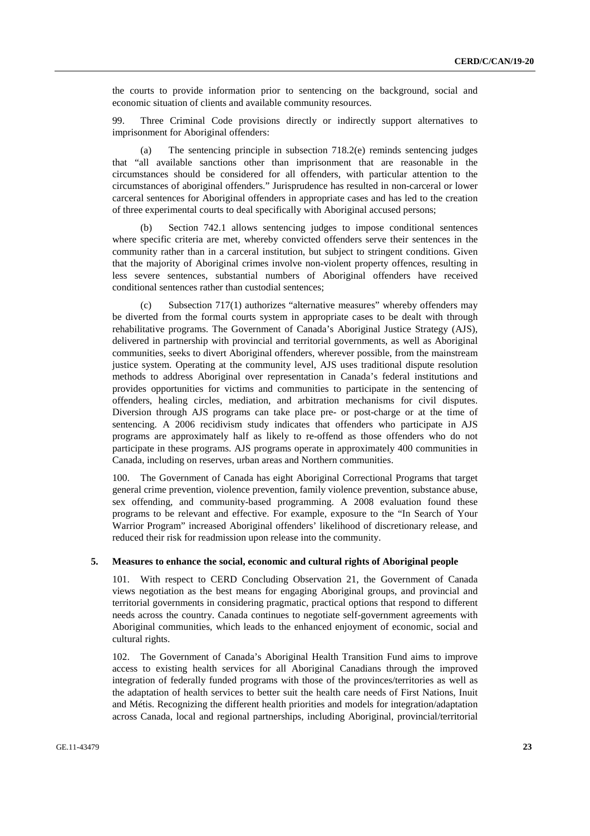the courts to provide information prior to sentencing on the background, social and economic situation of clients and available community resources.

99. Three Criminal Code provisions directly or indirectly support alternatives to imprisonment for Aboriginal offenders:

(a) The sentencing principle in subsection  $718.2(e)$  reminds sentencing judges that "all available sanctions other than imprisonment that are reasonable in the circumstances should be considered for all offenders, with particular attention to the circumstances of aboriginal offenders." Jurisprudence has resulted in non-carceral or lower carceral sentences for Aboriginal offenders in appropriate cases and has led to the creation of three experimental courts to deal specifically with Aboriginal accused persons;

 (b) Section 742.1 allows sentencing judges to impose conditional sentences where specific criteria are met, whereby convicted offenders serve their sentences in the community rather than in a carceral institution, but subject to stringent conditions. Given that the majority of Aboriginal crimes involve non-violent property offences, resulting in less severe sentences, substantial numbers of Aboriginal offenders have received conditional sentences rather than custodial sentences;

 (c) Subsection 717(1) authorizes "alternative measures" whereby offenders may be diverted from the formal courts system in appropriate cases to be dealt with through rehabilitative programs. The Government of Canada's Aboriginal Justice Strategy (AJS), delivered in partnership with provincial and territorial governments, as well as Aboriginal communities, seeks to divert Aboriginal offenders, wherever possible, from the mainstream justice system. Operating at the community level, AJS uses traditional dispute resolution methods to address Aboriginal over representation in Canada's federal institutions and provides opportunities for victims and communities to participate in the sentencing of offenders, healing circles, mediation, and arbitration mechanisms for civil disputes. Diversion through AJS programs can take place pre- or post-charge or at the time of sentencing. A 2006 recidivism study indicates that offenders who participate in AJS programs are approximately half as likely to re-offend as those offenders who do not participate in these programs. AJS programs operate in approximately 400 communities in Canada, including on reserves, urban areas and Northern communities.

100. The Government of Canada has eight Aboriginal Correctional Programs that target general crime prevention, violence prevention, family violence prevention, substance abuse, sex offending, and community-based programming. A 2008 evaluation found these programs to be relevant and effective. For example, exposure to the "In Search of Your Warrior Program" increased Aboriginal offenders' likelihood of discretionary release, and reduced their risk for readmission upon release into the community.

#### **5. Measures to enhance the social, economic and cultural rights of Aboriginal people**

101. With respect to CERD Concluding Observation 21, the Government of Canada views negotiation as the best means for engaging Aboriginal groups, and provincial and territorial governments in considering pragmatic, practical options that respond to different needs across the country. Canada continues to negotiate self-government agreements with Aboriginal communities, which leads to the enhanced enjoyment of economic, social and cultural rights.

102. The Government of Canada's Aboriginal Health Transition Fund aims to improve access to existing health services for all Aboriginal Canadians through the improved integration of federally funded programs with those of the provinces/territories as well as the adaptation of health services to better suit the health care needs of First Nations, Inuit and Métis. Recognizing the different health priorities and models for integration/adaptation across Canada, local and regional partnerships, including Aboriginal, provincial/territorial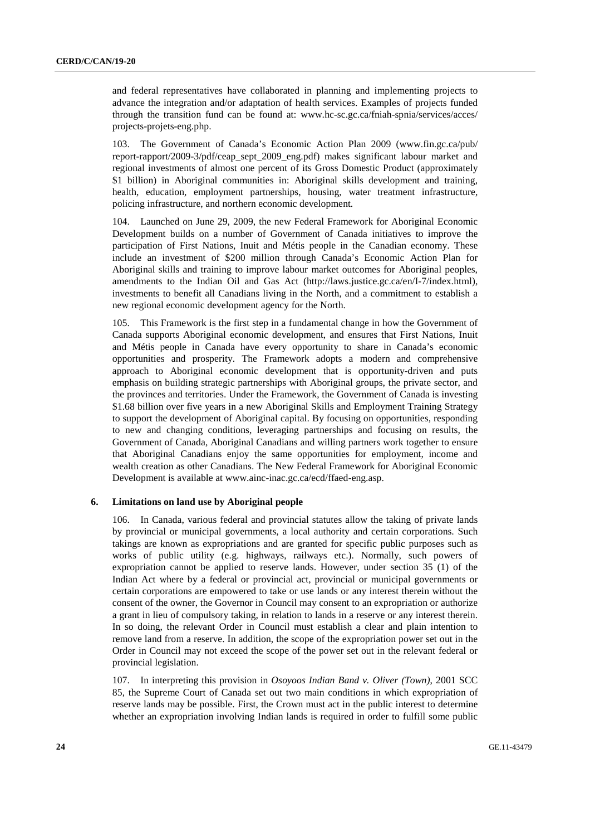and federal representatives have collaborated in planning and implementing projects to advance the integration and/or adaptation of health services. Examples of projects funded through the transition fund can be found at: www.hc-sc.gc.ca/fniah-spnia/services/acces/ projects-projets-eng.php.

103. The Government of Canada's Economic Action Plan 2009 (www.fin.gc.ca/pub/ report-rapport/2009-3/pdf/ceap\_sept\_2009\_eng.pdf) makes significant labour market and regional investments of almost one percent of its Gross Domestic Product (approximately \$1 billion) in Aboriginal communities in: Aboriginal skills development and training, health, education, employment partnerships, housing, water treatment infrastructure, policing infrastructure, and northern economic development.

104. Launched on June 29, 2009, the new Federal Framework for Aboriginal Economic Development builds on a number of Government of Canada initiatives to improve the participation of First Nations, Inuit and Métis people in the Canadian economy. These include an investment of \$200 million through Canada's Economic Action Plan for Aboriginal skills and training to improve labour market outcomes for Aboriginal peoples, amendments to the Indian Oil and Gas Act (http://laws.justice.gc.ca/en/I-7/index.html), investments to benefit all Canadians living in the North, and a commitment to establish a new regional economic development agency for the North.

105. This Framework is the first step in a fundamental change in how the Government of Canada supports Aboriginal economic development, and ensures that First Nations, Inuit and Métis people in Canada have every opportunity to share in Canada's economic opportunities and prosperity. The Framework adopts a modern and comprehensive approach to Aboriginal economic development that is opportunity-driven and puts emphasis on building strategic partnerships with Aboriginal groups, the private sector, and the provinces and territories. Under the Framework, the Government of Canada is investing \$1.68 billion over five years in a new Aboriginal Skills and Employment Training Strategy to support the development of Aboriginal capital. By focusing on opportunities, responding to new and changing conditions, leveraging partnerships and focusing on results, the Government of Canada, Aboriginal Canadians and willing partners work together to ensure that Aboriginal Canadians enjoy the same opportunities for employment, income and wealth creation as other Canadians. The New Federal Framework for Aboriginal Economic Development is available at www.ainc-inac.gc.ca/ecd/ffaed-eng.asp.

#### **6. Limitations on land use by Aboriginal people**

106. In Canada, various federal and provincial statutes allow the taking of private lands by provincial or municipal governments, a local authority and certain corporations. Such takings are known as expropriations and are granted for specific public purposes such as works of public utility (e.g. highways, railways etc.). Normally, such powers of expropriation cannot be applied to reserve lands. However, under section 35 (1) of the Indian Act where by a federal or provincial act, provincial or municipal governments or certain corporations are empowered to take or use lands or any interest therein without the consent of the owner, the Governor in Council may consent to an expropriation or authorize a grant in lieu of compulsory taking, in relation to lands in a reserve or any interest therein. In so doing, the relevant Order in Council must establish a clear and plain intention to remove land from a reserve. In addition, the scope of the expropriation power set out in the Order in Council may not exceed the scope of the power set out in the relevant federal or provincial legislation.

107. In interpreting this provision in *Osoyoos Indian Band v. Oliver (Town)*, 2001 SCC 85, the Supreme Court of Canada set out two main conditions in which expropriation of reserve lands may be possible. First, the Crown must act in the public interest to determine whether an expropriation involving Indian lands is required in order to fulfill some public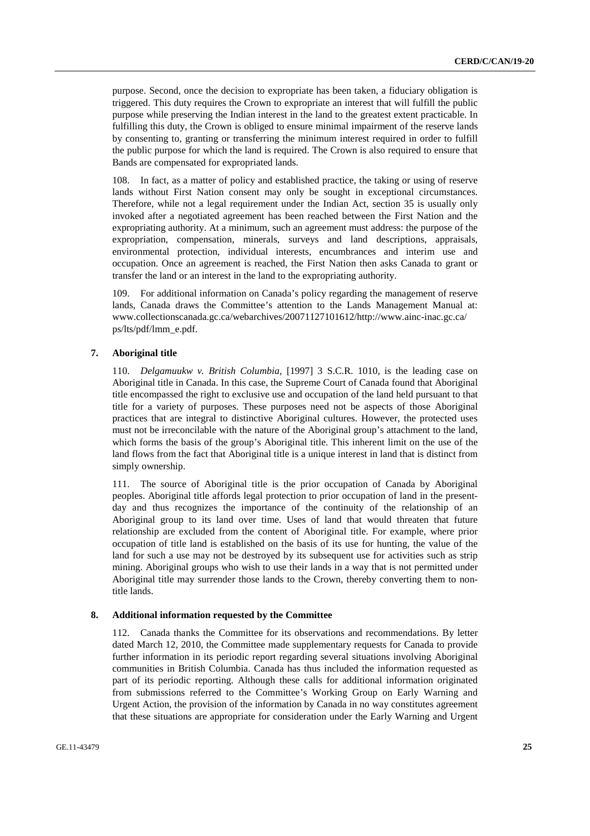purpose. Second, once the decision to expropriate has been taken, a fiduciary obligation is triggered. This duty requires the Crown to expropriate an interest that will fulfill the public purpose while preserving the Indian interest in the land to the greatest extent practicable. In fulfilling this duty, the Crown is obliged to ensure minimal impairment of the reserve lands by consenting to, granting or transferring the minimum interest required in order to fulfill the public purpose for which the land is required. The Crown is also required to ensure that Bands are compensated for expropriated lands.

108. In fact, as a matter of policy and established practice, the taking or using of reserve lands without First Nation consent may only be sought in exceptional circumstances. Therefore, while not a legal requirement under the Indian Act, section 35 is usually only invoked after a negotiated agreement has been reached between the First Nation and the expropriating authority. At a minimum, such an agreement must address: the purpose of the expropriation, compensation, minerals, surveys and land descriptions, appraisals, environmental protection, individual interests, encumbrances and interim use and occupation. Once an agreement is reached, the First Nation then asks Canada to grant or transfer the land or an interest in the land to the expropriating authority.

109. For additional information on Canada's policy regarding the management of reserve lands, Canada draws the Committee's attention to the Lands Management Manual at: www.collectionscanada.gc.ca/webarchives/20071127101612/http://www.ainc-inac.gc.ca/ ps/lts/pdf/lmm\_e.pdf.

#### **7. Aboriginal title**

110. *Delgamuukw v. British Columbia*, [1997] 3 S.C.R. 1010, is the leading case on Aboriginal title in Canada. In this case, the Supreme Court of Canada found that Aboriginal title encompassed the right to exclusive use and occupation of the land held pursuant to that title for a variety of purposes. These purposes need not be aspects of those Aboriginal practices that are integral to distinctive Aboriginal cultures. However, the protected uses must not be irreconcilable with the nature of the Aboriginal group's attachment to the land, which forms the basis of the group's Aboriginal title. This inherent limit on the use of the land flows from the fact that Aboriginal title is a unique interest in land that is distinct from simply ownership.

111. The source of Aboriginal title is the prior occupation of Canada by Aboriginal peoples. Aboriginal title affords legal protection to prior occupation of land in the presentday and thus recognizes the importance of the continuity of the relationship of an Aboriginal group to its land over time. Uses of land that would threaten that future relationship are excluded from the content of Aboriginal title. For example, where prior occupation of title land is established on the basis of its use for hunting, the value of the land for such a use may not be destroyed by its subsequent use for activities such as strip mining. Aboriginal groups who wish to use their lands in a way that is not permitted under Aboriginal title may surrender those lands to the Crown, thereby converting them to nontitle lands.

#### **8. Additional information requested by the Committee**

112. Canada thanks the Committee for its observations and recommendations. By letter dated March 12, 2010, the Committee made supplementary requests for Canada to provide further information in its periodic report regarding several situations involving Aboriginal communities in British Columbia. Canada has thus included the information requested as part of its periodic reporting. Although these calls for additional information originated from submissions referred to the Committee's Working Group on Early Warning and Urgent Action, the provision of the information by Canada in no way constitutes agreement that these situations are appropriate for consideration under the Early Warning and Urgent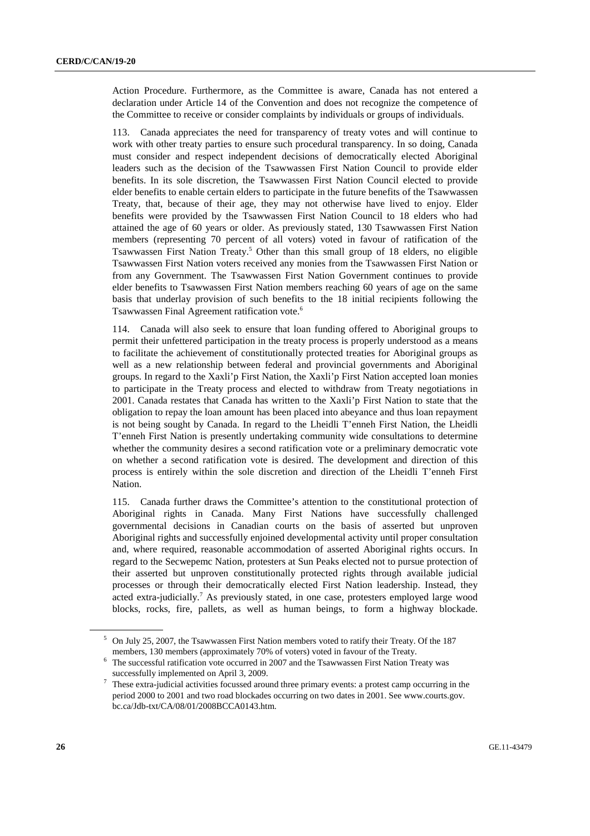Action Procedure. Furthermore, as the Committee is aware, Canada has not entered a declaration under Article 14 of the Convention and does not recognize the competence of the Committee to receive or consider complaints by individuals or groups of individuals.

113. Canada appreciates the need for transparency of treaty votes and will continue to work with other treaty parties to ensure such procedural transparency. In so doing, Canada must consider and respect independent decisions of democratically elected Aboriginal leaders such as the decision of the Tsawwassen First Nation Council to provide elder benefits. In its sole discretion, the Tsawwassen First Nation Council elected to provide elder benefits to enable certain elders to participate in the future benefits of the Tsawwassen Treaty, that, because of their age, they may not otherwise have lived to enjoy. Elder benefits were provided by the Tsawwassen First Nation Council to 18 elders who had attained the age of 60 years or older. As previously stated, 130 Tsawwassen First Nation members (representing 70 percent of all voters) voted in favour of ratification of the Tsawwassen First Nation Treaty.<sup>5</sup> Other than this small group of 18 elders, no eligible Tsawwassen First Nation voters received any monies from the Tsawwassen First Nation or from any Government. The Tsawwassen First Nation Government continues to provide elder benefits to Tsawwassen First Nation members reaching 60 years of age on the same basis that underlay provision of such benefits to the 18 initial recipients following the Tsawwassen Final Agreement ratification vote.6

114. Canada will also seek to ensure that loan funding offered to Aboriginal groups to permit their unfettered participation in the treaty process is properly understood as a means to facilitate the achievement of constitutionally protected treaties for Aboriginal groups as well as a new relationship between federal and provincial governments and Aboriginal groups. In regard to the Xaxli'p First Nation, the Xaxli'p First Nation accepted loan monies to participate in the Treaty process and elected to withdraw from Treaty negotiations in 2001. Canada restates that Canada has written to the Xaxli'p First Nation to state that the obligation to repay the loan amount has been placed into abeyance and thus loan repayment is not being sought by Canada. In regard to the Lheidli T'enneh First Nation, the Lheidli T'enneh First Nation is presently undertaking community wide consultations to determine whether the community desires a second ratification vote or a preliminary democratic vote on whether a second ratification vote is desired. The development and direction of this process is entirely within the sole discretion and direction of the Lheidli T'enneh First Nation.

115. Canada further draws the Committee's attention to the constitutional protection of Aboriginal rights in Canada. Many First Nations have successfully challenged governmental decisions in Canadian courts on the basis of asserted but unproven Aboriginal rights and successfully enjoined developmental activity until proper consultation and, where required, reasonable accommodation of asserted Aboriginal rights occurs. In regard to the Secwepemc Nation, protesters at Sun Peaks elected not to pursue protection of their asserted but unproven constitutionally protected rights through available judicial processes or through their democratically elected First Nation leadership. Instead, they acted extra-judicially.<sup>7</sup> As previously stated, in one case, protesters employed large wood blocks, rocks, fire, pallets, as well as human beings, to form a highway blockade.

<sup>&</sup>lt;sup>5</sup> On July 25, 2007, the Tsawwassen First Nation members voted to ratify their Treaty. Of the 187 members, 130 members (approximately 70% of voters) voted in favour of the Treaty.<br><sup>6</sup> The successful ratification vote occurred in 2007 and the Tsawwassen First Nation Treaty was

successfully implemented on April 3, 2009.

These extra-judicial activities focussed around three primary events: a protest camp occurring in the period 2000 to 2001 and two road blockades occurring on two dates in 2001. See www.courts.gov. bc.ca/Jdb-txt/CA/08/01/2008BCCA0143.htm.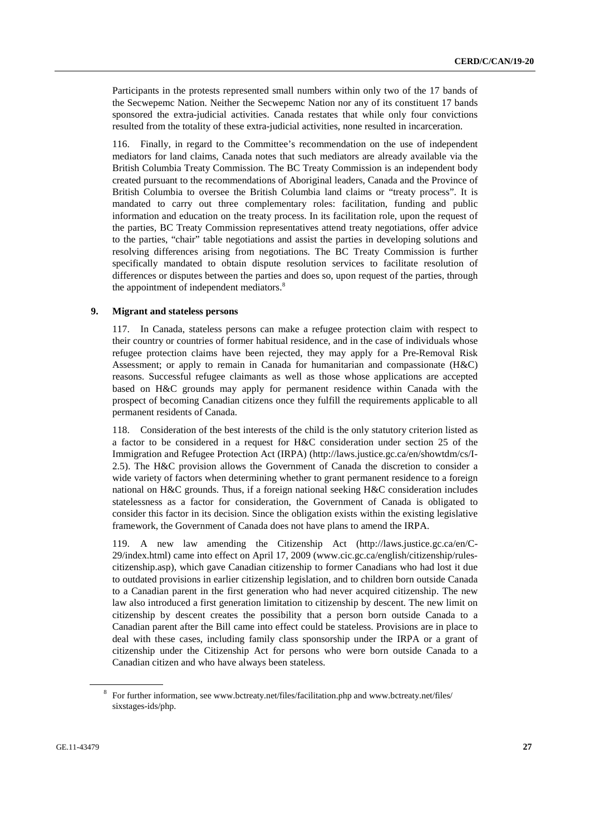Participants in the protests represented small numbers within only two of the 17 bands of the Secwepemc Nation. Neither the Secwepemc Nation nor any of its constituent 17 bands sponsored the extra-judicial activities. Canada restates that while only four convictions resulted from the totality of these extra-judicial activities, none resulted in incarceration.

116. Finally, in regard to the Committee's recommendation on the use of independent mediators for land claims, Canada notes that such mediators are already available via the British Columbia Treaty Commission. The BC Treaty Commission is an independent body created pursuant to the recommendations of Aboriginal leaders, Canada and the Province of British Columbia to oversee the British Columbia land claims or "treaty process". It is mandated to carry out three complementary roles: facilitation, funding and public information and education on the treaty process. In its facilitation role, upon the request of the parties, BC Treaty Commission representatives attend treaty negotiations, offer advice to the parties, "chair" table negotiations and assist the parties in developing solutions and resolving differences arising from negotiations. The BC Treaty Commission is further specifically mandated to obtain dispute resolution services to facilitate resolution of differences or disputes between the parties and does so, upon request of the parties, through the appointment of independent mediators.<sup>8</sup>

## **9. Migrant and stateless persons**

117. In Canada, stateless persons can make a refugee protection claim with respect to their country or countries of former habitual residence, and in the case of individuals whose refugee protection claims have been rejected, they may apply for a Pre-Removal Risk Assessment; or apply to remain in Canada for humanitarian and compassionate (H&C) reasons. Successful refugee claimants as well as those whose applications are accepted based on H&C grounds may apply for permanent residence within Canada with the prospect of becoming Canadian citizens once they fulfill the requirements applicable to all permanent residents of Canada.

118. Consideration of the best interests of the child is the only statutory criterion listed as a factor to be considered in a request for H&C consideration under section 25 of the Immigration and Refugee Protection Act (IRPA) (http://laws.justice.gc.ca/en/showtdm/cs/I-2.5). The H&C provision allows the Government of Canada the discretion to consider a wide variety of factors when determining whether to grant permanent residence to a foreign national on H&C grounds. Thus, if a foreign national seeking H&C consideration includes statelessness as a factor for consideration, the Government of Canada is obligated to consider this factor in its decision. Since the obligation exists within the existing legislative framework, the Government of Canada does not have plans to amend the IRPA.

119. A new law amending the Citizenship Act (http://laws.justice.gc.ca/en/C-29/index.html) came into effect on April 17, 2009 (www.cic.gc.ca/english/citizenship/rulescitizenship.asp), which gave Canadian citizenship to former Canadians who had lost it due to outdated provisions in earlier citizenship legislation, and to children born outside Canada to a Canadian parent in the first generation who had never acquired citizenship. The new law also introduced a first generation limitation to citizenship by descent. The new limit on citizenship by descent creates the possibility that a person born outside Canada to a Canadian parent after the Bill came into effect could be stateless. Provisions are in place to deal with these cases, including family class sponsorship under the IRPA or a grant of citizenship under the Citizenship Act for persons who were born outside Canada to a Canadian citizen and who have always been stateless.

<sup>&</sup>lt;sup>8</sup> For further information, see www.bctreaty.net/files/facilitation.php and www.bctreaty.net/files/ sixstages-ids/php.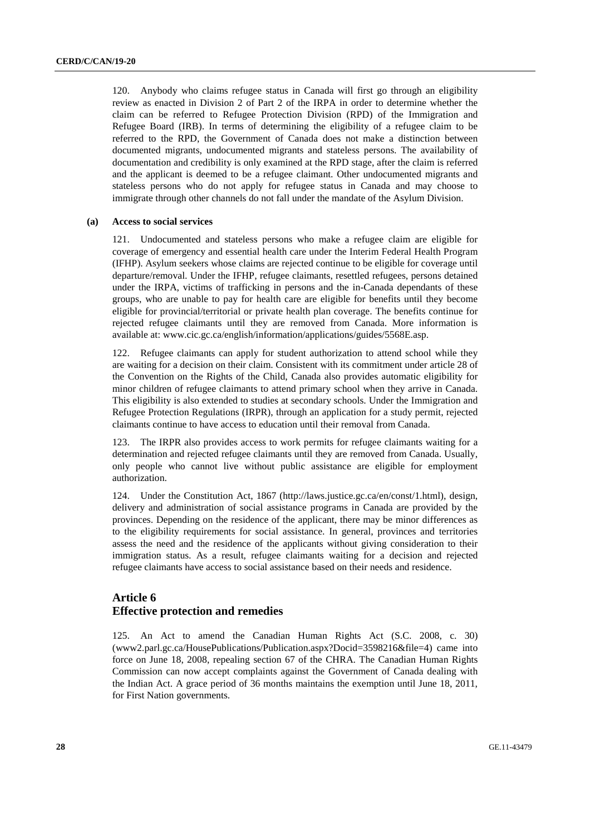120. Anybody who claims refugee status in Canada will first go through an eligibility review as enacted in Division 2 of Part 2 of the IRPA in order to determine whether the claim can be referred to Refugee Protection Division (RPD) of the Immigration and Refugee Board (IRB). In terms of determining the eligibility of a refugee claim to be referred to the RPD, the Government of Canada does not make a distinction between documented migrants, undocumented migrants and stateless persons. The availability of documentation and credibility is only examined at the RPD stage, after the claim is referred and the applicant is deemed to be a refugee claimant. Other undocumented migrants and stateless persons who do not apply for refugee status in Canada and may choose to immigrate through other channels do not fall under the mandate of the Asylum Division.

#### **(a) Access to social services**

121. Undocumented and stateless persons who make a refugee claim are eligible for coverage of emergency and essential health care under the Interim Federal Health Program (IFHP). Asylum seekers whose claims are rejected continue to be eligible for coverage until departure/removal. Under the IFHP, refugee claimants, resettled refugees, persons detained under the IRPA, victims of trafficking in persons and the in-Canada dependants of these groups, who are unable to pay for health care are eligible for benefits until they become eligible for provincial/territorial or private health plan coverage. The benefits continue for rejected refugee claimants until they are removed from Canada. More information is available at: www.cic.gc.ca/english/information/applications/guides/5568E.asp.

122. Refugee claimants can apply for student authorization to attend school while they are waiting for a decision on their claim. Consistent with its commitment under article 28 of the Convention on the Rights of the Child, Canada also provides automatic eligibility for minor children of refugee claimants to attend primary school when they arrive in Canada. This eligibility is also extended to studies at secondary schools. Under the Immigration and Refugee Protection Regulations (IRPR), through an application for a study permit, rejected claimants continue to have access to education until their removal from Canada.

123. The IRPR also provides access to work permits for refugee claimants waiting for a determination and rejected refugee claimants until they are removed from Canada. Usually, only people who cannot live without public assistance are eligible for employment authorization.

124. Under the Constitution Act, 1867 (http://laws.justice.gc.ca/en/const/1.html), design, delivery and administration of social assistance programs in Canada are provided by the provinces. Depending on the residence of the applicant, there may be minor differences as to the eligibility requirements for social assistance. In general, provinces and territories assess the need and the residence of the applicants without giving consideration to their immigration status. As a result, refugee claimants waiting for a decision and rejected refugee claimants have access to social assistance based on their needs and residence.

## **Article 6 Effective protection and remedies**

125. An Act to amend the Canadian Human Rights Act (S.C. 2008, c. 30) (www2.parl.gc.ca/HousePublications/Publication.aspx?Docid=3598216&file=4) came into force on June 18, 2008, repealing section 67 of the CHRA. The Canadian Human Rights Commission can now accept complaints against the Government of Canada dealing with the Indian Act. A grace period of 36 months maintains the exemption until June 18, 2011, for First Nation governments.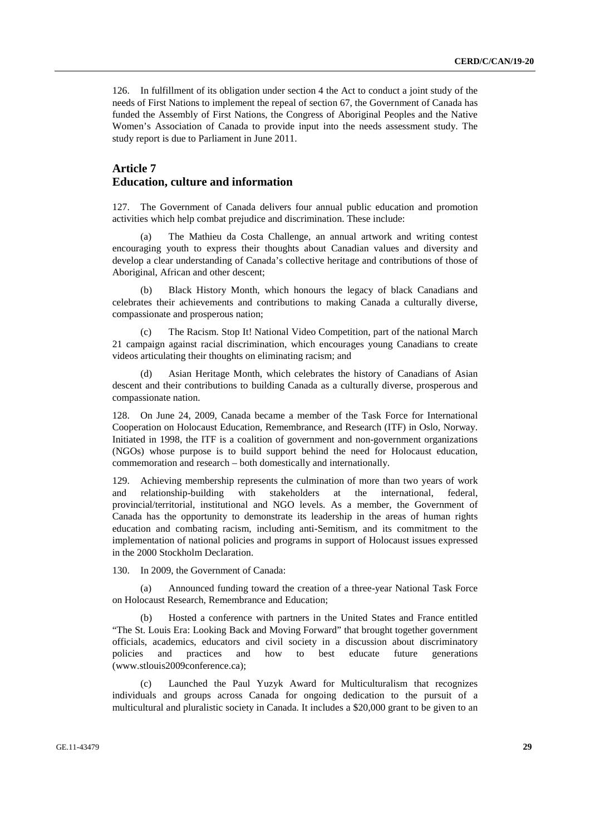126. In fulfillment of its obligation under section 4 the Act to conduct a joint study of the needs of First Nations to implement the repeal of section 67, the Government of Canada has funded the Assembly of First Nations, the Congress of Aboriginal Peoples and the Native Women's Association of Canada to provide input into the needs assessment study. The study report is due to Parliament in June 2011.

## **Article 7 Education, culture and information**

127. The Government of Canada delivers four annual public education and promotion activities which help combat prejudice and discrimination. These include:

 (a) The Mathieu da Costa Challenge, an annual artwork and writing contest encouraging youth to express their thoughts about Canadian values and diversity and develop a clear understanding of Canada's collective heritage and contributions of those of Aboriginal, African and other descent;

 (b) Black History Month, which honours the legacy of black Canadians and celebrates their achievements and contributions to making Canada a culturally diverse, compassionate and prosperous nation;

 (c) The Racism. Stop It! National Video Competition, part of the national March 21 campaign against racial discrimination, which encourages young Canadians to create videos articulating their thoughts on eliminating racism; and

Asian Heritage Month, which celebrates the history of Canadians of Asian descent and their contributions to building Canada as a culturally diverse, prosperous and compassionate nation.

128. On June 24, 2009, Canada became a member of the Task Force for International Cooperation on Holocaust Education, Remembrance, and Research (ITF) in Oslo, Norway. Initiated in 1998, the ITF is a coalition of government and non-government organizations (NGOs) whose purpose is to build support behind the need for Holocaust education, commemoration and research – both domestically and internationally.

129. Achieving membership represents the culmination of more than two years of work and relationship-building with stakeholders at the international, federal, provincial/territorial, institutional and NGO levels. As a member, the Government of Canada has the opportunity to demonstrate its leadership in the areas of human rights education and combating racism, including anti-Semitism, and its commitment to the implementation of national policies and programs in support of Holocaust issues expressed in the 2000 Stockholm Declaration.

130. In 2009, the Government of Canada:

 (a) Announced funding toward the creation of a three-year National Task Force on Holocaust Research, Remembrance and Education;

Hosted a conference with partners in the United States and France entitled "The St. Louis Era: Looking Back and Moving Forward" that brought together government officials, academics, educators and civil society in a discussion about discriminatory policies and practices and how to best educate future generations (www.stlouis2009conference.ca);

 (c) Launched the Paul Yuzyk Award for Multiculturalism that recognizes individuals and groups across Canada for ongoing dedication to the pursuit of a multicultural and pluralistic society in Canada. It includes a \$20,000 grant to be given to an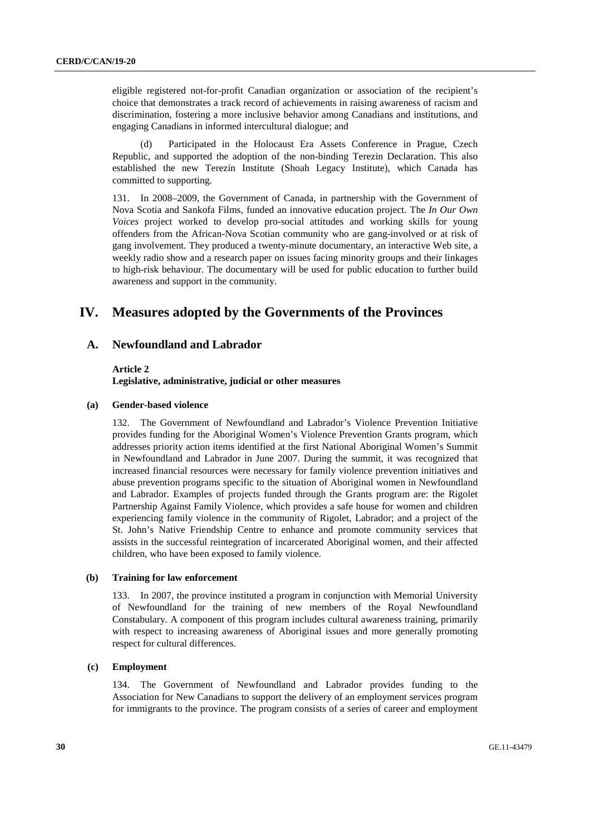eligible registered not-for-profit Canadian organization or association of the recipient's choice that demonstrates a track record of achievements in raising awareness of racism and discrimination, fostering a more inclusive behavior among Canadians and institutions, and engaging Canadians in informed intercultural dialogue; and

Participated in the Holocaust Era Assets Conference in Prague, Czech Republic, and supported the adoption of the non-binding Terezin Declaration. This also established the new Terezin Institute (Shoah Legacy Institute), which Canada has committed to supporting.

131. In 2008–2009, the Government of Canada, in partnership with the Government of Nova Scotia and Sankofa Films, funded an innovative education project. The *In Our Own Voices* project worked to develop pro-social attitudes and working skills for young offenders from the African-Nova Scotian community who are gang-involved or at risk of gang involvement. They produced a twenty-minute documentary, an interactive Web site, a weekly radio show and a research paper on issues facing minority groups and their linkages to high-risk behaviour. The documentary will be used for public education to further build awareness and support in the community.

## **IV. Measures adopted by the Governments of the Provinces**

## **A. Newfoundland and Labrador**

## **Article 2**

**Legislative, administrative, judicial or other measures** 

#### **(a) Gender-based violence**

132. The Government of Newfoundland and Labrador's Violence Prevention Initiative provides funding for the Aboriginal Women's Violence Prevention Grants program, which addresses priority action items identified at the first National Aboriginal Women's Summit in Newfoundland and Labrador in June 2007. During the summit, it was recognized that increased financial resources were necessary for family violence prevention initiatives and abuse prevention programs specific to the situation of Aboriginal women in Newfoundland and Labrador. Examples of projects funded through the Grants program are: the Rigolet Partnership Against Family Violence, which provides a safe house for women and children experiencing family violence in the community of Rigolet, Labrador; and a project of the St. John's Native Friendship Centre to enhance and promote community services that assists in the successful reintegration of incarcerated Aboriginal women, and their affected children, who have been exposed to family violence.

#### **(b) Training for law enforcement**

133. In 2007, the province instituted a program in conjunction with Memorial University of Newfoundland for the training of new members of the Royal Newfoundland Constabulary. A component of this program includes cultural awareness training, primarily with respect to increasing awareness of Aboriginal issues and more generally promoting respect for cultural differences.

### **(c) Employment**

134. The Government of Newfoundland and Labrador provides funding to the Association for New Canadians to support the delivery of an employment services program for immigrants to the province. The program consists of a series of career and employment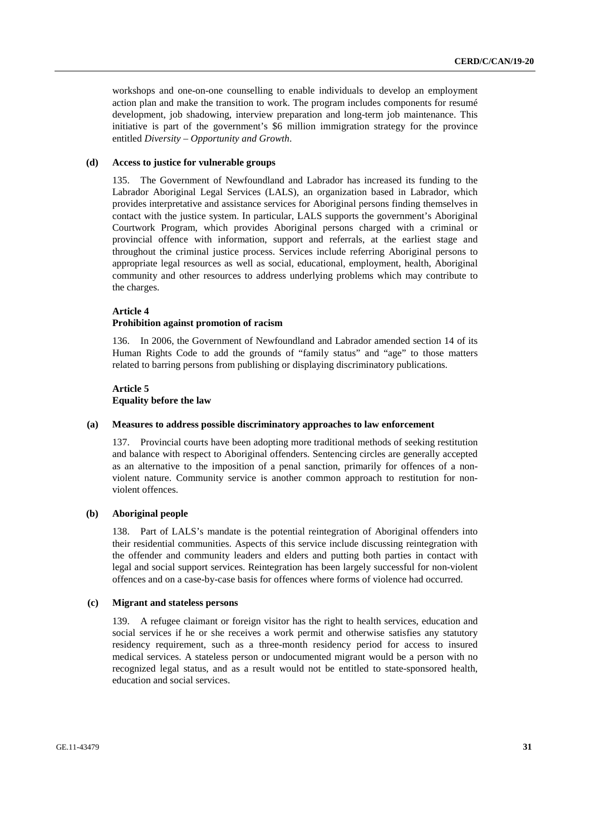workshops and one-on-one counselling to enable individuals to develop an employment action plan and make the transition to work. The program includes components for resumé development, job shadowing, interview preparation and long-term job maintenance. This initiative is part of the government's \$6 million immigration strategy for the province entitled *Diversity – Opportunity and Growth*.

#### **(d) Access to justice for vulnerable groups**

135. The Government of Newfoundland and Labrador has increased its funding to the Labrador Aboriginal Legal Services (LALS), an organization based in Labrador, which provides interpretative and assistance services for Aboriginal persons finding themselves in contact with the justice system. In particular, LALS supports the government's Aboriginal Courtwork Program, which provides Aboriginal persons charged with a criminal or provincial offence with information, support and referrals, at the earliest stage and throughout the criminal justice process. Services include referring Aboriginal persons to appropriate legal resources as well as social, educational, employment, health, Aboriginal community and other resources to address underlying problems which may contribute to the charges.

#### **Article 4**

#### **Prohibition against promotion of racism**

136. In 2006, the Government of Newfoundland and Labrador amended section 14 of its Human Rights Code to add the grounds of "family status" and "age" to those matters related to barring persons from publishing or displaying discriminatory publications.

## **Article 5 Equality before the law**

#### **(a) Measures to address possible discriminatory approaches to law enforcement**

137. Provincial courts have been adopting more traditional methods of seeking restitution and balance with respect to Aboriginal offenders. Sentencing circles are generally accepted as an alternative to the imposition of a penal sanction, primarily for offences of a nonviolent nature. Community service is another common approach to restitution for nonviolent offences.

#### **(b) Aboriginal people**

138. Part of LALS's mandate is the potential reintegration of Aboriginal offenders into their residential communities. Aspects of this service include discussing reintegration with the offender and community leaders and elders and putting both parties in contact with legal and social support services. Reintegration has been largely successful for non-violent offences and on a case-by-case basis for offences where forms of violence had occurred.

#### **(c) Migrant and stateless persons**

139. A refugee claimant or foreign visitor has the right to health services, education and social services if he or she receives a work permit and otherwise satisfies any statutory residency requirement, such as a three-month residency period for access to insured medical services. A stateless person or undocumented migrant would be a person with no recognized legal status, and as a result would not be entitled to state-sponsored health, education and social services.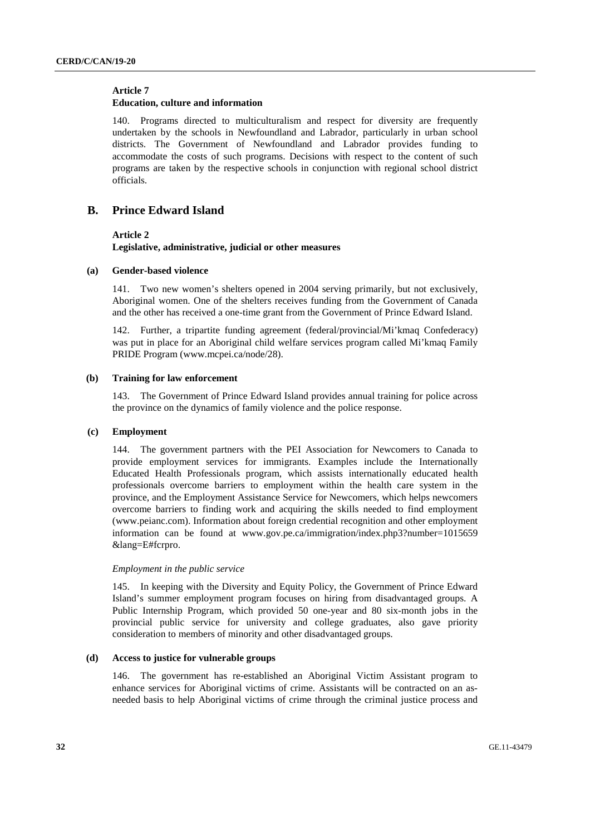#### **Article 7**

### **Education, culture and information**

140. Programs directed to multiculturalism and respect for diversity are frequently undertaken by the schools in Newfoundland and Labrador, particularly in urban school districts. The Government of Newfoundland and Labrador provides funding to accommodate the costs of such programs. Decisions with respect to the content of such programs are taken by the respective schools in conjunction with regional school district officials.

## **B. Prince Edward Island**

### **Article 2**

**Legislative, administrative, judicial or other measures** 

#### **(a) Gender-based violence**

141. Two new women's shelters opened in 2004 serving primarily, but not exclusively, Aboriginal women. One of the shelters receives funding from the Government of Canada and the other has received a one-time grant from the Government of Prince Edward Island.

142. Further, a tripartite funding agreement (federal/provincial/Mi'kmaq Confederacy) was put in place for an Aboriginal child welfare services program called Mi'kmaq Family PRIDE Program (www.mcpei.ca/node/28).

#### **(b) Training for law enforcement**

143. The Government of Prince Edward Island provides annual training for police across the province on the dynamics of family violence and the police response.

#### **(c) Employment**

144. The government partners with the PEI Association for Newcomers to Canada to provide employment services for immigrants. Examples include the Internationally Educated Health Professionals program, which assists internationally educated health professionals overcome barriers to employment within the health care system in the province, and the Employment Assistance Service for Newcomers, which helps newcomers overcome barriers to finding work and acquiring the skills needed to find employment (www.peianc.com). Information about foreign credential recognition and other employment information can be found at www.gov.pe.ca/immigration/index.php3?number=1015659 &lang=E#fcrpro.

#### *Employment in the public service*

145. In keeping with the Diversity and Equity Policy, the Government of Prince Edward Island's summer employment program focuses on hiring from disadvantaged groups. A Public Internship Program, which provided 50 one-year and 80 six-month jobs in the provincial public service for university and college graduates, also gave priority consideration to members of minority and other disadvantaged groups.

### **(d) Access to justice for vulnerable groups**

146. The government has re-established an Aboriginal Victim Assistant program to enhance services for Aboriginal victims of crime. Assistants will be contracted on an asneeded basis to help Aboriginal victims of crime through the criminal justice process and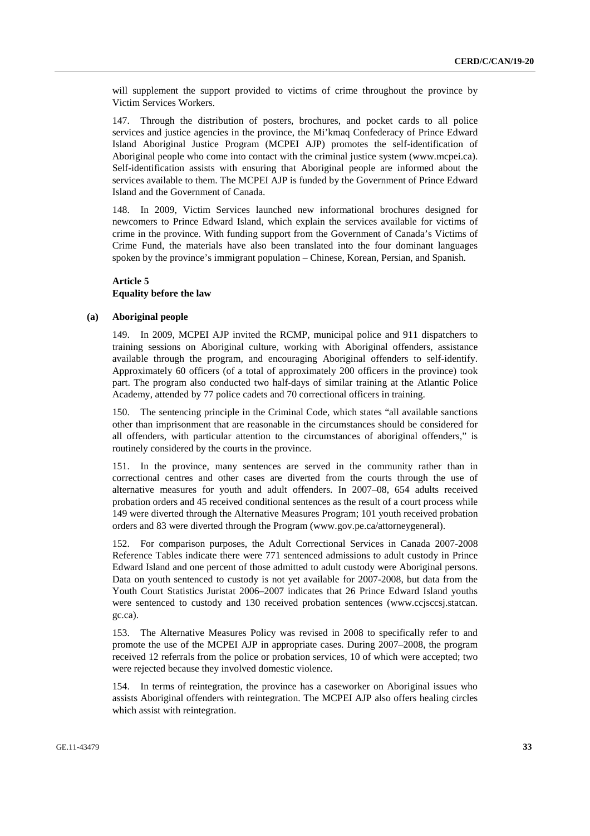will supplement the support provided to victims of crime throughout the province by Victim Services Workers.

147. Through the distribution of posters, brochures, and pocket cards to all police services and justice agencies in the province, the Mi'kmaq Confederacy of Prince Edward Island Aboriginal Justice Program (MCPEI AJP) promotes the self-identification of Aboriginal people who come into contact with the criminal justice system (www.mcpei.ca). Self-identification assists with ensuring that Aboriginal people are informed about the services available to them. The MCPEI AJP is funded by the Government of Prince Edward Island and the Government of Canada.

148. In 2009, Victim Services launched new informational brochures designed for newcomers to Prince Edward Island, which explain the services available for victims of crime in the province. With funding support from the Government of Canada's Victims of Crime Fund, the materials have also been translated into the four dominant languages spoken by the province's immigrant population – Chinese, Korean, Persian, and Spanish.

## **Article 5 Equality before the law**

#### **(a) Aboriginal people**

149. In 2009, MCPEI AJP invited the RCMP, municipal police and 911 dispatchers to training sessions on Aboriginal culture, working with Aboriginal offenders, assistance available through the program, and encouraging Aboriginal offenders to self-identify. Approximately 60 officers (of a total of approximately 200 officers in the province) took part. The program also conducted two half-days of similar training at the Atlantic Police Academy, attended by 77 police cadets and 70 correctional officers in training.

The sentencing principle in the Criminal Code, which states "all available sanctions" other than imprisonment that are reasonable in the circumstances should be considered for all offenders, with particular attention to the circumstances of aboriginal offenders," is routinely considered by the courts in the province.

151. In the province, many sentences are served in the community rather than in correctional centres and other cases are diverted from the courts through the use of alternative measures for youth and adult offenders. In 2007–08, 654 adults received probation orders and 45 received conditional sentences as the result of a court process while 149 were diverted through the Alternative Measures Program; 101 youth received probation orders and 83 were diverted through the Program (www.gov.pe.ca/attorneygeneral).

152. For comparison purposes, the Adult Correctional Services in Canada 2007-2008 Reference Tables indicate there were 771 sentenced admissions to adult custody in Prince Edward Island and one percent of those admitted to adult custody were Aboriginal persons. Data on youth sentenced to custody is not yet available for 2007-2008, but data from the Youth Court Statistics Juristat 2006–2007 indicates that 26 Prince Edward Island youths were sentenced to custody and 130 received probation sentences (www.ccjsccsj.statcan. gc.ca).

153. The Alternative Measures Policy was revised in 2008 to specifically refer to and promote the use of the MCPEI AJP in appropriate cases. During 2007–2008, the program received 12 referrals from the police or probation services, 10 of which were accepted; two were rejected because they involved domestic violence.

154. In terms of reintegration, the province has a caseworker on Aboriginal issues who assists Aboriginal offenders with reintegration. The MCPEI AJP also offers healing circles which assist with reintegration.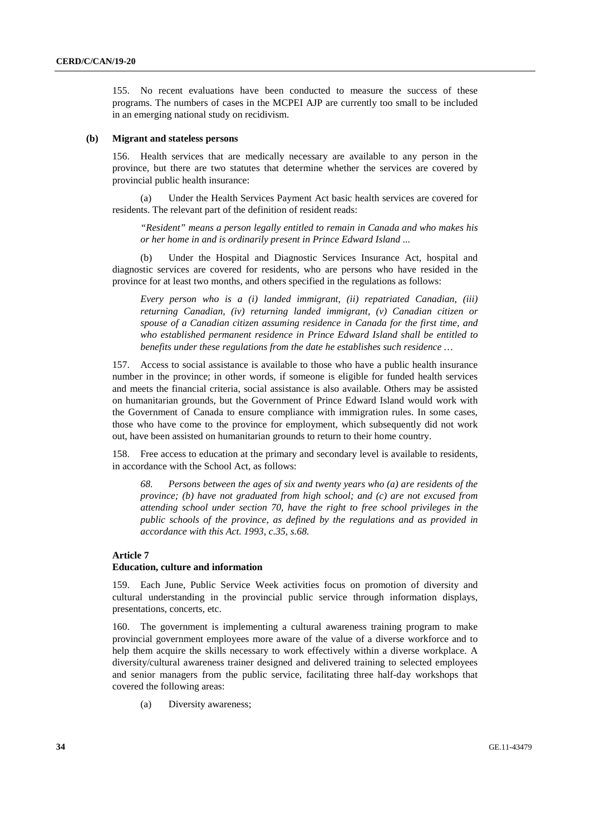155. No recent evaluations have been conducted to measure the success of these programs. The numbers of cases in the MCPEI AJP are currently too small to be included in an emerging national study on recidivism.

#### **(b) Migrant and stateless persons**

156. Health services that are medically necessary are available to any person in the province, but there are two statutes that determine whether the services are covered by provincial public health insurance:

Under the Health Services Payment Act basic health services are covered for residents. The relevant part of the definition of resident reads:

 *"Resident" means a person legally entitled to remain in Canada and who makes his or her home in and is ordinarily present in Prince Edward Island ...* 

 (b) Under the Hospital and Diagnostic Services Insurance Act, hospital and diagnostic services are covered for residents, who are persons who have resided in the province for at least two months, and others specified in the regulations as follows:

 *Every person who is a (i) landed immigrant, (ii) repatriated Canadian, (iii) returning Canadian, (iv) returning landed immigrant, (v) Canadian citizen or spouse of a Canadian citizen assuming residence in Canada for the first time, and who established permanent residence in Prince Edward Island shall be entitled to benefits under these regulations from the date he establishes such residence …* 

157. Access to social assistance is available to those who have a public health insurance number in the province; in other words, if someone is eligible for funded health services and meets the financial criteria, social assistance is also available. Others may be assisted on humanitarian grounds, but the Government of Prince Edward Island would work with the Government of Canada to ensure compliance with immigration rules. In some cases, those who have come to the province for employment, which subsequently did not work out, have been assisted on humanitarian grounds to return to their home country.

158. Free access to education at the primary and secondary level is available to residents, in accordance with the School Act, as follows:

 *68. Persons between the ages of six and twenty years who (a) are residents of the province; (b) have not graduated from high school; and (c) are not excused from attending school under section 70, have the right to free school privileges in the public schools of the province, as defined by the regulations and as provided in accordance with this Act. 1993, c.35, s.68.* 

#### **Article 7**

#### **Education, culture and information**

159. Each June, Public Service Week activities focus on promotion of diversity and cultural understanding in the provincial public service through information displays, presentations, concerts, etc.

160. The government is implementing a cultural awareness training program to make provincial government employees more aware of the value of a diverse workforce and to help them acquire the skills necessary to work effectively within a diverse workplace. A diversity/cultural awareness trainer designed and delivered training to selected employees and senior managers from the public service, facilitating three half-day workshops that covered the following areas:

(a) Diversity awareness;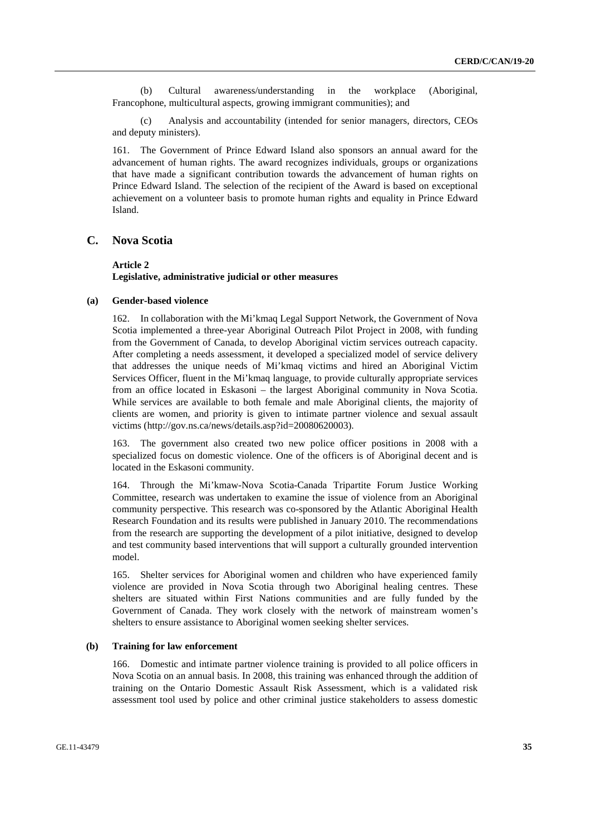(b) Cultural awareness/understanding in the workplace (Aboriginal, Francophone, multicultural aspects, growing immigrant communities); and

Analysis and accountability (intended for senior managers, directors, CEOs and deputy ministers).

161. The Government of Prince Edward Island also sponsors an annual award for the advancement of human rights. The award recognizes individuals, groups or organizations that have made a significant contribution towards the advancement of human rights on Prince Edward Island. The selection of the recipient of the Award is based on exceptional achievement on a volunteer basis to promote human rights and equality in Prince Edward Island.

## **C. Nova Scotia**

#### **Article 2**

### **Legislative, administrative judicial or other measures**

#### **(a) Gender-based violence**

162. In collaboration with the Mi'kmaq Legal Support Network, the Government of Nova Scotia implemented a three-year Aboriginal Outreach Pilot Project in 2008, with funding from the Government of Canada, to develop Aboriginal victim services outreach capacity. After completing a needs assessment, it developed a specialized model of service delivery that addresses the unique needs of Mi'kmaq victims and hired an Aboriginal Victim Services Officer, fluent in the Mi'kmaq language, to provide culturally appropriate services from an office located in Eskasoni – the largest Aboriginal community in Nova Scotia. While services are available to both female and male Aboriginal clients, the majority of clients are women, and priority is given to intimate partner violence and sexual assault victims (http://gov.ns.ca/news/details.asp?id=20080620003).

163. The government also created two new police officer positions in 2008 with a specialized focus on domestic violence. One of the officers is of Aboriginal decent and is located in the Eskasoni community.

164. Through the Mi'kmaw-Nova Scotia-Canada Tripartite Forum Justice Working Committee, research was undertaken to examine the issue of violence from an Aboriginal community perspective. This research was co-sponsored by the Atlantic Aboriginal Health Research Foundation and its results were published in January 2010. The recommendations from the research are supporting the development of a pilot initiative, designed to develop and test community based interventions that will support a culturally grounded intervention model.

165. Shelter services for Aboriginal women and children who have experienced family violence are provided in Nova Scotia through two Aboriginal healing centres. These shelters are situated within First Nations communities and are fully funded by the Government of Canada. They work closely with the network of mainstream women's shelters to ensure assistance to Aboriginal women seeking shelter services.

#### **(b) Training for law enforcement**

166. Domestic and intimate partner violence training is provided to all police officers in Nova Scotia on an annual basis. In 2008, this training was enhanced through the addition of training on the Ontario Domestic Assault Risk Assessment, which is a validated risk assessment tool used by police and other criminal justice stakeholders to assess domestic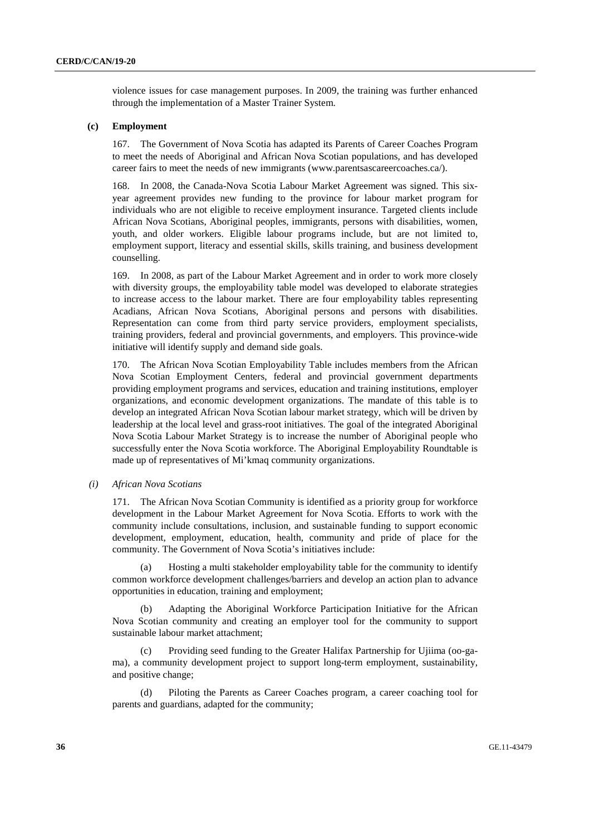violence issues for case management purposes. In 2009, the training was further enhanced through the implementation of a Master Trainer System.

### **(c) Employment**

167. The Government of Nova Scotia has adapted its Parents of Career Coaches Program to meet the needs of Aboriginal and African Nova Scotian populations, and has developed career fairs to meet the needs of new immigrants (www.parentsascareercoaches.ca/).

168. In 2008, the Canada-Nova Scotia Labour Market Agreement was signed. This sixyear agreement provides new funding to the province for labour market program for individuals who are not eligible to receive employment insurance. Targeted clients include African Nova Scotians, Aboriginal peoples, immigrants, persons with disabilities, women, youth, and older workers. Eligible labour programs include, but are not limited to, employment support, literacy and essential skills, skills training, and business development counselling.

169. In 2008, as part of the Labour Market Agreement and in order to work more closely with diversity groups, the employability table model was developed to elaborate strategies to increase access to the labour market. There are four employability tables representing Acadians, African Nova Scotians, Aboriginal persons and persons with disabilities. Representation can come from third party service providers, employment specialists, training providers, federal and provincial governments, and employers. This province-wide initiative will identify supply and demand side goals.

170. The African Nova Scotian Employability Table includes members from the African Nova Scotian Employment Centers, federal and provincial government departments providing employment programs and services, education and training institutions, employer organizations, and economic development organizations. The mandate of this table is to develop an integrated African Nova Scotian labour market strategy, which will be driven by leadership at the local level and grass-root initiatives. The goal of the integrated Aboriginal Nova Scotia Labour Market Strategy is to increase the number of Aboriginal people who successfully enter the Nova Scotia workforce. The Aboriginal Employability Roundtable is made up of representatives of Mi'kmaq community organizations.

#### *(i) African Nova Scotians*

171. The African Nova Scotian Community is identified as a priority group for workforce development in the Labour Market Agreement for Nova Scotia. Efforts to work with the community include consultations, inclusion, and sustainable funding to support economic development, employment, education, health, community and pride of place for the community. The Government of Nova Scotia's initiatives include:

 (a) Hosting a multi stakeholder employability table for the community to identify common workforce development challenges/barriers and develop an action plan to advance opportunities in education, training and employment;

 (b) Adapting the Aboriginal Workforce Participation Initiative for the African Nova Scotian community and creating an employer tool for the community to support sustainable labour market attachment;

 (c) Providing seed funding to the Greater Halifax Partnership for Ujiima (oo-gama), a community development project to support long-term employment, sustainability, and positive change;

 (d) Piloting the Parents as Career Coaches program, a career coaching tool for parents and guardians, adapted for the community;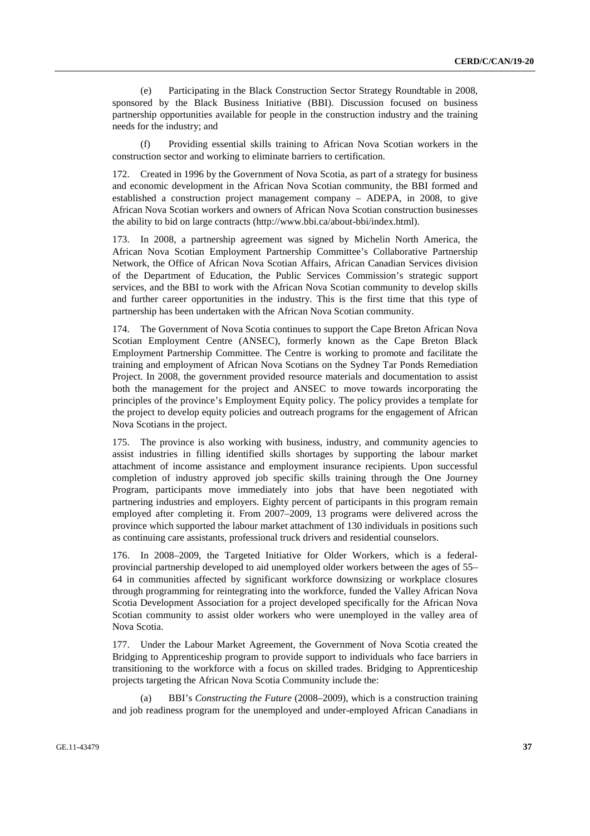(e) Participating in the Black Construction Sector Strategy Roundtable in 2008, sponsored by the Black Business Initiative (BBI). Discussion focused on business partnership opportunities available for people in the construction industry and the training needs for the industry; and

 (f) Providing essential skills training to African Nova Scotian workers in the construction sector and working to eliminate barriers to certification.

172. Created in 1996 by the Government of Nova Scotia, as part of a strategy for business and economic development in the African Nova Scotian community, the BBI formed and established a construction project management company – ADEPA, in 2008, to give African Nova Scotian workers and owners of African Nova Scotian construction businesses the ability to bid on large contracts (http://www.bbi.ca/about-bbi/index.html).

173. In 2008, a partnership agreement was signed by Michelin North America, the African Nova Scotian Employment Partnership Committee's Collaborative Partnership Network, the Office of African Nova Scotian Affairs, African Canadian Services division of the Department of Education, the Public Services Commission's strategic support services, and the BBI to work with the African Nova Scotian community to develop skills and further career opportunities in the industry. This is the first time that this type of partnership has been undertaken with the African Nova Scotian community.

174. The Government of Nova Scotia continues to support the Cape Breton African Nova Scotian Employment Centre (ANSEC), formerly known as the Cape Breton Black Employment Partnership Committee. The Centre is working to promote and facilitate the training and employment of African Nova Scotians on the Sydney Tar Ponds Remediation Project. In 2008, the government provided resource materials and documentation to assist both the management for the project and ANSEC to move towards incorporating the principles of the province's Employment Equity policy. The policy provides a template for the project to develop equity policies and outreach programs for the engagement of African Nova Scotians in the project.

175. The province is also working with business, industry, and community agencies to assist industries in filling identified skills shortages by supporting the labour market attachment of income assistance and employment insurance recipients. Upon successful completion of industry approved job specific skills training through the One Journey Program, participants move immediately into jobs that have been negotiated with partnering industries and employers. Eighty percent of participants in this program remain employed after completing it. From 2007–2009, 13 programs were delivered across the province which supported the labour market attachment of 130 individuals in positions such as continuing care assistants, professional truck drivers and residential counselors.

176. In 2008–2009, the Targeted Initiative for Older Workers, which is a federalprovincial partnership developed to aid unemployed older workers between the ages of 55– 64 in communities affected by significant workforce downsizing or workplace closures through programming for reintegrating into the workforce, funded the Valley African Nova Scotia Development Association for a project developed specifically for the African Nova Scotian community to assist older workers who were unemployed in the valley area of Nova Scotia.

177. Under the Labour Market Agreement, the Government of Nova Scotia created the Bridging to Apprenticeship program to provide support to individuals who face barriers in transitioning to the workforce with a focus on skilled trades. Bridging to Apprenticeship projects targeting the African Nova Scotia Community include the:

 (a) BBI's *Constructing the Future* (2008–2009), which is a construction training and job readiness program for the unemployed and under-employed African Canadians in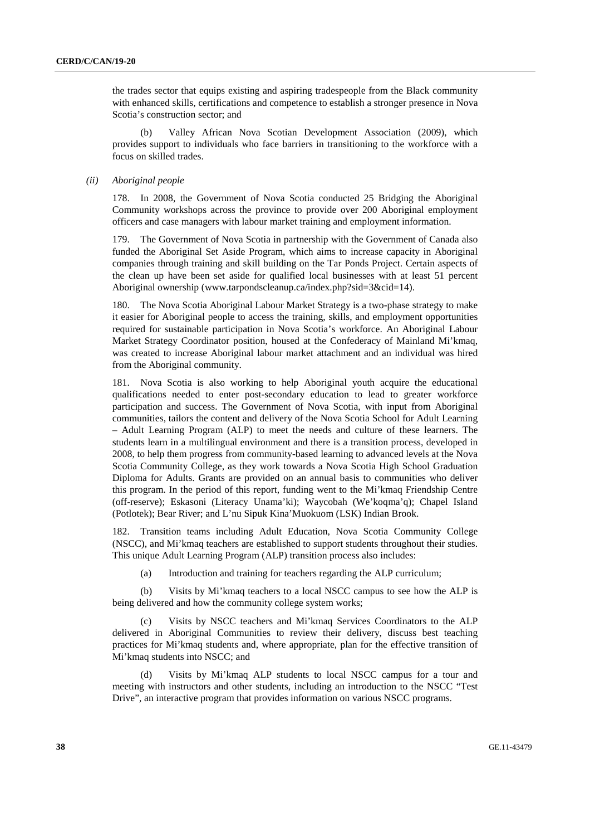the trades sector that equips existing and aspiring tradespeople from the Black community with enhanced skills, certifications and competence to establish a stronger presence in Nova Scotia's construction sector; and

 (b) Valley African Nova Scotian Development Association (2009), which provides support to individuals who face barriers in transitioning to the workforce with a focus on skilled trades.

### *(ii) Aboriginal people*

178. In 2008, the Government of Nova Scotia conducted 25 Bridging the Aboriginal Community workshops across the province to provide over 200 Aboriginal employment officers and case managers with labour market training and employment information.

179. The Government of Nova Scotia in partnership with the Government of Canada also funded the Aboriginal Set Aside Program, which aims to increase capacity in Aboriginal companies through training and skill building on the Tar Ponds Project. Certain aspects of the clean up have been set aside for qualified local businesses with at least 51 percent Aboriginal ownership (www.tarpondscleanup.ca/index.php?sid=3&cid=14).

180. The Nova Scotia Aboriginal Labour Market Strategy is a two-phase strategy to make it easier for Aboriginal people to access the training, skills, and employment opportunities required for sustainable participation in Nova Scotia's workforce. An Aboriginal Labour Market Strategy Coordinator position, housed at the Confederacy of Mainland Mi'kmaq, was created to increase Aboriginal labour market attachment and an individual was hired from the Aboriginal community.

181. Nova Scotia is also working to help Aboriginal youth acquire the educational qualifications needed to enter post-secondary education to lead to greater workforce participation and success. The Government of Nova Scotia, with input from Aboriginal communities, tailors the content and delivery of the Nova Scotia School for Adult Learning – Adult Learning Program (ALP) to meet the needs and culture of these learners. The students learn in a multilingual environment and there is a transition process, developed in 2008, to help them progress from community-based learning to advanced levels at the Nova Scotia Community College, as they work towards a Nova Scotia High School Graduation Diploma for Adults. Grants are provided on an annual basis to communities who deliver this program. In the period of this report, funding went to the Mi'kmaq Friendship Centre (off-reserve); Eskasoni (Literacy Unama'ki); Waycobah (We'koqma'q); Chapel Island (Potlotek); Bear River; and L'nu Sipuk Kina'Muokuom (LSK) Indian Brook.

182. Transition teams including Adult Education, Nova Scotia Community College (NSCC), and Mi'kmaq teachers are established to support students throughout their studies. This unique Adult Learning Program (ALP) transition process also includes:

(a) Introduction and training for teachers regarding the ALP curriculum;

 (b) Visits by Mi'kmaq teachers to a local NSCC campus to see how the ALP is being delivered and how the community college system works;

Visits by NSCC teachers and Mi'kmaq Services Coordinators to the ALP delivered in Aboriginal Communities to review their delivery, discuss best teaching practices for Mi'kmaq students and, where appropriate, plan for the effective transition of Mi'kmaq students into NSCC; and

 (d) Visits by Mi'kmaq ALP students to local NSCC campus for a tour and meeting with instructors and other students, including an introduction to the NSCC "Test Drive", an interactive program that provides information on various NSCC programs.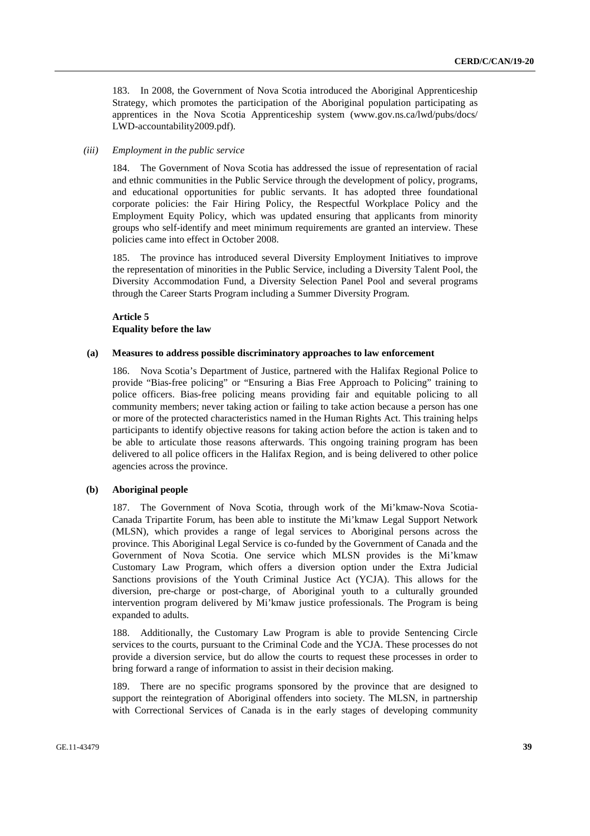183. In 2008, the Government of Nova Scotia introduced the Aboriginal Apprenticeship Strategy, which promotes the participation of the Aboriginal population participating as apprentices in the Nova Scotia Apprenticeship system (www.gov.ns.ca/lwd/pubs/docs/ LWD-accountability2009.pdf).

### *(iii) Employment in the public service*

184. The Government of Nova Scotia has addressed the issue of representation of racial and ethnic communities in the Public Service through the development of policy, programs, and educational opportunities for public servants. It has adopted three foundational corporate policies: the Fair Hiring Policy, the Respectful Workplace Policy and the Employment Equity Policy, which was updated ensuring that applicants from minority groups who self-identify and meet minimum requirements are granted an interview. These policies came into effect in October 2008.

185. The province has introduced several Diversity Employment Initiatives to improve the representation of minorities in the Public Service, including a Diversity Talent Pool, the Diversity Accommodation Fund, a Diversity Selection Panel Pool and several programs through the Career Starts Program including a Summer Diversity Program.

### **Article 5 Equality before the law**

### **(a) Measures to address possible discriminatory approaches to law enforcement**

186. Nova Scotia's Department of Justice, partnered with the Halifax Regional Police to provide "Bias-free policing" or "Ensuring a Bias Free Approach to Policing" training to police officers. Bias-free policing means providing fair and equitable policing to all community members; never taking action or failing to take action because a person has one or more of the protected characteristics named in the Human Rights Act. This training helps participants to identify objective reasons for taking action before the action is taken and to be able to articulate those reasons afterwards. This ongoing training program has been delivered to all police officers in the Halifax Region, and is being delivered to other police agencies across the province.

### **(b) Aboriginal people**

187. The Government of Nova Scotia, through work of the Mi'kmaw-Nova Scotia-Canada Tripartite Forum, has been able to institute the Mi'kmaw Legal Support Network (MLSN), which provides a range of legal services to Aboriginal persons across the province. This Aboriginal Legal Service is co-funded by the Government of Canada and the Government of Nova Scotia. One service which MLSN provides is the Mi'kmaw Customary Law Program, which offers a diversion option under the Extra Judicial Sanctions provisions of the Youth Criminal Justice Act (YCJA). This allows for the diversion, pre-charge or post-charge, of Aboriginal youth to a culturally grounded intervention program delivered by Mi'kmaw justice professionals. The Program is being expanded to adults.

188. Additionally, the Customary Law Program is able to provide Sentencing Circle services to the courts, pursuant to the Criminal Code and the YCJA. These processes do not provide a diversion service, but do allow the courts to request these processes in order to bring forward a range of information to assist in their decision making.

189. There are no specific programs sponsored by the province that are designed to support the reintegration of Aboriginal offenders into society. The MLSN, in partnership with Correctional Services of Canada is in the early stages of developing community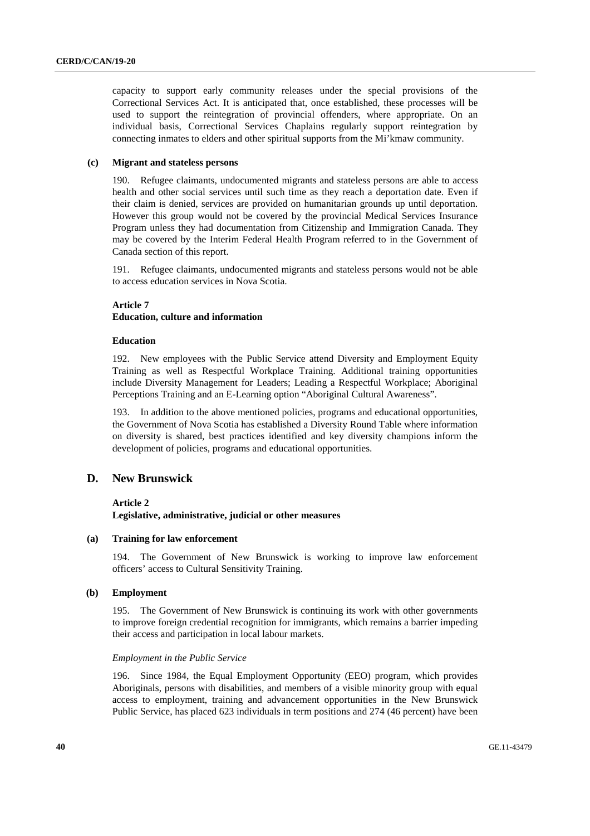capacity to support early community releases under the special provisions of the Correctional Services Act. It is anticipated that, once established, these processes will be used to support the reintegration of provincial offenders, where appropriate. On an individual basis, Correctional Services Chaplains regularly support reintegration by connecting inmates to elders and other spiritual supports from the Mi'kmaw community.

### **(c) Migrant and stateless persons**

190. Refugee claimants, undocumented migrants and stateless persons are able to access health and other social services until such time as they reach a deportation date. Even if their claim is denied, services are provided on humanitarian grounds up until deportation. However this group would not be covered by the provincial Medical Services Insurance Program unless they had documentation from Citizenship and Immigration Canada. They may be covered by the Interim Federal Health Program referred to in the Government of Canada section of this report.

191. Refugee claimants, undocumented migrants and stateless persons would not be able to access education services in Nova Scotia.

### **Article 7**

### **Education, culture and information**

### **Education**

192. New employees with the Public Service attend Diversity and Employment Equity Training as well as Respectful Workplace Training. Additional training opportunities include Diversity Management for Leaders; Leading a Respectful Workplace; Aboriginal Perceptions Training and an E-Learning option "Aboriginal Cultural Awareness".

193. In addition to the above mentioned policies, programs and educational opportunities, the Government of Nova Scotia has established a Diversity Round Table where information on diversity is shared, best practices identified and key diversity champions inform the development of policies, programs and educational opportunities.

# **D. New Brunswick**

#### **Article 2**

**Legislative, administrative, judicial or other measures** 

### **(a) Training for law enforcement**

194. The Government of New Brunswick is working to improve law enforcement officers' access to Cultural Sensitivity Training.

#### **(b) Employment**

195. The Government of New Brunswick is continuing its work with other governments to improve foreign credential recognition for immigrants, which remains a barrier impeding their access and participation in local labour markets.

### *Employment in the Public Service*

196. Since 1984, the Equal Employment Opportunity (EEO) program, which provides Aboriginals, persons with disabilities, and members of a visible minority group with equal access to employment, training and advancement opportunities in the New Brunswick Public Service, has placed 623 individuals in term positions and 274 (46 percent) have been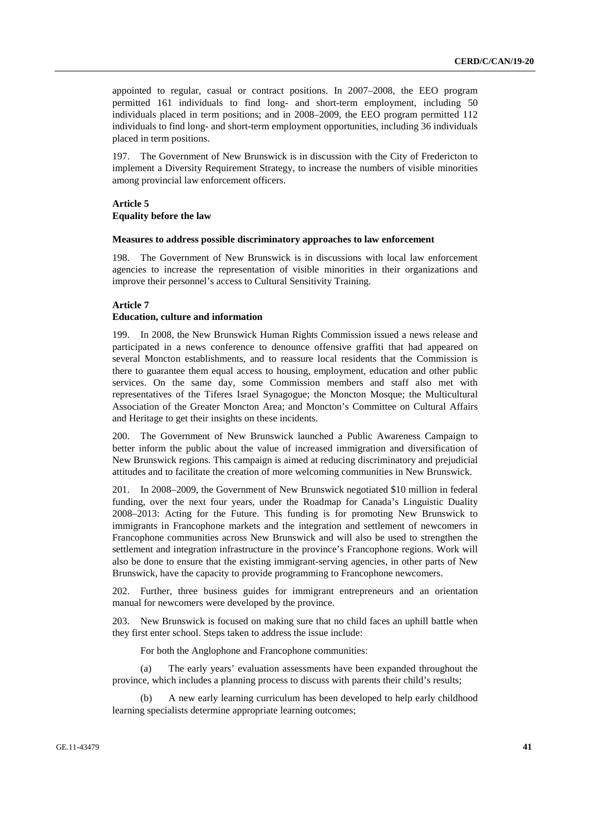appointed to regular, casual or contract positions. In 2007–2008, the EEO program permitted 161 individuals to find long- and short-term employment, including 50 individuals placed in term positions; and in 2008–2009, the EEO program permitted 112 individuals to find long- and short-term employment opportunities, including 36 individuals placed in term positions.

197. The Government of New Brunswick is in discussion with the City of Fredericton to implement a Diversity Requirement Strategy, to increase the numbers of visible minorities among provincial law enforcement officers.

### **Article 5 Equality before the law**

#### **Measures to address possible discriminatory approaches to law enforcement**

198. The Government of New Brunswick is in discussions with local law enforcement agencies to increase the representation of visible minorities in their organizations and improve their personnel's access to Cultural Sensitivity Training.

### **Article 7**

#### **Education, culture and information**

199. In 2008, the New Brunswick Human Rights Commission issued a news release and participated in a news conference to denounce offensive graffiti that had appeared on several Moncton establishments, and to reassure local residents that the Commission is there to guarantee them equal access to housing, employment, education and other public services. On the same day, some Commission members and staff also met with representatives of the Tiferes Israel Synagogue; the Moncton Mosque; the Multicultural Association of the Greater Moncton Area; and Moncton's Committee on Cultural Affairs and Heritage to get their insights on these incidents.

200. The Government of New Brunswick launched a Public Awareness Campaign to better inform the public about the value of increased immigration and diversification of New Brunswick regions. This campaign is aimed at reducing discriminatory and prejudicial attitudes and to facilitate the creation of more welcoming communities in New Brunswick.

201. In 2008–2009, the Government of New Brunswick negotiated \$10 million in federal funding, over the next four years, under the Roadmap for Canada's Linguistic Duality 2008–2013: Acting for the Future. This funding is for promoting New Brunswick to immigrants in Francophone markets and the integration and settlement of newcomers in Francophone communities across New Brunswick and will also be used to strengthen the settlement and integration infrastructure in the province's Francophone regions. Work will also be done to ensure that the existing immigrant-serving agencies, in other parts of New Brunswick, have the capacity to provide programming to Francophone newcomers.

202. Further, three business guides for immigrant entrepreneurs and an orientation manual for newcomers were developed by the province.

203. New Brunswick is focused on making sure that no child faces an uphill battle when they first enter school. Steps taken to address the issue include:

For both the Anglophone and Francophone communities:

 (a) The early years' evaluation assessments have been expanded throughout the province, which includes a planning process to discuss with parents their child's results;

A new early learning curriculum has been developed to help early childhood learning specialists determine appropriate learning outcomes;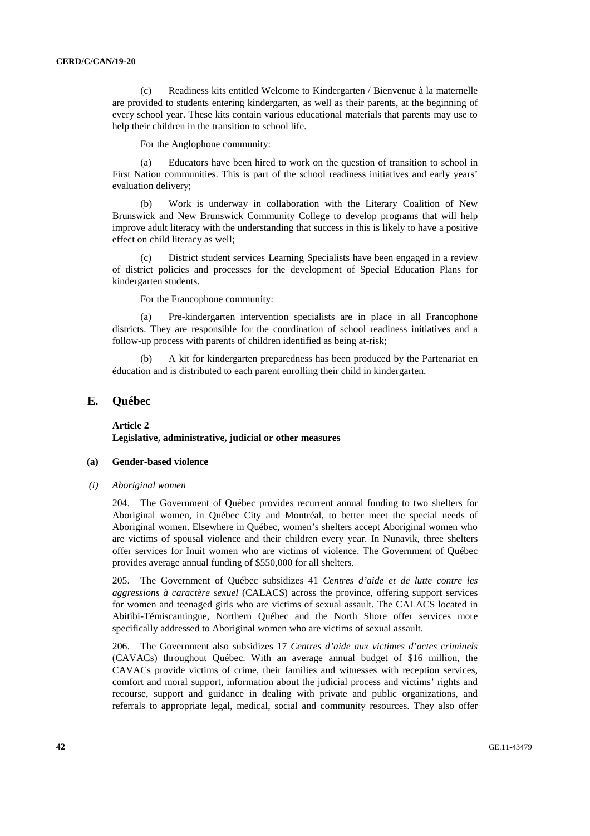(c) Readiness kits entitled Welcome to Kindergarten / Bienvenue à la maternelle are provided to students entering kindergarten, as well as their parents, at the beginning of every school year. These kits contain various educational materials that parents may use to help their children in the transition to school life.

For the Anglophone community:

 (a) Educators have been hired to work on the question of transition to school in First Nation communities. This is part of the school readiness initiatives and early years' evaluation delivery;

 (b) Work is underway in collaboration with the Literary Coalition of New Brunswick and New Brunswick Community College to develop programs that will help improve adult literacy with the understanding that success in this is likely to have a positive effect on child literacy as well;

 (c) District student services Learning Specialists have been engaged in a review of district policies and processes for the development of Special Education Plans for kindergarten students.

For the Francophone community:

 (a) Pre-kindergarten intervention specialists are in place in all Francophone districts. They are responsible for the coordination of school readiness initiatives and a follow-up process with parents of children identified as being at-risk;

A kit for kindergarten preparedness has been produced by the Partenariat en éducation and is distributed to each parent enrolling their child in kindergarten.

# **E. Québec**

 **Article 2 Legislative, administrative, judicial or other measures** 

#### **(a) Gender-based violence**

 *(i) Aboriginal women* 

204. The Government of Québec provides recurrent annual funding to two shelters for Aboriginal women, in Québec City and Montréal, to better meet the special needs of Aboriginal women. Elsewhere in Québec, women's shelters accept Aboriginal women who are victims of spousal violence and their children every year. In Nunavik, three shelters offer services for Inuit women who are victims of violence. The Government of Québec provides average annual funding of \$550,000 for all shelters.

205. The Government of Québec subsidizes 41 *Centres d'aide et de lutte contre les aggressions à caractère sexuel* (CALACS) across the province, offering support services for women and teenaged girls who are victims of sexual assault. The CALACS located in Abitibi-Témiscamingue, Northern Québec and the North Shore offer services more specifically addressed to Aboriginal women who are victims of sexual assault.

206. The Government also subsidizes 17 *Centres d'aide aux victimes d'actes criminels* (CAVACs) throughout Québec. With an average annual budget of \$16 million, the CAVACs provide victims of crime, their families and witnesses with reception services, comfort and moral support, information about the judicial process and victims' rights and recourse, support and guidance in dealing with private and public organizations, and referrals to appropriate legal, medical, social and community resources. They also offer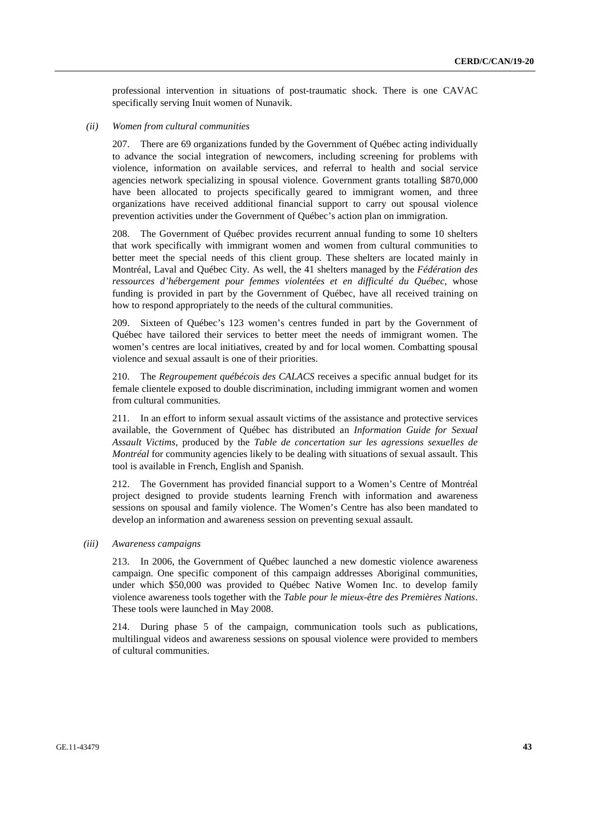professional intervention in situations of post-traumatic shock. There is one CAVAC specifically serving Inuit women of Nunavik.

### *(ii) Women from cultural communities*

207. There are 69 organizations funded by the Government of Québec acting individually to advance the social integration of newcomers, including screening for problems with violence, information on available services, and referral to health and social service agencies network specializing in spousal violence. Government grants totalling \$870,000 have been allocated to projects specifically geared to immigrant women, and three organizations have received additional financial support to carry out spousal violence prevention activities under the Government of Québec's action plan on immigration.

208. The Government of Québec provides recurrent annual funding to some 10 shelters that work specifically with immigrant women and women from cultural communities to better meet the special needs of this client group. These shelters are located mainly in Montréal, Laval and Québec City. As well, the 41 shelters managed by the *Fédération des ressources d'hébergement pour femmes violentées et en difficulté du Québec*, whose funding is provided in part by the Government of Québec, have all received training on how to respond appropriately to the needs of the cultural communities.

209. Sixteen of Québec's 123 women's centres funded in part by the Government of Québec have tailored their services to better meet the needs of immigrant women. The women's centres are local initiatives, created by and for local women. Combatting spousal violence and sexual assault is one of their priorities.

210. The *Regroupement québécois des CALACS* receives a specific annual budget for its female clientele exposed to double discrimination, including immigrant women and women from cultural communities.

211. In an effort to inform sexual assault victims of the assistance and protective services available, the Government of Québec has distributed an *Information Guide for Sexual Assault Victims*, produced by the *Table de concertation sur les agressions sexuelles de Montréal* for community agencies likely to be dealing with situations of sexual assault. This tool is available in French, English and Spanish.

212. The Government has provided financial support to a Women's Centre of Montréal project designed to provide students learning French with information and awareness sessions on spousal and family violence. The Women's Centre has also been mandated to develop an information and awareness session on preventing sexual assault.

### *(iii) Awareness campaigns*

213. In 2006, the Government of Québec launched a new domestic violence awareness campaign. One specific component of this campaign addresses Aboriginal communities, under which \$50,000 was provided to Québec Native Women Inc. to develop family violence awareness tools together with the *Table pour le mieux-être des Premières Nations*. These tools were launched in May 2008.

214. During phase 5 of the campaign, communication tools such as publications, multilingual videos and awareness sessions on spousal violence were provided to members of cultural communities.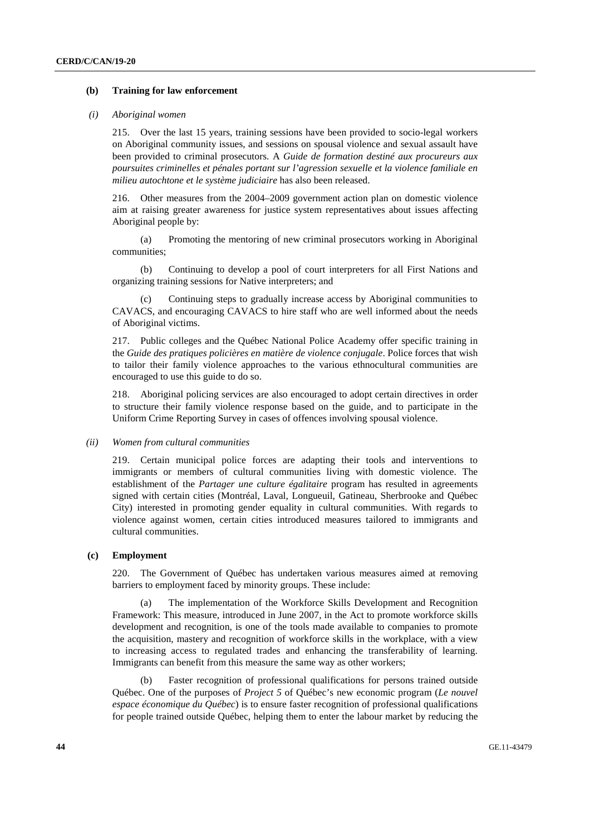### **(b) Training for law enforcement**

#### *(i) Aboriginal women*

215. Over the last 15 years, training sessions have been provided to socio-legal workers on Aboriginal community issues, and sessions on spousal violence and sexual assault have been provided to criminal prosecutors. A *Guide de formation destiné aux procureurs aux poursuites criminelles et pénales portant sur l'agression sexuelle et la violence familiale en milieu autochtone et le système judiciaire* has also been released.

216. Other measures from the 2004–2009 government action plan on domestic violence aim at raising greater awareness for justice system representatives about issues affecting Aboriginal people by:

 (a) Promoting the mentoring of new criminal prosecutors working in Aboriginal communities;

 (b) Continuing to develop a pool of court interpreters for all First Nations and organizing training sessions for Native interpreters; and

 (c) Continuing steps to gradually increase access by Aboriginal communities to CAVACS, and encouraging CAVACS to hire staff who are well informed about the needs of Aboriginal victims.

217. Public colleges and the Québec National Police Academy offer specific training in the *Guide des pratiques policières en matière de violence conjugale*. Police forces that wish to tailor their family violence approaches to the various ethnocultural communities are encouraged to use this guide to do so.

218. Aboriginal policing services are also encouraged to adopt certain directives in order to structure their family violence response based on the guide, and to participate in the Uniform Crime Reporting Survey in cases of offences involving spousal violence.

### *(ii) Women from cultural communities*

219. Certain municipal police forces are adapting their tools and interventions to immigrants or members of cultural communities living with domestic violence. The establishment of the *Partager une culture égalitaire* program has resulted in agreements signed with certain cities (Montréal, Laval, Longueuil, Gatineau, Sherbrooke and Québec City) interested in promoting gender equality in cultural communities. With regards to violence against women, certain cities introduced measures tailored to immigrants and cultural communities.

### **(c) Employment**

220. The Government of Québec has undertaken various measures aimed at removing barriers to employment faced by minority groups. These include:

 (a) The implementation of the Workforce Skills Development and Recognition Framework: This measure, introduced in June 2007, in the Act to promote workforce skills development and recognition, is one of the tools made available to companies to promote the acquisition, mastery and recognition of workforce skills in the workplace, with a view to increasing access to regulated trades and enhancing the transferability of learning. Immigrants can benefit from this measure the same way as other workers;

 (b) Faster recognition of professional qualifications for persons trained outside Québec. One of the purposes of *Project 5* of Québec's new economic program (*Le nouvel espace économique du Québec*) is to ensure faster recognition of professional qualifications for people trained outside Québec, helping them to enter the labour market by reducing the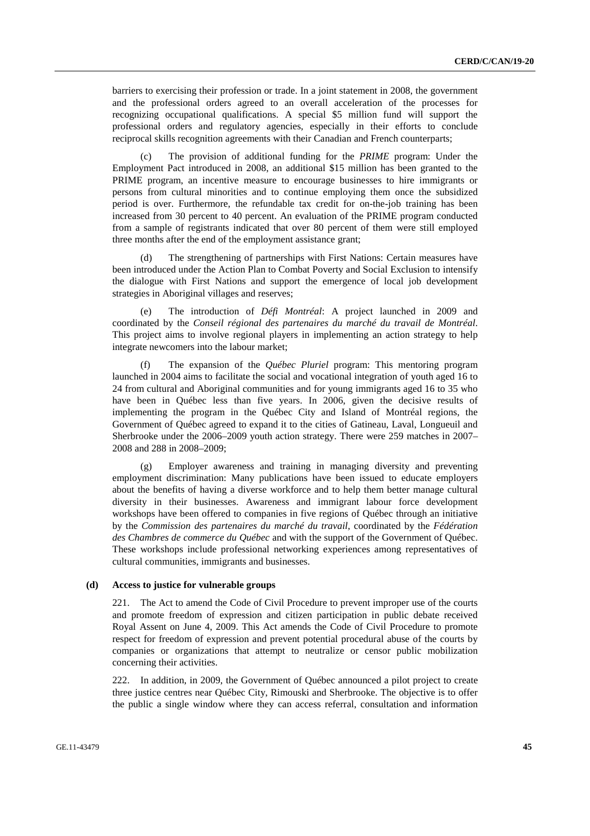barriers to exercising their profession or trade. In a joint statement in 2008, the government and the professional orders agreed to an overall acceleration of the processes for recognizing occupational qualifications. A special \$5 million fund will support the professional orders and regulatory agencies, especially in their efforts to conclude reciprocal skills recognition agreements with their Canadian and French counterparts;

 (c) The provision of additional funding for the *PRIME* program: Under the Employment Pact introduced in 2008, an additional \$15 million has been granted to the PRIME program, an incentive measure to encourage businesses to hire immigrants or persons from cultural minorities and to continue employing them once the subsidized period is over. Furthermore, the refundable tax credit for on-the-job training has been increased from 30 percent to 40 percent. An evaluation of the PRIME program conducted from a sample of registrants indicated that over 80 percent of them were still employed three months after the end of the employment assistance grant;

 (d) The strengthening of partnerships with First Nations: Certain measures have been introduced under the Action Plan to Combat Poverty and Social Exclusion to intensify the dialogue with First Nations and support the emergence of local job development strategies in Aboriginal villages and reserves;

 (e) The introduction of *Défi Montréal*: A project launched in 2009 and coordinated by the *Conseil régional des partenaires du marché du travail de Montréal*. This project aims to involve regional players in implementing an action strategy to help integrate newcomers into the labour market;

 (f) The expansion of the *Québec Pluriel* program: This mentoring program launched in 2004 aims to facilitate the social and vocational integration of youth aged 16 to 24 from cultural and Aboriginal communities and for young immigrants aged 16 to 35 who have been in Québec less than five years. In 2006, given the decisive results of implementing the program in the Québec City and Island of Montréal regions, the Government of Québec agreed to expand it to the cities of Gatineau, Laval, Longueuil and Sherbrooke under the 2006–2009 youth action strategy. There were 259 matches in 2007– 2008 and 288 in 2008–2009;

 (g) Employer awareness and training in managing diversity and preventing employment discrimination: Many publications have been issued to educate employers about the benefits of having a diverse workforce and to help them better manage cultural diversity in their businesses. Awareness and immigrant labour force development workshops have been offered to companies in five regions of Québec through an initiative by the *Commission des partenaires du marché du travail*, coordinated by the *Fédération des Chambres de commerce du Québec* and with the support of the Government of Québec. These workshops include professional networking experiences among representatives of cultural communities, immigrants and businesses.

### **(d) Access to justice for vulnerable groups**

221. The Act to amend the Code of Civil Procedure to prevent improper use of the courts and promote freedom of expression and citizen participation in public debate received Royal Assent on June 4, 2009. This Act amends the Code of Civil Procedure to promote respect for freedom of expression and prevent potential procedural abuse of the courts by companies or organizations that attempt to neutralize or censor public mobilization concerning their activities.

222. In addition, in 2009, the Government of Québec announced a pilot project to create three justice centres near Québec City, Rimouski and Sherbrooke. The objective is to offer the public a single window where they can access referral, consultation and information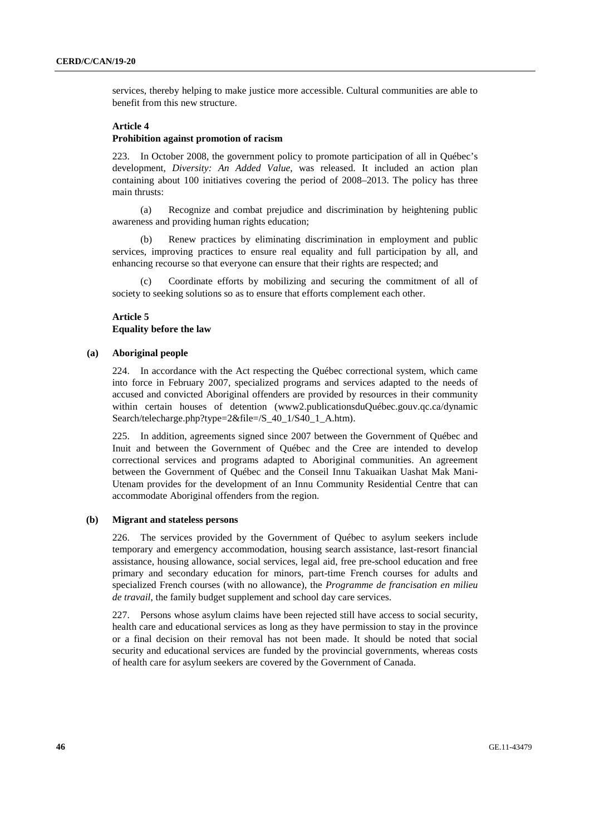services, thereby helping to make justice more accessible. Cultural communities are able to benefit from this new structure.

## **Article 4**

### **Prohibition against promotion of racism**

223. In October 2008, the government policy to promote participation of all in Québec's development, *Diversity: An Added Value*, was released. It included an action plan containing about 100 initiatives covering the period of 2008–2013. The policy has three main thrusts:

 (a) Recognize and combat prejudice and discrimination by heightening public awareness and providing human rights education;

Renew practices by eliminating discrimination in employment and public services, improving practices to ensure real equality and full participation by all, and enhancing recourse so that everyone can ensure that their rights are respected; and

Coordinate efforts by mobilizing and securing the commitment of all of society to seeking solutions so as to ensure that efforts complement each other.

### **Article 5 Equality before the law**

### **(a) Aboriginal people**

224. In accordance with the Act respecting the Québec correctional system, which came into force in February 2007, specialized programs and services adapted to the needs of accused and convicted Aboriginal offenders are provided by resources in their community within certain houses of detention (www2.publicationsduQuébec.gouv.qc.ca/dynamic Search/telecharge.php?type=2&file=/S\_40\_1/S40\_1\_A.htm).

225. In addition, agreements signed since 2007 between the Government of Québec and Inuit and between the Government of Québec and the Cree are intended to develop correctional services and programs adapted to Aboriginal communities. An agreement between the Government of Québec and the Conseil Innu Takuaikan Uashat Mak Mani-Utenam provides for the development of an Innu Community Residential Centre that can accommodate Aboriginal offenders from the region.

### **(b) Migrant and stateless persons**

226. The services provided by the Government of Québec to asylum seekers include temporary and emergency accommodation, housing search assistance, last-resort financial assistance, housing allowance, social services, legal aid, free pre-school education and free primary and secondary education for minors, part-time French courses for adults and specialized French courses (with no allowance), the *Programme de francisation en milieu de travail*, the family budget supplement and school day care services.

227. Persons whose asylum claims have been rejected still have access to social security, health care and educational services as long as they have permission to stay in the province or a final decision on their removal has not been made. It should be noted that social security and educational services are funded by the provincial governments, whereas costs of health care for asylum seekers are covered by the Government of Canada.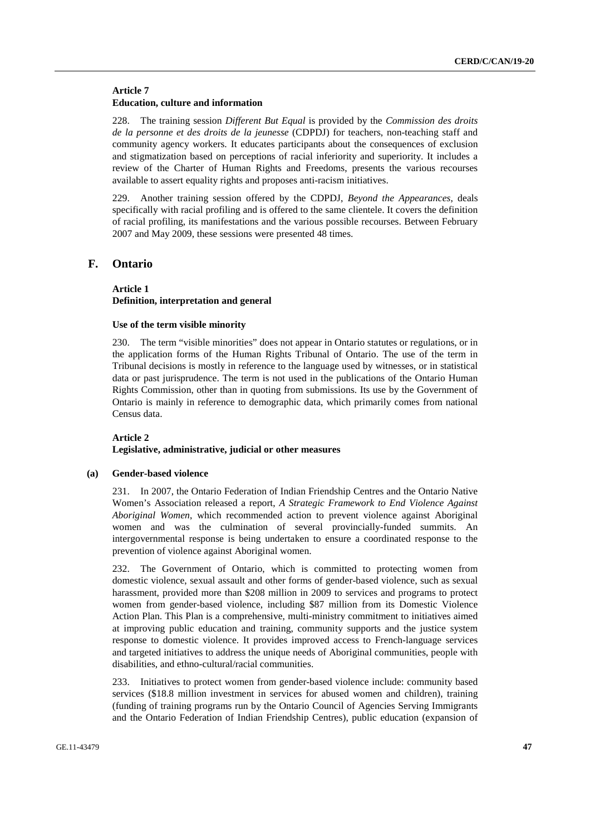### **Article 7 Education, culture and information**

228. The training session *Different But Equal* is provided by the *Commission des droits de la personne et des droits de la jeunesse* (CDPDJ) for teachers, non-teaching staff and community agency workers. It educates participants about the consequences of exclusion and stigmatization based on perceptions of racial inferiority and superiority. It includes a review of the Charter of Human Rights and Freedoms, presents the various recourses available to assert equality rights and proposes anti-racism initiatives.

229. Another training session offered by the CDPDJ, *Beyond the Appearances*, deals specifically with racial profiling and is offered to the same clientele. It covers the definition of racial profiling, its manifestations and the various possible recourses. Between February 2007 and May 2009, these sessions were presented 48 times.

# **F. Ontario**

### **Article 1 Definition, interpretation and general**

#### **Use of the term visible minority**

230. The term "visible minorities" does not appear in Ontario statutes or regulations, or in the application forms of the Human Rights Tribunal of Ontario. The use of the term in Tribunal decisions is mostly in reference to the language used by witnesses, or in statistical data or past jurisprudence. The term is not used in the publications of the Ontario Human Rights Commission, other than in quoting from submissions. Its use by the Government of Ontario is mainly in reference to demographic data, which primarily comes from national Census data.

### **Article 2**

### **Legislative, administrative, judicial or other measures**

### **(a) Gender-based violence**

231. In 2007, the Ontario Federation of Indian Friendship Centres and the Ontario Native Women's Association released a report, *A Strategic Framework to End Violence Against Aboriginal Women*, which recommended action to prevent violence against Aboriginal women and was the culmination of several provincially-funded summits. An intergovernmental response is being undertaken to ensure a coordinated response to the prevention of violence against Aboriginal women.

232. The Government of Ontario, which is committed to protecting women from domestic violence, sexual assault and other forms of gender-based violence, such as sexual harassment, provided more than \$208 million in 2009 to services and programs to protect women from gender-based violence, including \$87 million from its Domestic Violence Action Plan. This Plan is a comprehensive, multi-ministry commitment to initiatives aimed at improving public education and training, community supports and the justice system response to domestic violence. It provides improved access to French-language services and targeted initiatives to address the unique needs of Aboriginal communities, people with disabilities, and ethno-cultural/racial communities.

233. Initiatives to protect women from gender-based violence include: community based services (\$18.8 million investment in services for abused women and children), training (funding of training programs run by the Ontario Council of Agencies Serving Immigrants and the Ontario Federation of Indian Friendship Centres), public education (expansion of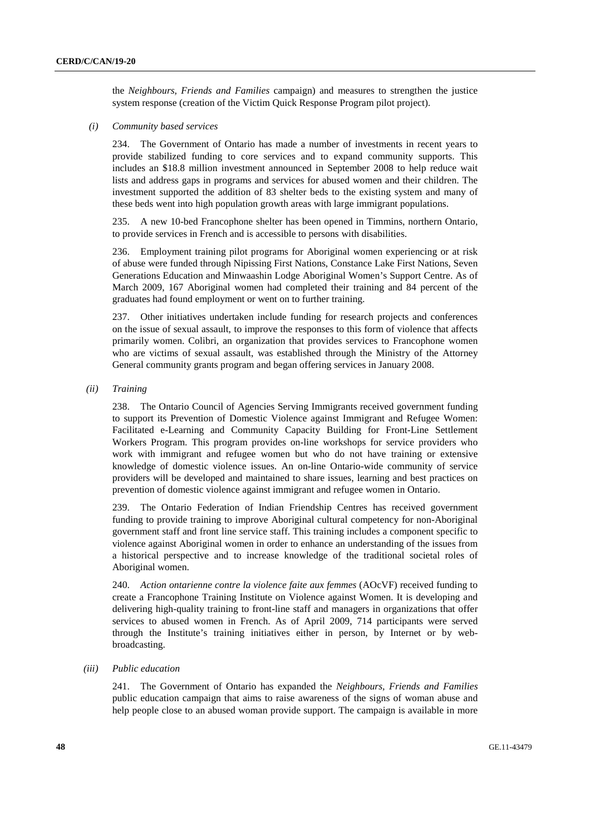the *Neighbours, Friends and Families* campaign) and measures to strengthen the justice system response (creation of the Victim Quick Response Program pilot project).

### *(i) Community based services*

234. The Government of Ontario has made a number of investments in recent years to provide stabilized funding to core services and to expand community supports. This includes an \$18.8 million investment announced in September 2008 to help reduce wait lists and address gaps in programs and services for abused women and their children. The investment supported the addition of 83 shelter beds to the existing system and many of these beds went into high population growth areas with large immigrant populations.

235. A new 10-bed Francophone shelter has been opened in Timmins, northern Ontario, to provide services in French and is accessible to persons with disabilities.

236. Employment training pilot programs for Aboriginal women experiencing or at risk of abuse were funded through Nipissing First Nations, Constance Lake First Nations, Seven Generations Education and Minwaashin Lodge Aboriginal Women's Support Centre. As of March 2009, 167 Aboriginal women had completed their training and 84 percent of the graduates had found employment or went on to further training.

237. Other initiatives undertaken include funding for research projects and conferences on the issue of sexual assault, to improve the responses to this form of violence that affects primarily women. Colibri, an organization that provides services to Francophone women who are victims of sexual assault, was established through the Ministry of the Attorney General community grants program and began offering services in January 2008.

 *(ii) Training* 

238. The Ontario Council of Agencies Serving Immigrants received government funding to support its Prevention of Domestic Violence against Immigrant and Refugee Women: Facilitated e-Learning and Community Capacity Building for Front-Line Settlement Workers Program. This program provides on-line workshops for service providers who work with immigrant and refugee women but who do not have training or extensive knowledge of domestic violence issues. An on-line Ontario-wide community of service providers will be developed and maintained to share issues, learning and best practices on prevention of domestic violence against immigrant and refugee women in Ontario.

239. The Ontario Federation of Indian Friendship Centres has received government funding to provide training to improve Aboriginal cultural competency for non-Aboriginal government staff and front line service staff. This training includes a component specific to violence against Aboriginal women in order to enhance an understanding of the issues from a historical perspective and to increase knowledge of the traditional societal roles of Aboriginal women.

240. *Action ontarienne contre la violence faite aux femmes* (AOcVF) received funding to create a Francophone Training Institute on Violence against Women. It is developing and delivering high-quality training to front-line staff and managers in organizations that offer services to abused women in French. As of April 2009, 714 participants were served through the Institute's training initiatives either in person, by Internet or by webbroadcasting.

### *(iii) Public education*

241. The Government of Ontario has expanded the *Neighbours, Friends and Families* public education campaign that aims to raise awareness of the signs of woman abuse and help people close to an abused woman provide support. The campaign is available in more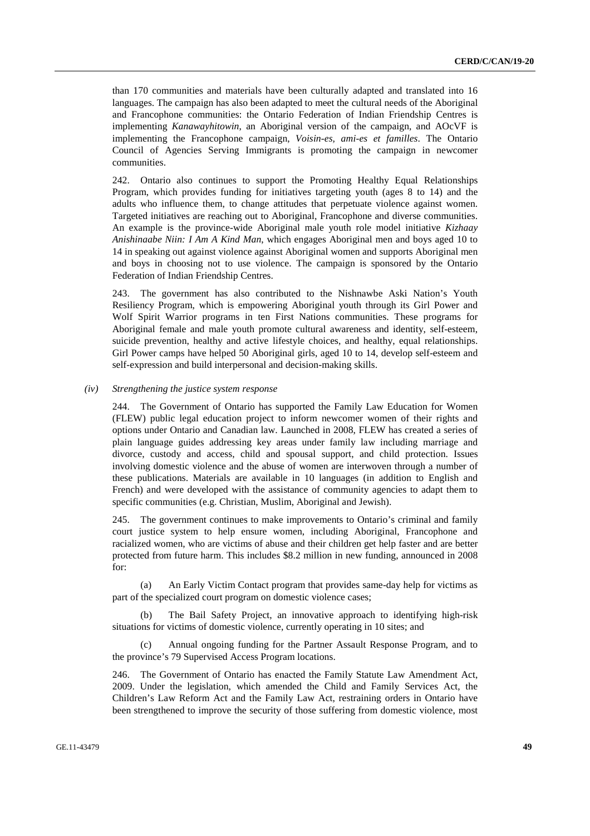than 170 communities and materials have been culturally adapted and translated into 16 languages. The campaign has also been adapted to meet the cultural needs of the Aboriginal and Francophone communities: the Ontario Federation of Indian Friendship Centres is implementing *Kanawayhitowin*, an Aboriginal version of the campaign, and AOcVF is implementing the Francophone campaign, *Voisin-es, ami-es et familles*. The Ontario Council of Agencies Serving Immigrants is promoting the campaign in newcomer communities.

242. Ontario also continues to support the Promoting Healthy Equal Relationships Program, which provides funding for initiatives targeting youth (ages 8 to 14) and the adults who influence them, to change attitudes that perpetuate violence against women. Targeted initiatives are reaching out to Aboriginal, Francophone and diverse communities. An example is the province-wide Aboriginal male youth role model initiative *Kizhaay Anishinaabe Niin: I Am A Kind Man*, which engages Aboriginal men and boys aged 10 to 14 in speaking out against violence against Aboriginal women and supports Aboriginal men and boys in choosing not to use violence. The campaign is sponsored by the Ontario Federation of Indian Friendship Centres.

243. The government has also contributed to the Nishnawbe Aski Nation's Youth Resiliency Program, which is empowering Aboriginal youth through its Girl Power and Wolf Spirit Warrior programs in ten First Nations communities. These programs for Aboriginal female and male youth promote cultural awareness and identity, self-esteem, suicide prevention, healthy and active lifestyle choices, and healthy, equal relationships. Girl Power camps have helped 50 Aboriginal girls, aged 10 to 14, develop self-esteem and self-expression and build interpersonal and decision-making skills.

### *(iv) Strengthening the justice system response*

244. The Government of Ontario has supported the Family Law Education for Women (FLEW) public legal education project to inform newcomer women of their rights and options under Ontario and Canadian law. Launched in 2008, FLEW has created a series of plain language guides addressing key areas under family law including marriage and divorce, custody and access, child and spousal support, and child protection. Issues involving domestic violence and the abuse of women are interwoven through a number of these publications. Materials are available in 10 languages (in addition to English and French) and were developed with the assistance of community agencies to adapt them to specific communities (e.g. Christian, Muslim, Aboriginal and Jewish).

245. The government continues to make improvements to Ontario's criminal and family court justice system to help ensure women, including Aboriginal, Francophone and racialized women, who are victims of abuse and their children get help faster and are better protected from future harm. This includes \$8.2 million in new funding, announced in 2008 for:

 (a) An Early Victim Contact program that provides same-day help for victims as part of the specialized court program on domestic violence cases;

The Bail Safety Project, an innovative approach to identifying high-risk situations for victims of domestic violence, currently operating in 10 sites; and

 (c) Annual ongoing funding for the Partner Assault Response Program, and to the province's 79 Supervised Access Program locations.

246. The Government of Ontario has enacted the Family Statute Law Amendment Act, 2009. Under the legislation, which amended the Child and Family Services Act, the Children's Law Reform Act and the Family Law Act, restraining orders in Ontario have been strengthened to improve the security of those suffering from domestic violence, most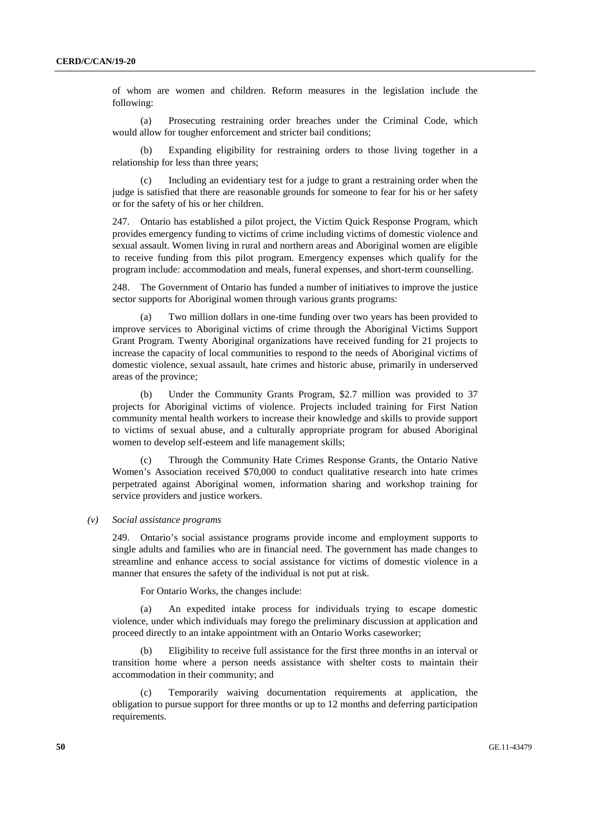of whom are women and children. Reform measures in the legislation include the following:

 (a) Prosecuting restraining order breaches under the Criminal Code, which would allow for tougher enforcement and stricter bail conditions;

Expanding eligibility for restraining orders to those living together in a relationship for less than three years;

 (c) Including an evidentiary test for a judge to grant a restraining order when the judge is satisfied that there are reasonable grounds for someone to fear for his or her safety or for the safety of his or her children.

247. Ontario has established a pilot project, the Victim Quick Response Program, which provides emergency funding to victims of crime including victims of domestic violence and sexual assault. Women living in rural and northern areas and Aboriginal women are eligible to receive funding from this pilot program. Emergency expenses which qualify for the program include: accommodation and meals, funeral expenses, and short-term counselling.

248. The Government of Ontario has funded a number of initiatives to improve the justice sector supports for Aboriginal women through various grants programs:

 (a) Two million dollars in one-time funding over two years has been provided to improve services to Aboriginal victims of crime through the Aboriginal Victims Support Grant Program. Twenty Aboriginal organizations have received funding for 21 projects to increase the capacity of local communities to respond to the needs of Aboriginal victims of domestic violence, sexual assault, hate crimes and historic abuse, primarily in underserved areas of the province;

 (b) Under the Community Grants Program, \$2.7 million was provided to 37 projects for Aboriginal victims of violence. Projects included training for First Nation community mental health workers to increase their knowledge and skills to provide support to victims of sexual abuse, and a culturally appropriate program for abused Aboriginal women to develop self-esteem and life management skills;

 (c) Through the Community Hate Crimes Response Grants, the Ontario Native Women's Association received \$70,000 to conduct qualitative research into hate crimes perpetrated against Aboriginal women, information sharing and workshop training for service providers and justice workers.

#### *(v) Social assistance programs*

249. Ontario's social assistance programs provide income and employment supports to single adults and families who are in financial need. The government has made changes to streamline and enhance access to social assistance for victims of domestic violence in a manner that ensures the safety of the individual is not put at risk.

For Ontario Works, the changes include:

 (a) An expedited intake process for individuals trying to escape domestic violence, under which individuals may forego the preliminary discussion at application and proceed directly to an intake appointment with an Ontario Works caseworker;

 (b) Eligibility to receive full assistance for the first three months in an interval or transition home where a person needs assistance with shelter costs to maintain their accommodation in their community; and

 (c) Temporarily waiving documentation requirements at application, the obligation to pursue support for three months or up to 12 months and deferring participation requirements.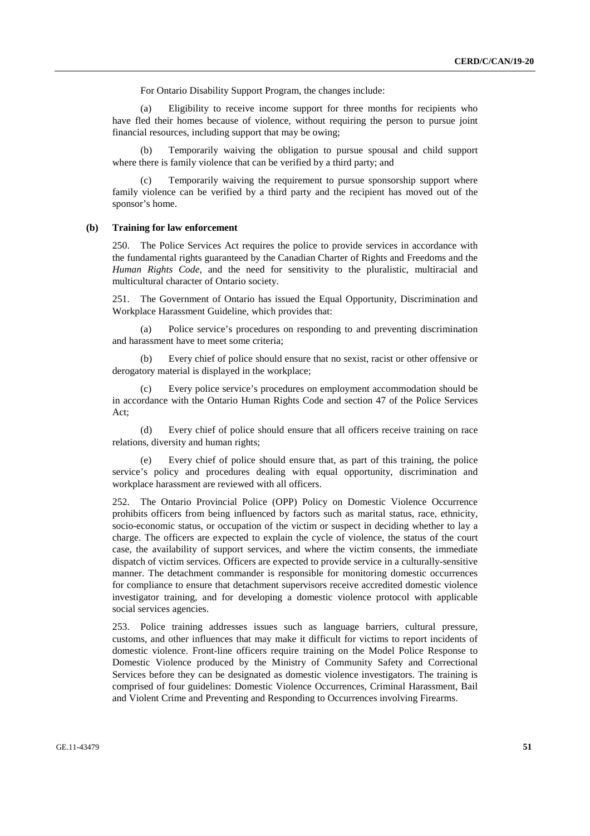For Ontario Disability Support Program, the changes include:

 (a) Eligibility to receive income support for three months for recipients who have fled their homes because of violence, without requiring the person to pursue joint financial resources, including support that may be owing;

 (b) Temporarily waiving the obligation to pursue spousal and child support where there is family violence that can be verified by a third party; and

 (c) Temporarily waiving the requirement to pursue sponsorship support where family violence can be verified by a third party and the recipient has moved out of the sponsor's home.

### **(b) Training for law enforcement**

250. The Police Services Act requires the police to provide services in accordance with the fundamental rights guaranteed by the Canadian Charter of Rights and Freedoms and the *Human Rights Code*, and the need for sensitivity to the pluralistic, multiracial and multicultural character of Ontario society.

251. The Government of Ontario has issued the Equal Opportunity, Discrimination and Workplace Harassment Guideline, which provides that:

 (a) Police service's procedures on responding to and preventing discrimination and harassment have to meet some criteria;

 (b) Every chief of police should ensure that no sexist, racist or other offensive or derogatory material is displayed in the workplace;

 (c) Every police service's procedures on employment accommodation should be in accordance with the Ontario Human Rights Code and section 47 of the Police Services Act;

 (d) Every chief of police should ensure that all officers receive training on race relations, diversity and human rights;

 (e) Every chief of police should ensure that, as part of this training, the police service's policy and procedures dealing with equal opportunity, discrimination and workplace harassment are reviewed with all officers.

252. The Ontario Provincial Police (OPP) Policy on Domestic Violence Occurrence prohibits officers from being influenced by factors such as marital status, race, ethnicity, socio-economic status, or occupation of the victim or suspect in deciding whether to lay a charge. The officers are expected to explain the cycle of violence, the status of the court case, the availability of support services, and where the victim consents, the immediate dispatch of victim services. Officers are expected to provide service in a culturally-sensitive manner. The detachment commander is responsible for monitoring domestic occurrences for compliance to ensure that detachment supervisors receive accredited domestic violence investigator training, and for developing a domestic violence protocol with applicable social services agencies.

253. Police training addresses issues such as language barriers, cultural pressure, customs, and other influences that may make it difficult for victims to report incidents of domestic violence. Front-line officers require training on the Model Police Response to Domestic Violence produced by the Ministry of Community Safety and Correctional Services before they can be designated as domestic violence investigators. The training is comprised of four guidelines: Domestic Violence Occurrences, Criminal Harassment, Bail and Violent Crime and Preventing and Responding to Occurrences involving Firearms.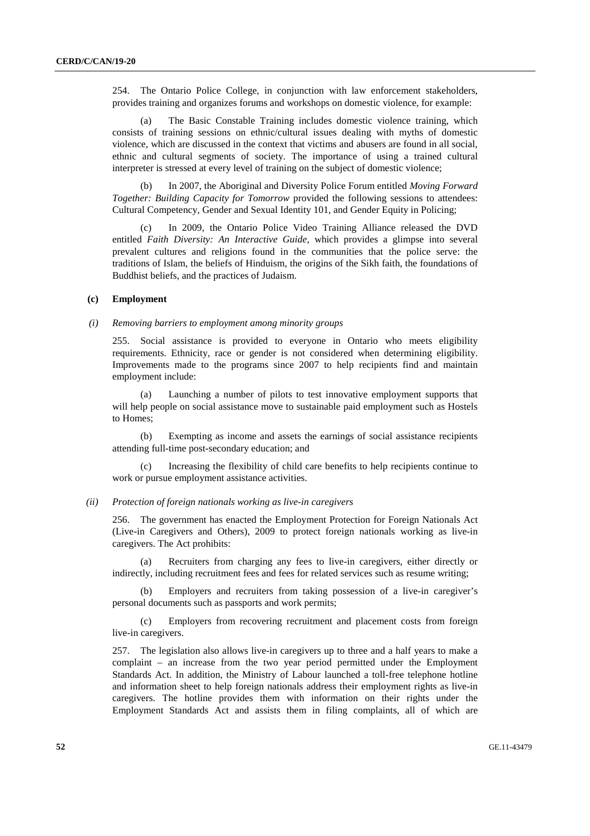254. The Ontario Police College, in conjunction with law enforcement stakeholders, provides training and organizes forums and workshops on domestic violence, for example:

 (a) The Basic Constable Training includes domestic violence training, which consists of training sessions on ethnic/cultural issues dealing with myths of domestic violence, which are discussed in the context that victims and abusers are found in all social, ethnic and cultural segments of society. The importance of using a trained cultural interpreter is stressed at every level of training on the subject of domestic violence;

 (b) In 2007, the Aboriginal and Diversity Police Forum entitled *Moving Forward Together: Building Capacity for Tomorrow* provided the following sessions to attendees: Cultural Competency, Gender and Sexual Identity 101, and Gender Equity in Policing;

 (c) In 2009, the Ontario Police Video Training Alliance released the DVD entitled *Faith Diversity: An Interactive Guide*, which provides a glimpse into several prevalent cultures and religions found in the communities that the police serve: the traditions of Islam, the beliefs of Hinduism, the origins of the Sikh faith, the foundations of Buddhist beliefs, and the practices of Judaism.

### **(c) Employment**

#### *(i) Removing barriers to employment among minority groups*

255. Social assistance is provided to everyone in Ontario who meets eligibility requirements. Ethnicity, race or gender is not considered when determining eligibility. Improvements made to the programs since 2007 to help recipients find and maintain employment include:

 (a) Launching a number of pilots to test innovative employment supports that will help people on social assistance move to sustainable paid employment such as Hostels to Homes;

 (b) Exempting as income and assets the earnings of social assistance recipients attending full-time post-secondary education; and

Increasing the flexibility of child care benefits to help recipients continue to work or pursue employment assistance activities.

### *(ii) Protection of foreign nationals working as live-in caregivers*

256. The government has enacted the Employment Protection for Foreign Nationals Act (Live-in Caregivers and Others), 2009 to protect foreign nationals working as live-in caregivers. The Act prohibits:

 (a) Recruiters from charging any fees to live-in caregivers, either directly or indirectly, including recruitment fees and fees for related services such as resume writing;

 (b) Employers and recruiters from taking possession of a live-in caregiver's personal documents such as passports and work permits;

 (c) Employers from recovering recruitment and placement costs from foreign live-in caregivers.

257. The legislation also allows live-in caregivers up to three and a half years to make a complaint – an increase from the two year period permitted under the Employment Standards Act. In addition, the Ministry of Labour launched a toll-free telephone hotline and information sheet to help foreign nationals address their employment rights as live-in caregivers. The hotline provides them with information on their rights under the Employment Standards Act and assists them in filing complaints, all of which are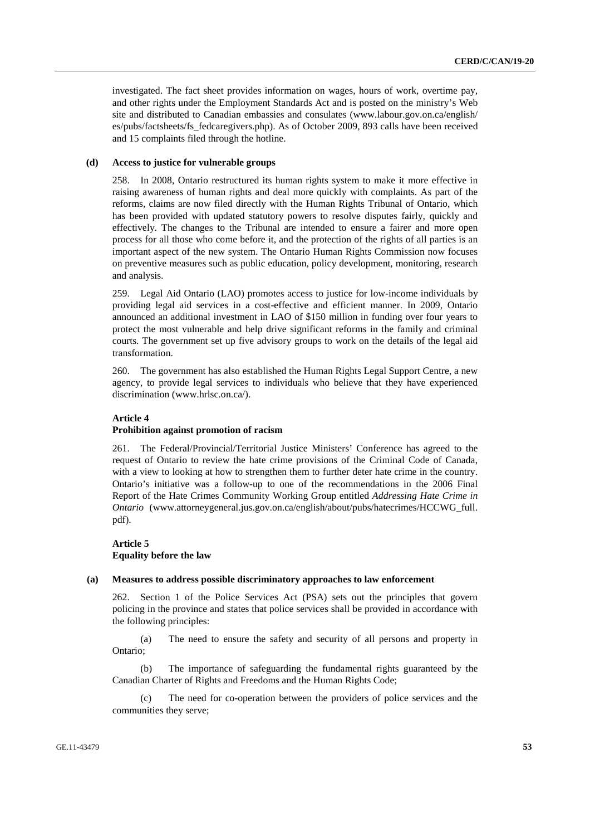investigated. The fact sheet provides information on wages, hours of work, overtime pay, and other rights under the Employment Standards Act and is posted on the ministry's Web site and distributed to Canadian embassies and consulates (www.labour.gov.on.ca/english/ es/pubs/factsheets/fs\_fedcaregivers.php). As of October 2009, 893 calls have been received and 15 complaints filed through the hotline.

### **(d) Access to justice for vulnerable groups**

258. In 2008, Ontario restructured its human rights system to make it more effective in raising awareness of human rights and deal more quickly with complaints. As part of the reforms, claims are now filed directly with the Human Rights Tribunal of Ontario, which has been provided with updated statutory powers to resolve disputes fairly, quickly and effectively. The changes to the Tribunal are intended to ensure a fairer and more open process for all those who come before it, and the protection of the rights of all parties is an important aspect of the new system. The Ontario Human Rights Commission now focuses on preventive measures such as public education, policy development, monitoring, research and analysis.

259. Legal Aid Ontario (LAO) promotes access to justice for low-income individuals by providing legal aid services in a cost-effective and efficient manner. In 2009, Ontario announced an additional investment in LAO of \$150 million in funding over four years to protect the most vulnerable and help drive significant reforms in the family and criminal courts. The government set up five advisory groups to work on the details of the legal aid transformation.

260. The government has also established the Human Rights Legal Support Centre, a new agency, to provide legal services to individuals who believe that they have experienced discrimination (www.hrlsc.on.ca/).

### **Article 4**

### **Prohibition against promotion of racism**

261. The Federal/Provincial/Territorial Justice Ministers' Conference has agreed to the request of Ontario to review the hate crime provisions of the Criminal Code of Canada, with a view to looking at how to strengthen them to further deter hate crime in the country. Ontario's initiative was a follow-up to one of the recommendations in the 2006 Final Report of the Hate Crimes Community Working Group entitled *Addressing Hate Crime in Ontario* (www.attorneygeneral.jus.gov.on.ca/english/about/pubs/hatecrimes/HCCWG\_full. pdf).

# **Article 5 Equality before the law**

### **(a) Measures to address possible discriminatory approaches to law enforcement**

262. Section 1 of the Police Services Act (PSA) sets out the principles that govern policing in the province and states that police services shall be provided in accordance with the following principles:

 (a) The need to ensure the safety and security of all persons and property in Ontario;

 (b) The importance of safeguarding the fundamental rights guaranteed by the Canadian Charter of Rights and Freedoms and the Human Rights Code;

 (c) The need for co-operation between the providers of police services and the communities they serve;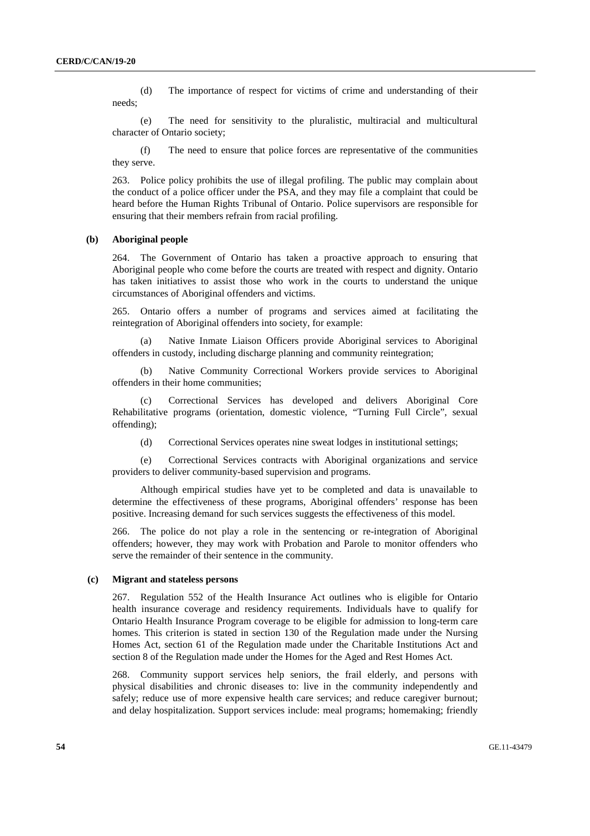(d) The importance of respect for victims of crime and understanding of their needs;

 (e) The need for sensitivity to the pluralistic, multiracial and multicultural character of Ontario society;

 (f) The need to ensure that police forces are representative of the communities they serve.

263. Police policy prohibits the use of illegal profiling. The public may complain about the conduct of a police officer under the PSA, and they may file a complaint that could be heard before the Human Rights Tribunal of Ontario. Police supervisors are responsible for ensuring that their members refrain from racial profiling.

#### **(b) Aboriginal people**

264. The Government of Ontario has taken a proactive approach to ensuring that Aboriginal people who come before the courts are treated with respect and dignity. Ontario has taken initiatives to assist those who work in the courts to understand the unique circumstances of Aboriginal offenders and victims.

265. Ontario offers a number of programs and services aimed at facilitating the reintegration of Aboriginal offenders into society, for example:

 (a) Native Inmate Liaison Officers provide Aboriginal services to Aboriginal offenders in custody, including discharge planning and community reintegration;

 (b) Native Community Correctional Workers provide services to Aboriginal offenders in their home communities;

 (c) Correctional Services has developed and delivers Aboriginal Core Rehabilitative programs (orientation, domestic violence, "Turning Full Circle", sexual offending);

(d) Correctional Services operates nine sweat lodges in institutional settings;

 (e) Correctional Services contracts with Aboriginal organizations and service providers to deliver community-based supervision and programs.

 Although empirical studies have yet to be completed and data is unavailable to determine the effectiveness of these programs, Aboriginal offenders' response has been positive. Increasing demand for such services suggests the effectiveness of this model.

266. The police do not play a role in the sentencing or re-integration of Aboriginal offenders; however, they may work with Probation and Parole to monitor offenders who serve the remainder of their sentence in the community.

### **(c) Migrant and stateless persons**

267. Regulation 552 of the Health Insurance Act outlines who is eligible for Ontario health insurance coverage and residency requirements. Individuals have to qualify for Ontario Health Insurance Program coverage to be eligible for admission to long-term care homes. This criterion is stated in section 130 of the Regulation made under the Nursing Homes Act, section 61 of the Regulation made under the Charitable Institutions Act and section 8 of the Regulation made under the Homes for the Aged and Rest Homes Act.

268. Community support services help seniors, the frail elderly, and persons with physical disabilities and chronic diseases to: live in the community independently and safely; reduce use of more expensive health care services; and reduce caregiver burnout; and delay hospitalization. Support services include: meal programs; homemaking; friendly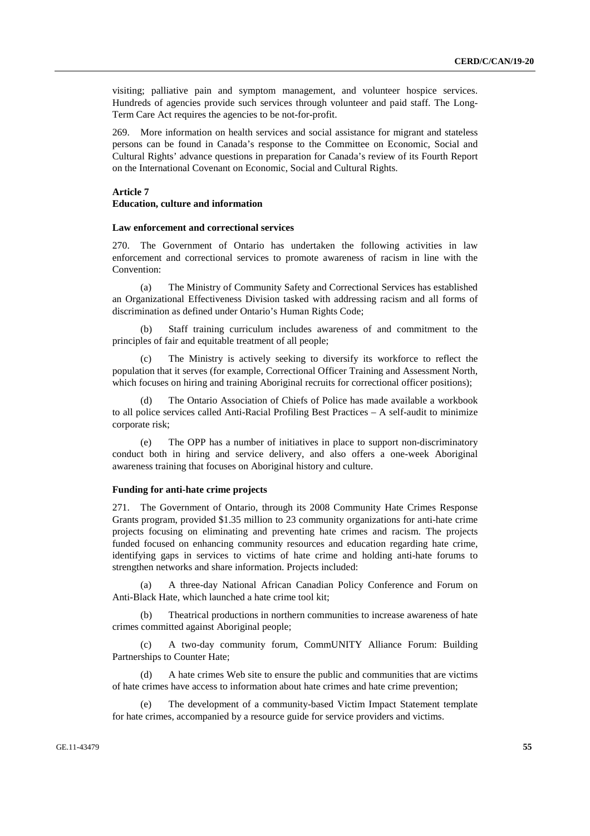visiting; palliative pain and symptom management, and volunteer hospice services. Hundreds of agencies provide such services through volunteer and paid staff. The Long-Term Care Act requires the agencies to be not-for-profit.

269. More information on health services and social assistance for migrant and stateless persons can be found in Canada's response to the Committee on Economic, Social and Cultural Rights' advance questions in preparation for Canada's review of its Fourth Report on the International Covenant on Economic, Social and Cultural Rights.

### **Article 7**

### **Education, culture and information**

### **Law enforcement and correctional services**

270. The Government of Ontario has undertaken the following activities in law enforcement and correctional services to promote awareness of racism in line with the Convention:

The Ministry of Community Safety and Correctional Services has established an Organizational Effectiveness Division tasked with addressing racism and all forms of discrimination as defined under Ontario's Human Rights Code;

Staff training curriculum includes awareness of and commitment to the principles of fair and equitable treatment of all people;

 (c) The Ministry is actively seeking to diversify its workforce to reflect the population that it serves (for example, Correctional Officer Training and Assessment North, which focuses on hiring and training Aboriginal recruits for correctional officer positions);

The Ontario Association of Chiefs of Police has made available a workbook to all police services called Anti-Racial Profiling Best Practices – A self-audit to minimize corporate risk;

 (e) The OPP has a number of initiatives in place to support non-discriminatory conduct both in hiring and service delivery, and also offers a one-week Aboriginal awareness training that focuses on Aboriginal history and culture.

### **Funding for anti-hate crime projects**

271. The Government of Ontario, through its 2008 Community Hate Crimes Response Grants program, provided \$1.35 million to 23 community organizations for anti-hate crime projects focusing on eliminating and preventing hate crimes and racism. The projects funded focused on enhancing community resources and education regarding hate crime, identifying gaps in services to victims of hate crime and holding anti-hate forums to strengthen networks and share information. Projects included:

 (a) A three-day National African Canadian Policy Conference and Forum on Anti-Black Hate, which launched a hate crime tool kit;

 (b) Theatrical productions in northern communities to increase awareness of hate crimes committed against Aboriginal people;

 (c) A two-day community forum, CommUNITY Alliance Forum: Building Partnerships to Counter Hate;

 (d) A hate crimes Web site to ensure the public and communities that are victims of hate crimes have access to information about hate crimes and hate crime prevention;

The development of a community-based Victim Impact Statement template for hate crimes, accompanied by a resource guide for service providers and victims.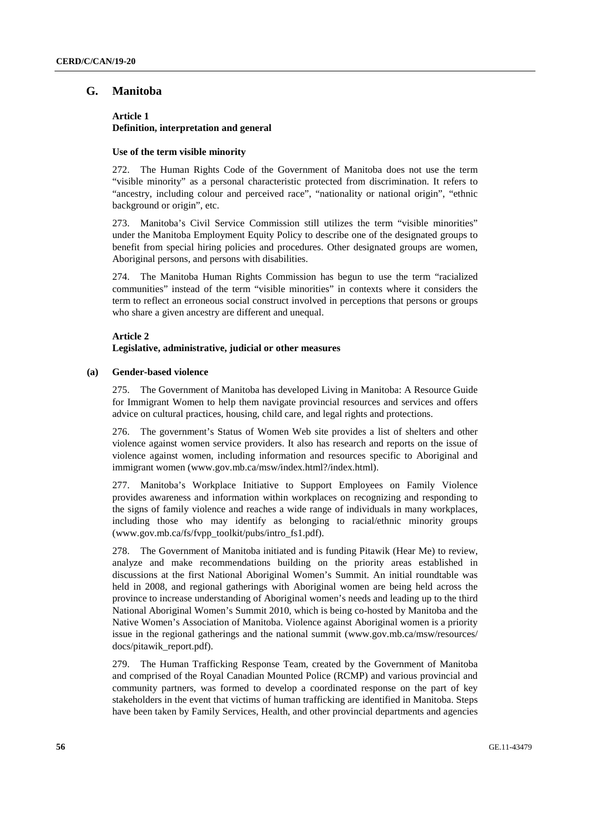# **G. Manitoba**

### **Article 1 Definition, interpretation and general**

### **Use of the term visible minority**

272. The Human Rights Code of the Government of Manitoba does not use the term "visible minority" as a personal characteristic protected from discrimination. It refers to "ancestry, including colour and perceived race", "nationality or national origin", "ethnic background or origin", etc.

273. Manitoba's Civil Service Commission still utilizes the term "visible minorities" under the Manitoba Employment Equity Policy to describe one of the designated groups to benefit from special hiring policies and procedures. Other designated groups are women, Aboriginal persons, and persons with disabilities.

274. The Manitoba Human Rights Commission has begun to use the term "racialized communities" instead of the term "visible minorities" in contexts where it considers the term to reflect an erroneous social construct involved in perceptions that persons or groups who share a given ancestry are different and unequal.

### **Article 2 Legislative, administrative, judicial or other measures**

### **(a) Gender-based violence**

275. The Government of Manitoba has developed Living in Manitoba: A Resource Guide for Immigrant Women to help them navigate provincial resources and services and offers advice on cultural practices, housing, child care, and legal rights and protections.

276. The government's Status of Women Web site provides a list of shelters and other violence against women service providers. It also has research and reports on the issue of violence against women, including information and resources specific to Aboriginal and immigrant women (www.gov.mb.ca/msw/index.html?/index.html).

277. Manitoba's Workplace Initiative to Support Employees on Family Violence provides awareness and information within workplaces on recognizing and responding to the signs of family violence and reaches a wide range of individuals in many workplaces, including those who may identify as belonging to racial/ethnic minority groups (www.gov.mb.ca/fs/fvpp\_toolkit/pubs/intro\_fs1.pdf).

278. The Government of Manitoba initiated and is funding Pitawik (Hear Me) to review, analyze and make recommendations building on the priority areas established in discussions at the first National Aboriginal Women's Summit. An initial roundtable was held in 2008, and regional gatherings with Aboriginal women are being held across the province to increase understanding of Aboriginal women's needs and leading up to the third National Aboriginal Women's Summit 2010, which is being co-hosted by Manitoba and the Native Women's Association of Manitoba. Violence against Aboriginal women is a priority issue in the regional gatherings and the national summit (www.gov.mb.ca/msw/resources/ docs/pitawik\_report.pdf).

279. The Human Trafficking Response Team, created by the Government of Manitoba and comprised of the Royal Canadian Mounted Police (RCMP) and various provincial and community partners, was formed to develop a coordinated response on the part of key stakeholders in the event that victims of human trafficking are identified in Manitoba. Steps have been taken by Family Services, Health, and other provincial departments and agencies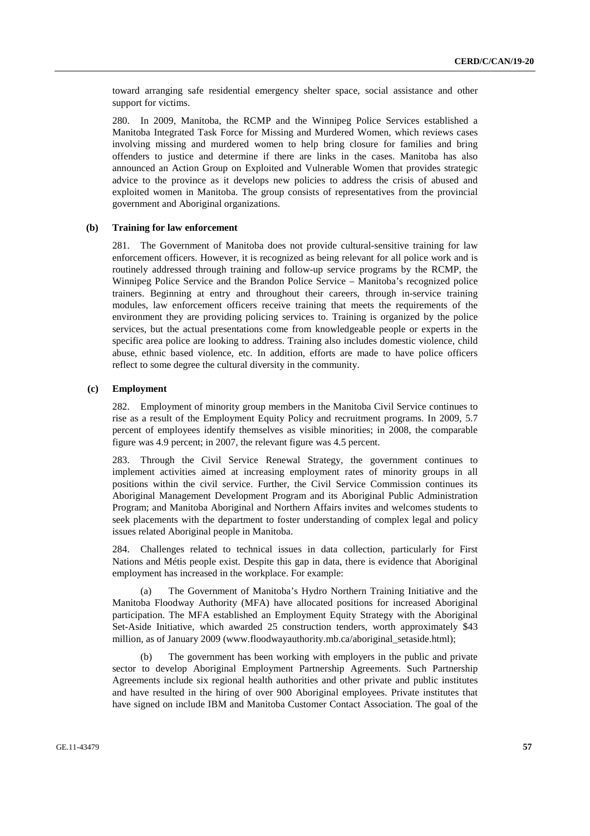toward arranging safe residential emergency shelter space, social assistance and other support for victims.

280. In 2009, Manitoba, the RCMP and the Winnipeg Police Services established a Manitoba Integrated Task Force for Missing and Murdered Women, which reviews cases involving missing and murdered women to help bring closure for families and bring offenders to justice and determine if there are links in the cases. Manitoba has also announced an Action Group on Exploited and Vulnerable Women that provides strategic advice to the province as it develops new policies to address the crisis of abused and exploited women in Manitoba. The group consists of representatives from the provincial government and Aboriginal organizations.

### **(b) Training for law enforcement**

281. The Government of Manitoba does not provide cultural-sensitive training for law enforcement officers. However, it is recognized as being relevant for all police work and is routinely addressed through training and follow-up service programs by the RCMP, the Winnipeg Police Service and the Brandon Police Service – Manitoba's recognized police trainers. Beginning at entry and throughout their careers, through in-service training modules, law enforcement officers receive training that meets the requirements of the environment they are providing policing services to. Training is organized by the police services, but the actual presentations come from knowledgeable people or experts in the specific area police are looking to address. Training also includes domestic violence, child abuse, ethnic based violence, etc. In addition, efforts are made to have police officers reflect to some degree the cultural diversity in the community.

### **(c) Employment**

282. Employment of minority group members in the Manitoba Civil Service continues to rise as a result of the Employment Equity Policy and recruitment programs. In 2009, 5.7 percent of employees identify themselves as visible minorities; in 2008, the comparable figure was 4.9 percent; in 2007, the relevant figure was 4.5 percent.

283. Through the Civil Service Renewal Strategy, the government continues to implement activities aimed at increasing employment rates of minority groups in all positions within the civil service. Further, the Civil Service Commission continues its Aboriginal Management Development Program and its Aboriginal Public Administration Program; and Manitoba Aboriginal and Northern Affairs invites and welcomes students to seek placements with the department to foster understanding of complex legal and policy issues related Aboriginal people in Manitoba.

284. Challenges related to technical issues in data collection, particularly for First Nations and Métis people exist. Despite this gap in data, there is evidence that Aboriginal employment has increased in the workplace. For example:

 (a) The Government of Manitoba's Hydro Northern Training Initiative and the Manitoba Floodway Authority (MFA) have allocated positions for increased Aboriginal participation. The MFA established an Employment Equity Strategy with the Aboriginal Set-Aside Initiative, which awarded 25 construction tenders, worth approximately \$43 million, as of January 2009 (www.floodwayauthority.mb.ca/aboriginal\_setaside.html);

The government has been working with employers in the public and private sector to develop Aboriginal Employment Partnership Agreements. Such Partnership Agreements include six regional health authorities and other private and public institutes and have resulted in the hiring of over 900 Aboriginal employees. Private institutes that have signed on include IBM and Manitoba Customer Contact Association. The goal of the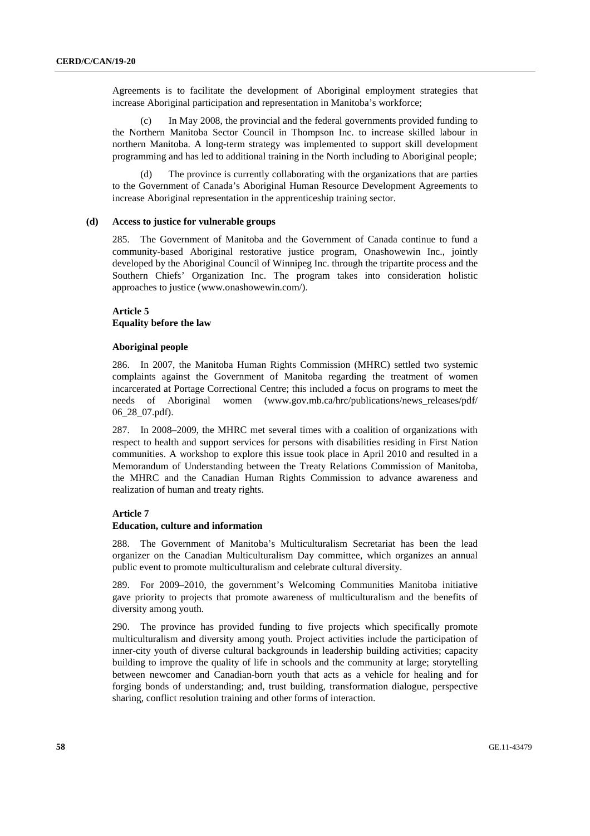Agreements is to facilitate the development of Aboriginal employment strategies that increase Aboriginal participation and representation in Manitoba's workforce;

 (c) In May 2008, the provincial and the federal governments provided funding to the Northern Manitoba Sector Council in Thompson Inc. to increase skilled labour in northern Manitoba. A long-term strategy was implemented to support skill development programming and has led to additional training in the North including to Aboriginal people;

 (d) The province is currently collaborating with the organizations that are parties to the Government of Canada's Aboriginal Human Resource Development Agreements to increase Aboriginal representation in the apprenticeship training sector.

### **(d) Access to justice for vulnerable groups**

285. The Government of Manitoba and the Government of Canada continue to fund a community-based Aboriginal restorative justice program, Onashowewin Inc., jointly developed by the Aboriginal Council of Winnipeg Inc. through the tripartite process and the Southern Chiefs' Organization Inc. The program takes into consideration holistic approaches to justice (www.onashowewin.com/).

### **Article 5 Equality before the law**

### **Aboriginal people**

286. In 2007, the Manitoba Human Rights Commission (MHRC) settled two systemic complaints against the Government of Manitoba regarding the treatment of women incarcerated at Portage Correctional Centre; this included a focus on programs to meet the needs of Aboriginal women (www.gov.mb.ca/hrc/publications/news\_releases/pdf/ 06\_28\_07.pdf).

287. In 2008–2009, the MHRC met several times with a coalition of organizations with respect to health and support services for persons with disabilities residing in First Nation communities. A workshop to explore this issue took place in April 2010 and resulted in a Memorandum of Understanding between the Treaty Relations Commission of Manitoba, the MHRC and the Canadian Human Rights Commission to advance awareness and realization of human and treaty rights.

### **Article 7**

#### **Education, culture and information**

288. The Government of Manitoba's Multiculturalism Secretariat has been the lead organizer on the Canadian Multiculturalism Day committee, which organizes an annual public event to promote multiculturalism and celebrate cultural diversity.

289. For 2009–2010, the government's Welcoming Communities Manitoba initiative gave priority to projects that promote awareness of multiculturalism and the benefits of diversity among youth.

290. The province has provided funding to five projects which specifically promote multiculturalism and diversity among youth. Project activities include the participation of inner-city youth of diverse cultural backgrounds in leadership building activities; capacity building to improve the quality of life in schools and the community at large; storytelling between newcomer and Canadian-born youth that acts as a vehicle for healing and for forging bonds of understanding; and, trust building, transformation dialogue, perspective sharing, conflict resolution training and other forms of interaction.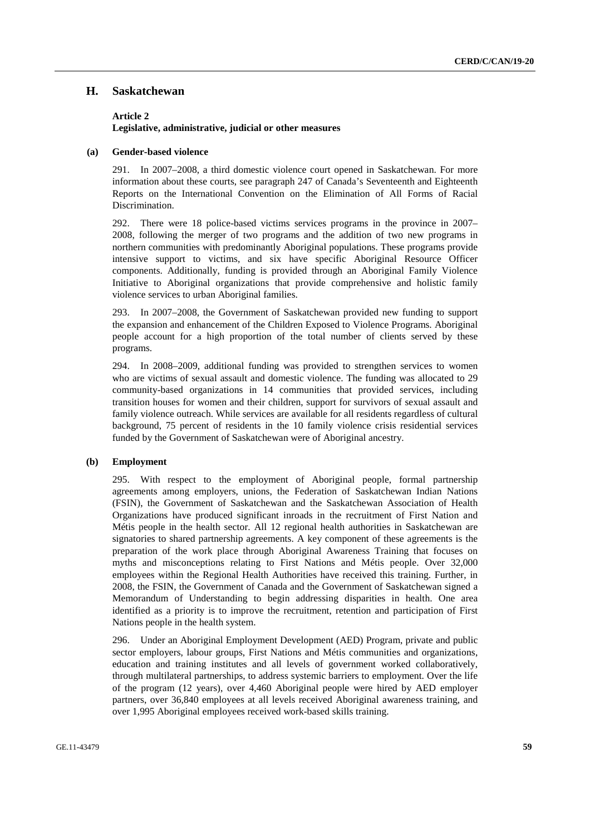## **H. Saskatchewan**

### **Article 2 Legislative, administrative, judicial or other measures**

#### **(a) Gender-based violence**

291. In 2007–2008, a third domestic violence court opened in Saskatchewan. For more information about these courts, see paragraph 247 of Canada's Seventeenth and Eighteenth Reports on the International Convention on the Elimination of All Forms of Racial Discrimination.

292. There were 18 police-based victims services programs in the province in 2007– 2008, following the merger of two programs and the addition of two new programs in northern communities with predominantly Aboriginal populations. These programs provide intensive support to victims, and six have specific Aboriginal Resource Officer components. Additionally, funding is provided through an Aboriginal Family Violence Initiative to Aboriginal organizations that provide comprehensive and holistic family violence services to urban Aboriginal families.

293. In 2007–2008, the Government of Saskatchewan provided new funding to support the expansion and enhancement of the Children Exposed to Violence Programs. Aboriginal people account for a high proportion of the total number of clients served by these programs.

294. In 2008–2009, additional funding was provided to strengthen services to women who are victims of sexual assault and domestic violence. The funding was allocated to 29 community-based organizations in 14 communities that provided services, including transition houses for women and their children, support for survivors of sexual assault and family violence outreach. While services are available for all residents regardless of cultural background, 75 percent of residents in the 10 family violence crisis residential services funded by the Government of Saskatchewan were of Aboriginal ancestry.

### **(b) Employment**

295. With respect to the employment of Aboriginal people, formal partnership agreements among employers, unions, the Federation of Saskatchewan Indian Nations (FSIN), the Government of Saskatchewan and the Saskatchewan Association of Health Organizations have produced significant inroads in the recruitment of First Nation and Métis people in the health sector. All 12 regional health authorities in Saskatchewan are signatories to shared partnership agreements. A key component of these agreements is the preparation of the work place through Aboriginal Awareness Training that focuses on myths and misconceptions relating to First Nations and Métis people. Over 32,000 employees within the Regional Health Authorities have received this training. Further, in 2008, the FSIN, the Government of Canada and the Government of Saskatchewan signed a Memorandum of Understanding to begin addressing disparities in health. One area identified as a priority is to improve the recruitment, retention and participation of First Nations people in the health system.

296. Under an Aboriginal Employment Development (AED) Program, private and public sector employers, labour groups, First Nations and Métis communities and organizations, education and training institutes and all levels of government worked collaboratively, through multilateral partnerships, to address systemic barriers to employment. Over the life of the program (12 years), over 4,460 Aboriginal people were hired by AED employer partners, over 36,840 employees at all levels received Aboriginal awareness training, and over 1,995 Aboriginal employees received work-based skills training.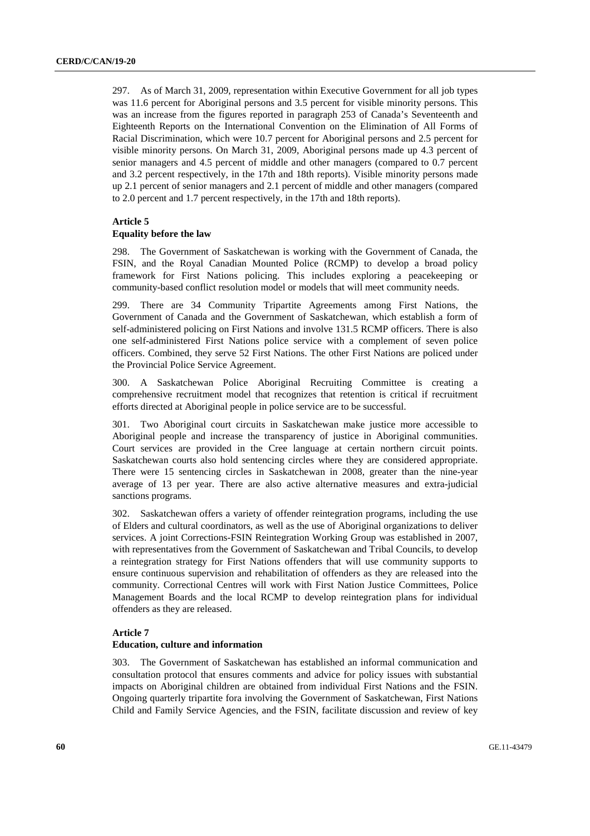297. As of March 31, 2009, representation within Executive Government for all job types was 11.6 percent for Aboriginal persons and 3.5 percent for visible minority persons. This was an increase from the figures reported in paragraph 253 of Canada's Seventeenth and Eighteenth Reports on the International Convention on the Elimination of All Forms of Racial Discrimination, which were 10.7 percent for Aboriginal persons and 2.5 percent for visible minority persons. On March 31, 2009, Aboriginal persons made up 4.3 percent of senior managers and 4.5 percent of middle and other managers (compared to 0.7 percent and 3.2 percent respectively, in the 17th and 18th reports). Visible minority persons made up 2.1 percent of senior managers and 2.1 percent of middle and other managers (compared to 2.0 percent and 1.7 percent respectively, in the 17th and 18th reports).

### **Article 5**

### **Equality before the law**

298. The Government of Saskatchewan is working with the Government of Canada, the FSIN, and the Royal Canadian Mounted Police (RCMP) to develop a broad policy framework for First Nations policing. This includes exploring a peacekeeping or community-based conflict resolution model or models that will meet community needs.

299. There are 34 Community Tripartite Agreements among First Nations, the Government of Canada and the Government of Saskatchewan, which establish a form of self-administered policing on First Nations and involve 131.5 RCMP officers. There is also one self-administered First Nations police service with a complement of seven police officers. Combined, they serve 52 First Nations. The other First Nations are policed under the Provincial Police Service Agreement.

300. A Saskatchewan Police Aboriginal Recruiting Committee is creating a comprehensive recruitment model that recognizes that retention is critical if recruitment efforts directed at Aboriginal people in police service are to be successful.

301. Two Aboriginal court circuits in Saskatchewan make justice more accessible to Aboriginal people and increase the transparency of justice in Aboriginal communities. Court services are provided in the Cree language at certain northern circuit points. Saskatchewan courts also hold sentencing circles where they are considered appropriate. There were 15 sentencing circles in Saskatchewan in 2008, greater than the nine-year average of 13 per year. There are also active alternative measures and extra-judicial sanctions programs.

302. Saskatchewan offers a variety of offender reintegration programs, including the use of Elders and cultural coordinators, as well as the use of Aboriginal organizations to deliver services. A joint Corrections-FSIN Reintegration Working Group was established in 2007, with representatives from the Government of Saskatchewan and Tribal Councils, to develop a reintegration strategy for First Nations offenders that will use community supports to ensure continuous supervision and rehabilitation of offenders as they are released into the community. Correctional Centres will work with First Nation Justice Committees, Police Management Boards and the local RCMP to develop reintegration plans for individual offenders as they are released.

### **Article 7**

#### **Education, culture and information**

303. The Government of Saskatchewan has established an informal communication and consultation protocol that ensures comments and advice for policy issues with substantial impacts on Aboriginal children are obtained from individual First Nations and the FSIN. Ongoing quarterly tripartite fora involving the Government of Saskatchewan, First Nations Child and Family Service Agencies, and the FSIN, facilitate discussion and review of key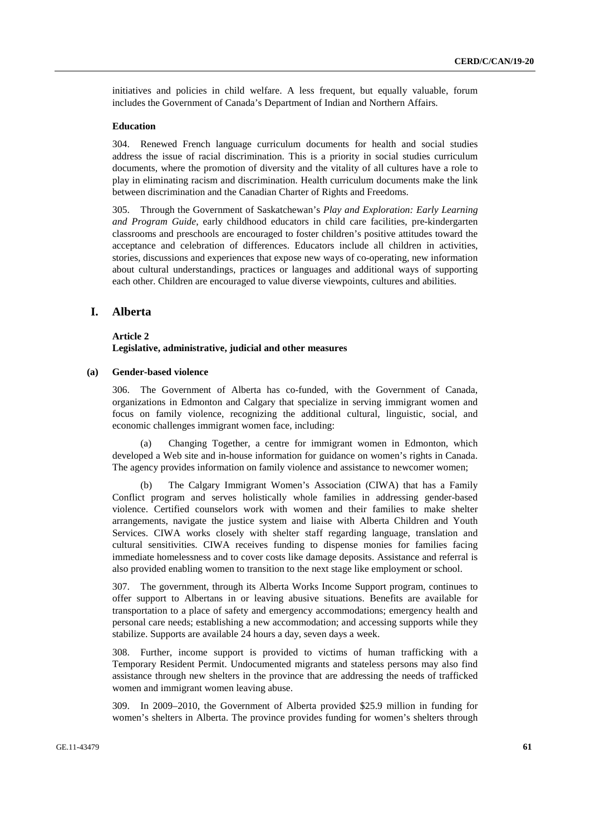initiatives and policies in child welfare. A less frequent, but equally valuable, forum includes the Government of Canada's Department of Indian and Northern Affairs.

### **Education**

304. Renewed French language curriculum documents for health and social studies address the issue of racial discrimination. This is a priority in social studies curriculum documents, where the promotion of diversity and the vitality of all cultures have a role to play in eliminating racism and discrimination. Health curriculum documents make the link between discrimination and the Canadian Charter of Rights and Freedoms.

305. Through the Government of Saskatchewan's *Play and Exploration: Early Learning and Program Guide*, early childhood educators in child care facilities, pre-kindergarten classrooms and preschools are encouraged to foster children's positive attitudes toward the acceptance and celebration of differences. Educators include all children in activities, stories, discussions and experiences that expose new ways of co-operating, new information about cultural understandings, practices or languages and additional ways of supporting each other. Children are encouraged to value diverse viewpoints, cultures and abilities.

### **I. Alberta**

### **Article 2 Legislative, administrative, judicial and other measures**

### **(a) Gender-based violence**

306. The Government of Alberta has co-funded, with the Government of Canada, organizations in Edmonton and Calgary that specialize in serving immigrant women and focus on family violence, recognizing the additional cultural, linguistic, social, and economic challenges immigrant women face, including:

Changing Together, a centre for immigrant women in Edmonton, which developed a Web site and in-house information for guidance on women's rights in Canada. The agency provides information on family violence and assistance to newcomer women;

 (b) The Calgary Immigrant Women's Association (CIWA) that has a Family Conflict program and serves holistically whole families in addressing gender-based violence. Certified counselors work with women and their families to make shelter arrangements, navigate the justice system and liaise with Alberta Children and Youth Services. CIWA works closely with shelter staff regarding language, translation and cultural sensitivities. CIWA receives funding to dispense monies for families facing immediate homelessness and to cover costs like damage deposits. Assistance and referral is also provided enabling women to transition to the next stage like employment or school.

307. The government, through its Alberta Works Income Support program, continues to offer support to Albertans in or leaving abusive situations. Benefits are available for transportation to a place of safety and emergency accommodations; emergency health and personal care needs; establishing a new accommodation; and accessing supports while they stabilize. Supports are available 24 hours a day, seven days a week.

308. Further, income support is provided to victims of human trafficking with a Temporary Resident Permit. Undocumented migrants and stateless persons may also find assistance through new shelters in the province that are addressing the needs of trafficked women and immigrant women leaving abuse.

309. In 2009–2010, the Government of Alberta provided \$25.9 million in funding for women's shelters in Alberta. The province provides funding for women's shelters through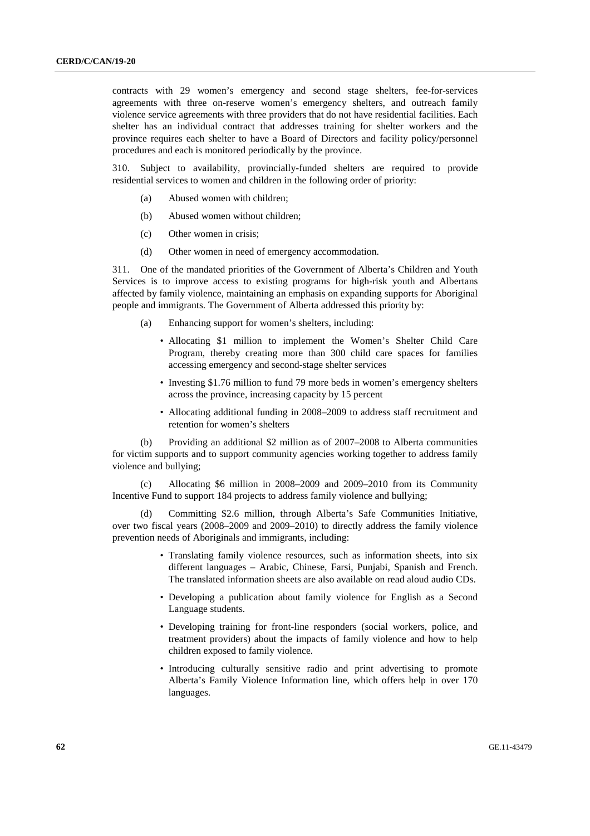contracts with 29 women's emergency and second stage shelters, fee-for-services agreements with three on-reserve women's emergency shelters, and outreach family violence service agreements with three providers that do not have residential facilities. Each shelter has an individual contract that addresses training for shelter workers and the province requires each shelter to have a Board of Directors and facility policy/personnel procedures and each is monitored periodically by the province.

310. Subject to availability, provincially-funded shelters are required to provide residential services to women and children in the following order of priority:

- (a) Abused women with children;
- (b) Abused women without children;
- (c) Other women in crisis;
- (d) Other women in need of emergency accommodation.

311. One of the mandated priorities of the Government of Alberta's Children and Youth Services is to improve access to existing programs for high-risk youth and Albertans affected by family violence, maintaining an emphasis on expanding supports for Aboriginal people and immigrants. The Government of Alberta addressed this priority by:

- (a) Enhancing support for women's shelters, including:
	- Allocating \$1 million to implement the Women's Shelter Child Care Program, thereby creating more than 300 child care spaces for families accessing emergency and second-stage shelter services
	- Investing \$1.76 million to fund 79 more beds in women's emergency shelters across the province, increasing capacity by 15 percent
	- Allocating additional funding in 2008–2009 to address staff recruitment and retention for women's shelters

 (b) Providing an additional \$2 million as of 2007–2008 to Alberta communities for victim supports and to support community agencies working together to address family violence and bullying;

 (c) Allocating \$6 million in 2008–2009 and 2009–2010 from its Community Incentive Fund to support 184 projects to address family violence and bullying;

 (d) Committing \$2.6 million, through Alberta's Safe Communities Initiative, over two fiscal years (2008–2009 and 2009–2010) to directly address the family violence prevention needs of Aboriginals and immigrants, including:

- Translating family violence resources, such as information sheets, into six different languages – Arabic, Chinese, Farsi, Punjabi, Spanish and French. The translated information sheets are also available on read aloud audio CDs.
- Developing a publication about family violence for English as a Second Language students.
- Developing training for front-line responders (social workers, police, and treatment providers) about the impacts of family violence and how to help children exposed to family violence.
- Introducing culturally sensitive radio and print advertising to promote Alberta's Family Violence Information line, which offers help in over 170 languages.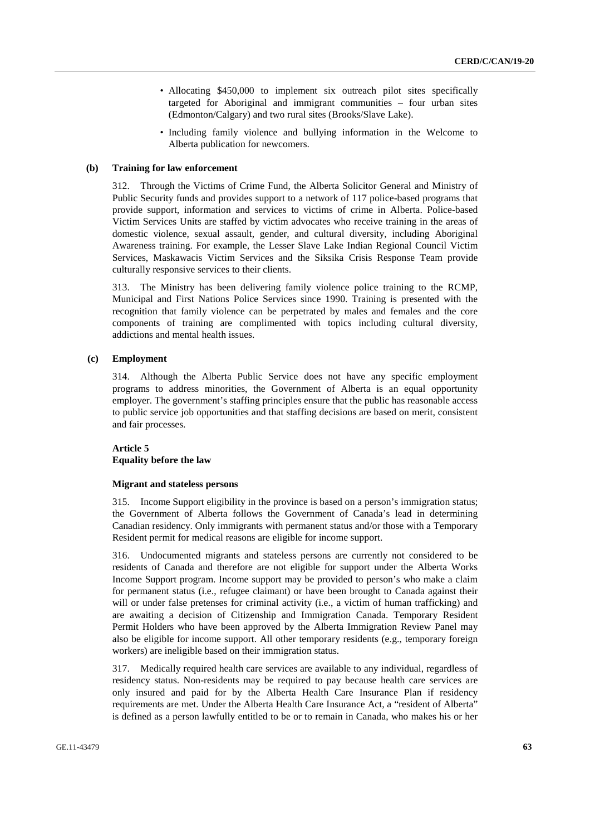- Allocating \$450,000 to implement six outreach pilot sites specifically targeted for Aboriginal and immigrant communities – four urban sites (Edmonton/Calgary) and two rural sites (Brooks/Slave Lake).
- Including family violence and bullying information in the Welcome to Alberta publication for newcomers.

### **(b) Training for law enforcement**

312. Through the Victims of Crime Fund, the Alberta Solicitor General and Ministry of Public Security funds and provides support to a network of 117 police-based programs that provide support, information and services to victims of crime in Alberta. Police-based Victim Services Units are staffed by victim advocates who receive training in the areas of domestic violence, sexual assault, gender, and cultural diversity, including Aboriginal Awareness training. For example, the Lesser Slave Lake Indian Regional Council Victim Services, Maskawacis Victim Services and the Siksika Crisis Response Team provide culturally responsive services to their clients.

313. The Ministry has been delivering family violence police training to the RCMP, Municipal and First Nations Police Services since 1990. Training is presented with the recognition that family violence can be perpetrated by males and females and the core components of training are complimented with topics including cultural diversity, addictions and mental health issues.

### **(c) Employment**

314. Although the Alberta Public Service does not have any specific employment programs to address minorities, the Government of Alberta is an equal opportunity employer. The government's staffing principles ensure that the public has reasonable access to public service job opportunities and that staffing decisions are based on merit, consistent and fair processes.

### **Article 5 Equality before the law**

### **Migrant and stateless persons**

315. Income Support eligibility in the province is based on a person's immigration status; the Government of Alberta follows the Government of Canada's lead in determining Canadian residency. Only immigrants with permanent status and/or those with a Temporary Resident permit for medical reasons are eligible for income support.

316. Undocumented migrants and stateless persons are currently not considered to be residents of Canada and therefore are not eligible for support under the Alberta Works Income Support program. Income support may be provided to person's who make a claim for permanent status (i.e., refugee claimant) or have been brought to Canada against their will or under false pretenses for criminal activity (i.e., a victim of human trafficking) and are awaiting a decision of Citizenship and Immigration Canada. Temporary Resident Permit Holders who have been approved by the Alberta Immigration Review Panel may also be eligible for income support. All other temporary residents (e.g., temporary foreign workers) are ineligible based on their immigration status.

317. Medically required health care services are available to any individual, regardless of residency status. Non-residents may be required to pay because health care services are only insured and paid for by the Alberta Health Care Insurance Plan if residency requirements are met. Under the Alberta Health Care Insurance Act, a "resident of Alberta" is defined as a person lawfully entitled to be or to remain in Canada, who makes his or her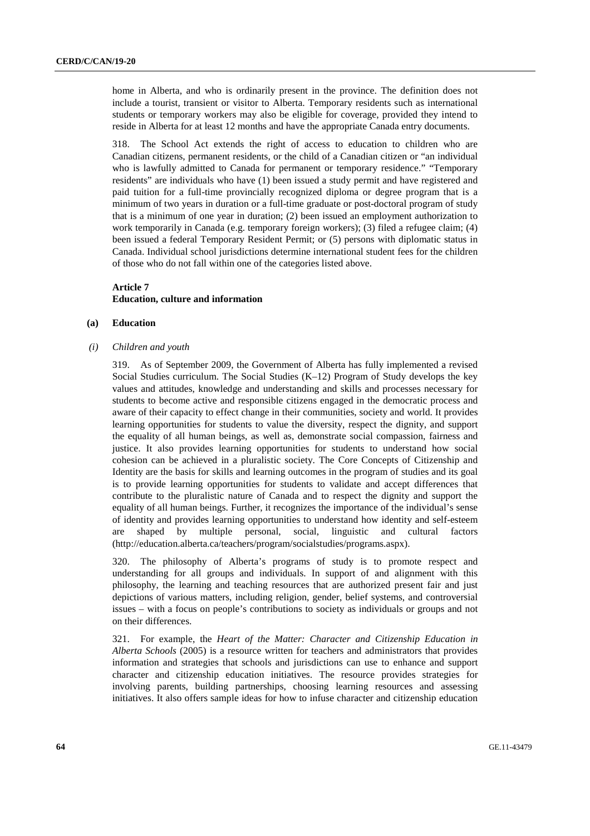home in Alberta, and who is ordinarily present in the province. The definition does not include a tourist, transient or visitor to Alberta. Temporary residents such as international students or temporary workers may also be eligible for coverage, provided they intend to reside in Alberta for at least 12 months and have the appropriate Canada entry documents.

318. The School Act extends the right of access to education to children who are Canadian citizens, permanent residents, or the child of a Canadian citizen or "an individual who is lawfully admitted to Canada for permanent or temporary residence." "Temporary residents" are individuals who have (1) been issued a study permit and have registered and paid tuition for a full-time provincially recognized diploma or degree program that is a minimum of two years in duration or a full-time graduate or post-doctoral program of study that is a minimum of one year in duration; (2) been issued an employment authorization to work temporarily in Canada (e.g. temporary foreign workers); (3) filed a refugee claim; (4) been issued a federal Temporary Resident Permit; or (5) persons with diplomatic status in Canada. Individual school jurisdictions determine international student fees for the children of those who do not fall within one of the categories listed above.

# **Article 7 Education, culture and information**

### **(a) Education**

 *(i) Children and youth* 

319. As of September 2009, the Government of Alberta has fully implemented a revised Social Studies curriculum. The Social Studies (K–12) Program of Study develops the key values and attitudes, knowledge and understanding and skills and processes necessary for students to become active and responsible citizens engaged in the democratic process and aware of their capacity to effect change in their communities, society and world. It provides learning opportunities for students to value the diversity, respect the dignity, and support the equality of all human beings, as well as, demonstrate social compassion, fairness and justice. It also provides learning opportunities for students to understand how social cohesion can be achieved in a pluralistic society. The Core Concepts of Citizenship and Identity are the basis for skills and learning outcomes in the program of studies and its goal is to provide learning opportunities for students to validate and accept differences that contribute to the pluralistic nature of Canada and to respect the dignity and support the equality of all human beings. Further, it recognizes the importance of the individual's sense of identity and provides learning opportunities to understand how identity and self-esteem are shaped by multiple personal, social, linguistic and cultural factors (http://education.alberta.ca/teachers/program/socialstudies/programs.aspx).

320. The philosophy of Alberta's programs of study is to promote respect and understanding for all groups and individuals. In support of and alignment with this philosophy, the learning and teaching resources that are authorized present fair and just depictions of various matters, including religion, gender, belief systems, and controversial issues – with a focus on people's contributions to society as individuals or groups and not on their differences.

321. For example, the *Heart of the Matter: Character and Citizenship Education in Alberta Schools* (2005) is a resource written for teachers and administrators that provides information and strategies that schools and jurisdictions can use to enhance and support character and citizenship education initiatives. The resource provides strategies for involving parents, building partnerships, choosing learning resources and assessing initiatives. It also offers sample ideas for how to infuse character and citizenship education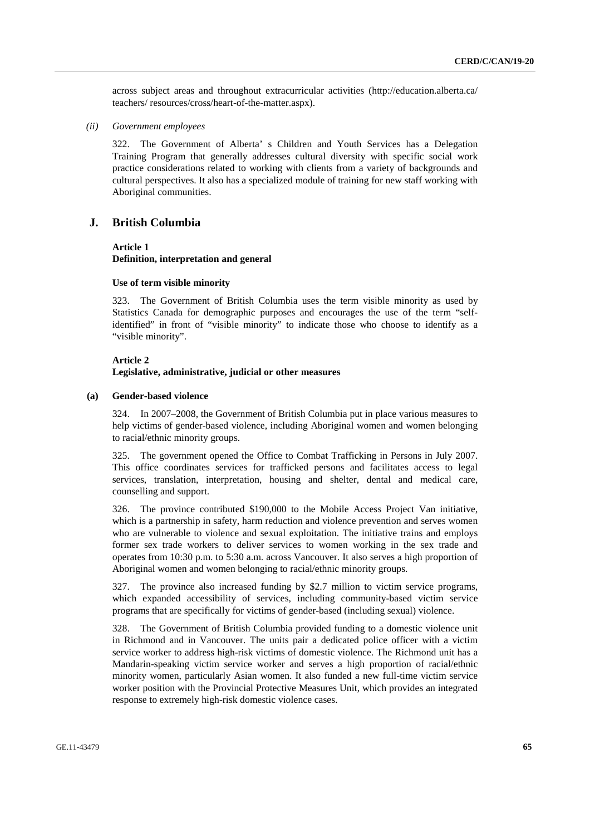across subject areas and throughout extracurricular activities (http://education.alberta.ca/ teachers/ resources/cross/heart-of-the-matter.aspx).

 *(ii) Government employees* 

322. The Government of Alberta' s Children and Youth Services has a Delegation Training Program that generally addresses cultural diversity with specific social work practice considerations related to working with clients from a variety of backgrounds and cultural perspectives. It also has a specialized module of training for new staff working with Aboriginal communities.

# **J. British Columbia**

### **Article 1**

**Definition, interpretation and general** 

#### **Use of term visible minority**

323. The Government of British Columbia uses the term visible minority as used by Statistics Canada for demographic purposes and encourages the use of the term "selfidentified" in front of "visible minority" to indicate those who choose to identify as a "visible minority".

#### **Article 2**

### **Legislative, administrative, judicial or other measures**

### **(a) Gender-based violence**

324. In 2007–2008, the Government of British Columbia put in place various measures to help victims of gender-based violence, including Aboriginal women and women belonging to racial/ethnic minority groups.

325. The government opened the Office to Combat Trafficking in Persons in July 2007. This office coordinates services for trafficked persons and facilitates access to legal services, translation, interpretation, housing and shelter, dental and medical care, counselling and support.

326. The province contributed \$190,000 to the Mobile Access Project Van initiative, which is a partnership in safety, harm reduction and violence prevention and serves women who are vulnerable to violence and sexual exploitation. The initiative trains and employs former sex trade workers to deliver services to women working in the sex trade and operates from 10:30 p.m. to 5:30 a.m. across Vancouver. It also serves a high proportion of Aboriginal women and women belonging to racial/ethnic minority groups.

327. The province also increased funding by \$2.7 million to victim service programs, which expanded accessibility of services, including community-based victim service programs that are specifically for victims of gender-based (including sexual) violence.

328. The Government of British Columbia provided funding to a domestic violence unit in Richmond and in Vancouver. The units pair a dedicated police officer with a victim service worker to address high-risk victims of domestic violence. The Richmond unit has a Mandarin-speaking victim service worker and serves a high proportion of racial/ethnic minority women, particularly Asian women. It also funded a new full-time victim service worker position with the Provincial Protective Measures Unit, which provides an integrated response to extremely high-risk domestic violence cases.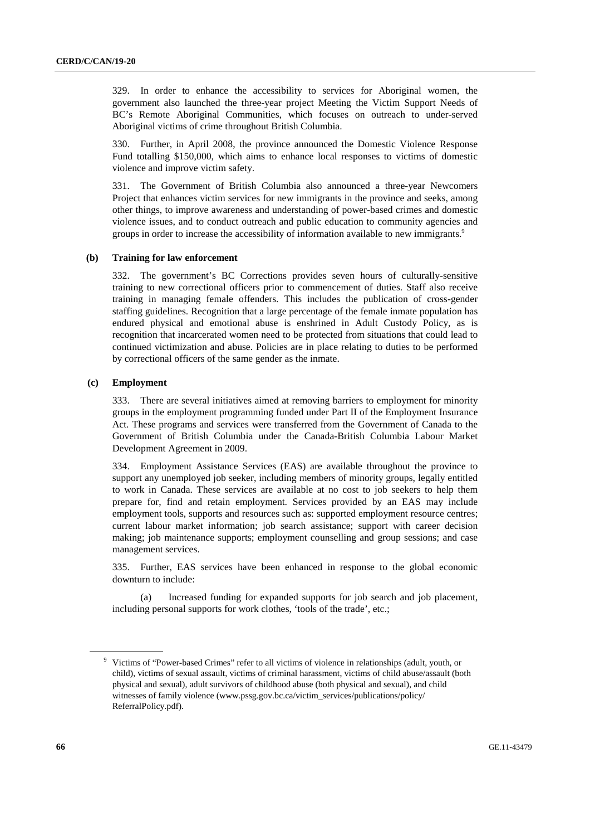329. In order to enhance the accessibility to services for Aboriginal women, the government also launched the three-year project Meeting the Victim Support Needs of BC's Remote Aboriginal Communities, which focuses on outreach to under-served Aboriginal victims of crime throughout British Columbia.

330. Further, in April 2008, the province announced the Domestic Violence Response Fund totalling \$150,000, which aims to enhance local responses to victims of domestic violence and improve victim safety.

331. The Government of British Columbia also announced a three-year Newcomers Project that enhances victim services for new immigrants in the province and seeks, among other things, to improve awareness and understanding of power-based crimes and domestic violence issues, and to conduct outreach and public education to community agencies and groups in order to increase the accessibility of information available to new immigrants.<sup>9</sup>

### **(b) Training for law enforcement**

332. The government's BC Corrections provides seven hours of culturally-sensitive training to new correctional officers prior to commencement of duties. Staff also receive training in managing female offenders. This includes the publication of cross-gender staffing guidelines. Recognition that a large percentage of the female inmate population has endured physical and emotional abuse is enshrined in Adult Custody Policy, as is recognition that incarcerated women need to be protected from situations that could lead to continued victimization and abuse. Policies are in place relating to duties to be performed by correctional officers of the same gender as the inmate.

### **(c) Employment**

333. There are several initiatives aimed at removing barriers to employment for minority groups in the employment programming funded under Part II of the Employment Insurance Act. These programs and services were transferred from the Government of Canada to the Government of British Columbia under the Canada-British Columbia Labour Market Development Agreement in 2009.

334. Employment Assistance Services (EAS) are available throughout the province to support any unemployed job seeker, including members of minority groups, legally entitled to work in Canada. These services are available at no cost to job seekers to help them prepare for, find and retain employment. Services provided by an EAS may include employment tools, supports and resources such as: supported employment resource centres; current labour market information; job search assistance; support with career decision making; job maintenance supports; employment counselling and group sessions; and case management services.

335. Further, EAS services have been enhanced in response to the global economic downturn to include:

 (a) Increased funding for expanded supports for job search and job placement, including personal supports for work clothes, 'tools of the trade', etc.;

<sup>&</sup>lt;sup>9</sup> Victims of "Power-based Crimes" refer to all victims of violence in relationships (adult, youth, or child), victims of sexual assault, victims of criminal harassment, victims of child abuse/assault (both physical and sexual), adult survivors of childhood abuse (both physical and sexual), and child witnesses of family violence (www.pssg.gov.bc.ca/victim\_services/publications/policy/ ReferralPolicy.pdf).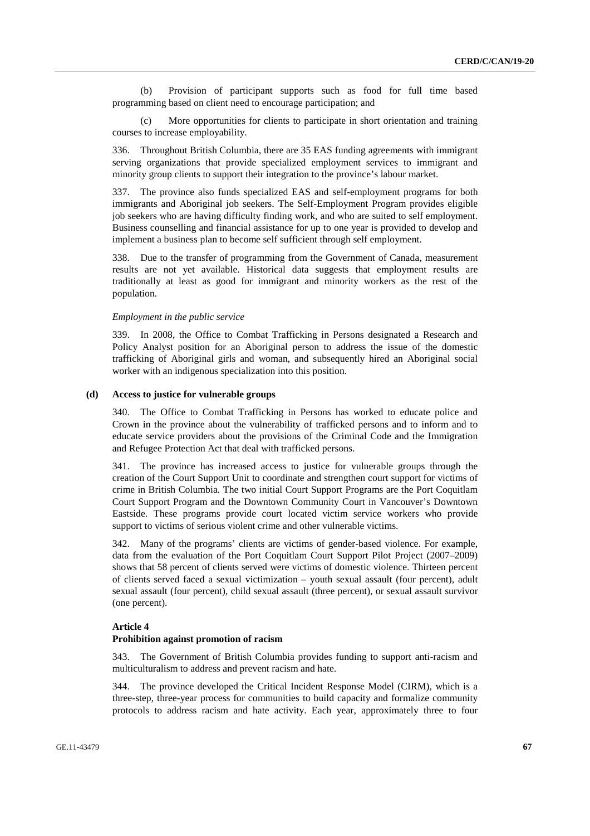(b) Provision of participant supports such as food for full time based programming based on client need to encourage participation; and

More opportunities for clients to participate in short orientation and training courses to increase employability.

336. Throughout British Columbia, there are 35 EAS funding agreements with immigrant serving organizations that provide specialized employment services to immigrant and minority group clients to support their integration to the province's labour market.

337. The province also funds specialized EAS and self-employment programs for both immigrants and Aboriginal job seekers. The Self-Employment Program provides eligible job seekers who are having difficulty finding work, and who are suited to self employment. Business counselling and financial assistance for up to one year is provided to develop and implement a business plan to become self sufficient through self employment.

338. Due to the transfer of programming from the Government of Canada, measurement results are not yet available. Historical data suggests that employment results are traditionally at least as good for immigrant and minority workers as the rest of the population.

#### *Employment in the public service*

339. In 2008, the Office to Combat Trafficking in Persons designated a Research and Policy Analyst position for an Aboriginal person to address the issue of the domestic trafficking of Aboriginal girls and woman, and subsequently hired an Aboriginal social worker with an indigenous specialization into this position.

#### **(d) Access to justice for vulnerable groups**

340. The Office to Combat Trafficking in Persons has worked to educate police and Crown in the province about the vulnerability of trafficked persons and to inform and to educate service providers about the provisions of the Criminal Code and the Immigration and Refugee Protection Act that deal with trafficked persons.

341. The province has increased access to justice for vulnerable groups through the creation of the Court Support Unit to coordinate and strengthen court support for victims of crime in British Columbia. The two initial Court Support Programs are the Port Coquitlam Court Support Program and the Downtown Community Court in Vancouver's Downtown Eastside. These programs provide court located victim service workers who provide support to victims of serious violent crime and other vulnerable victims.

342. Many of the programs' clients are victims of gender-based violence. For example, data from the evaluation of the Port Coquitlam Court Support Pilot Project (2007–2009) shows that 58 percent of clients served were victims of domestic violence. Thirteen percent of clients served faced a sexual victimization – youth sexual assault (four percent), adult sexual assault (four percent), child sexual assault (three percent), or sexual assault survivor (one percent).

### **Article 4**

# **Prohibition against promotion of racism**

343. The Government of British Columbia provides funding to support anti-racism and multiculturalism to address and prevent racism and hate.

344. The province developed the Critical Incident Response Model (CIRM), which is a three-step, three-year process for communities to build capacity and formalize community protocols to address racism and hate activity. Each year, approximately three to four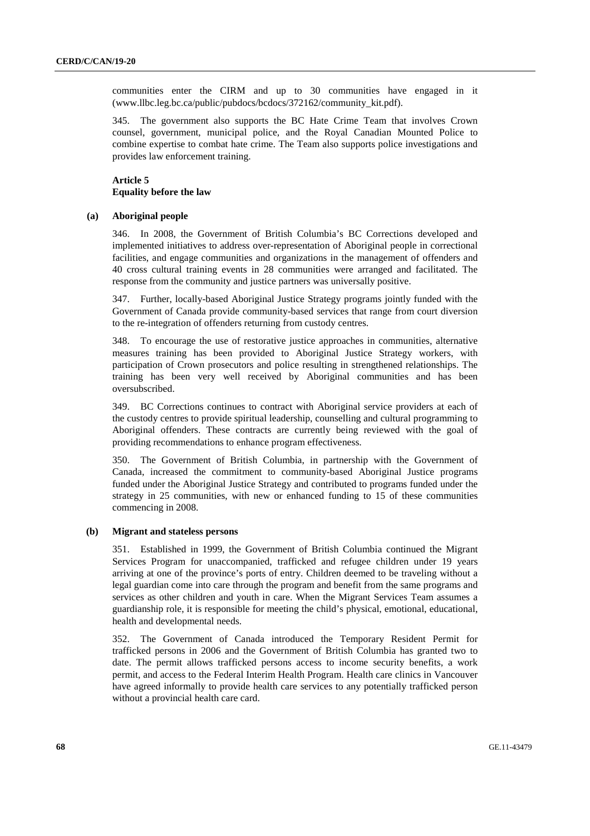communities enter the CIRM and up to 30 communities have engaged in it (www.llbc.leg.bc.ca/public/pubdocs/bcdocs/372162/community\_kit.pdf).

345. The government also supports the BC Hate Crime Team that involves Crown counsel, government, municipal police, and the Royal Canadian Mounted Police to combine expertise to combat hate crime. The Team also supports police investigations and provides law enforcement training.

# **Article 5 Equality before the law**

#### **(a) Aboriginal people**

346. In 2008, the Government of British Columbia's BC Corrections developed and implemented initiatives to address over-representation of Aboriginal people in correctional facilities, and engage communities and organizations in the management of offenders and 40 cross cultural training events in 28 communities were arranged and facilitated. The response from the community and justice partners was universally positive.

347. Further, locally-based Aboriginal Justice Strategy programs jointly funded with the Government of Canada provide community-based services that range from court diversion to the re-integration of offenders returning from custody centres.

348. To encourage the use of restorative justice approaches in communities, alternative measures training has been provided to Aboriginal Justice Strategy workers, with participation of Crown prosecutors and police resulting in strengthened relationships. The training has been very well received by Aboriginal communities and has been oversubscribed.

349. BC Corrections continues to contract with Aboriginal service providers at each of the custody centres to provide spiritual leadership, counselling and cultural programming to Aboriginal offenders. These contracts are currently being reviewed with the goal of providing recommendations to enhance program effectiveness.

350. The Government of British Columbia, in partnership with the Government of Canada, increased the commitment to community-based Aboriginal Justice programs funded under the Aboriginal Justice Strategy and contributed to programs funded under the strategy in 25 communities, with new or enhanced funding to 15 of these communities commencing in 2008.

#### **(b) Migrant and stateless persons**

351. Established in 1999, the Government of British Columbia continued the Migrant Services Program for unaccompanied, trafficked and refugee children under 19 years arriving at one of the province's ports of entry. Children deemed to be traveling without a legal guardian come into care through the program and benefit from the same programs and services as other children and youth in care. When the Migrant Services Team assumes a guardianship role, it is responsible for meeting the child's physical, emotional, educational, health and developmental needs.

352. The Government of Canada introduced the Temporary Resident Permit for trafficked persons in 2006 and the Government of British Columbia has granted two to date. The permit allows trafficked persons access to income security benefits, a work permit, and access to the Federal Interim Health Program. Health care clinics in Vancouver have agreed informally to provide health care services to any potentially trafficked person without a provincial health care card.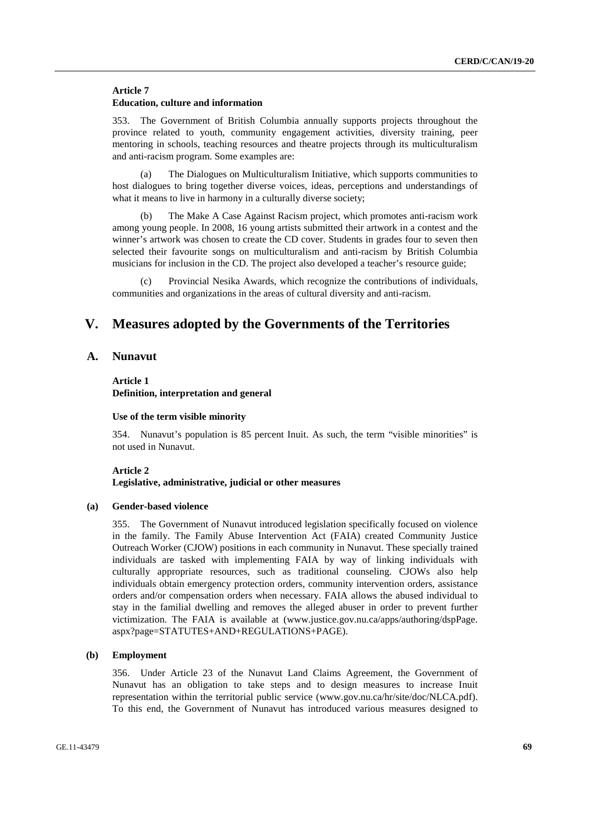### **Article 7 Education, culture and information**

353. The Government of British Columbia annually supports projects throughout the province related to youth, community engagement activities, diversity training, peer mentoring in schools, teaching resources and theatre projects through its multiculturalism and anti-racism program. Some examples are:

 (a) The Dialogues on Multiculturalism Initiative, which supports communities to host dialogues to bring together diverse voices, ideas, perceptions and understandings of what it means to live in harmony in a culturally diverse society:

The Make A Case Against Racism project, which promotes anti-racism work among young people. In 2008, 16 young artists submitted their artwork in a contest and the winner's artwork was chosen to create the CD cover. Students in grades four to seven then selected their favourite songs on multiculturalism and anti-racism by British Columbia musicians for inclusion in the CD. The project also developed a teacher's resource guide;

Provincial Nesika Awards, which recognize the contributions of individuals, communities and organizations in the areas of cultural diversity and anti-racism.

# **V. Measures adopted by the Governments of the Territories**

# **A. Nunavut**

### **Article 1 Definition, interpretation and general**

#### **Use of the term visible minority**

354. Nunavut's population is 85 percent Inuit. As such, the term "visible minorities" is not used in Nunavut.

### **Article 2 Legislative, administrative, judicial or other measures**

#### **(a) Gender-based violence**

355. The Government of Nunavut introduced legislation specifically focused on violence in the family. The Family Abuse Intervention Act (FAIA) created Community Justice Outreach Worker (CJOW) positions in each community in Nunavut. These specially trained individuals are tasked with implementing FAIA by way of linking individuals with culturally appropriate resources, such as traditional counseling. CJOWs also help individuals obtain emergency protection orders, community intervention orders, assistance orders and/or compensation orders when necessary. FAIA allows the abused individual to stay in the familial dwelling and removes the alleged abuser in order to prevent further victimization. The FAIA is available at (www.justice.gov.nu.ca/apps/authoring/dspPage. aspx?page=STATUTES+AND+REGULATIONS+PAGE).

### **(b) Employment**

356. Under Article 23 of the Nunavut Land Claims Agreement, the Government of Nunavut has an obligation to take steps and to design measures to increase Inuit representation within the territorial public service (www.gov.nu.ca/hr/site/doc/NLCA.pdf). To this end, the Government of Nunavut has introduced various measures designed to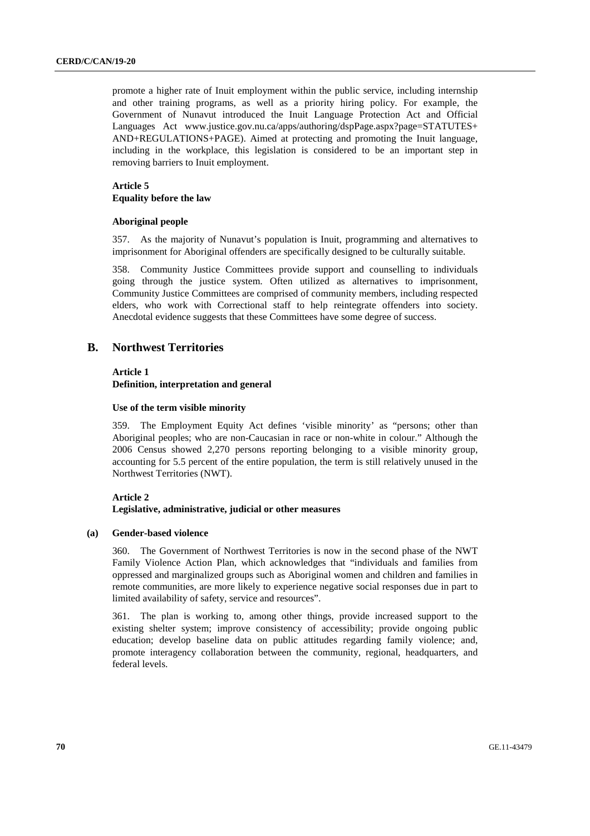promote a higher rate of Inuit employment within the public service, including internship and other training programs, as well as a priority hiring policy. For example, the Government of Nunavut introduced the Inuit Language Protection Act and Official Languages Act www.justice.gov.nu.ca/apps/authoring/dspPage.aspx?page=STATUTES+ AND+REGULATIONS+PAGE). Aimed at protecting and promoting the Inuit language, including in the workplace, this legislation is considered to be an important step in removing barriers to Inuit employment.

### **Article 5 Equality before the law**

### **Aboriginal people**

357. As the majority of Nunavut's population is Inuit, programming and alternatives to imprisonment for Aboriginal offenders are specifically designed to be culturally suitable.

358. Community Justice Committees provide support and counselling to individuals going through the justice system. Often utilized as alternatives to imprisonment, Community Justice Committees are comprised of community members, including respected elders, who work with Correctional staff to help reintegrate offenders into society. Anecdotal evidence suggests that these Committees have some degree of success.

# **B. Northwest Territories**

### **Article 1**

**Definition, interpretation and general** 

### **Use of the term visible minority**

359. The Employment Equity Act defines 'visible minority' as "persons; other than Aboriginal peoples; who are non-Caucasian in race or non-white in colour." Although the 2006 Census showed 2,270 persons reporting belonging to a visible minority group, accounting for 5.5 percent of the entire population, the term is still relatively unused in the Northwest Territories (NWT).

### **Article 2**

### **Legislative, administrative, judicial or other measures**

### **(a) Gender-based violence**

360. The Government of Northwest Territories is now in the second phase of the NWT Family Violence Action Plan, which acknowledges that "individuals and families from oppressed and marginalized groups such as Aboriginal women and children and families in remote communities, are more likely to experience negative social responses due in part to limited availability of safety, service and resources".

361. The plan is working to, among other things, provide increased support to the existing shelter system; improve consistency of accessibility; provide ongoing public education; develop baseline data on public attitudes regarding family violence; and, promote interagency collaboration between the community, regional, headquarters, and federal levels.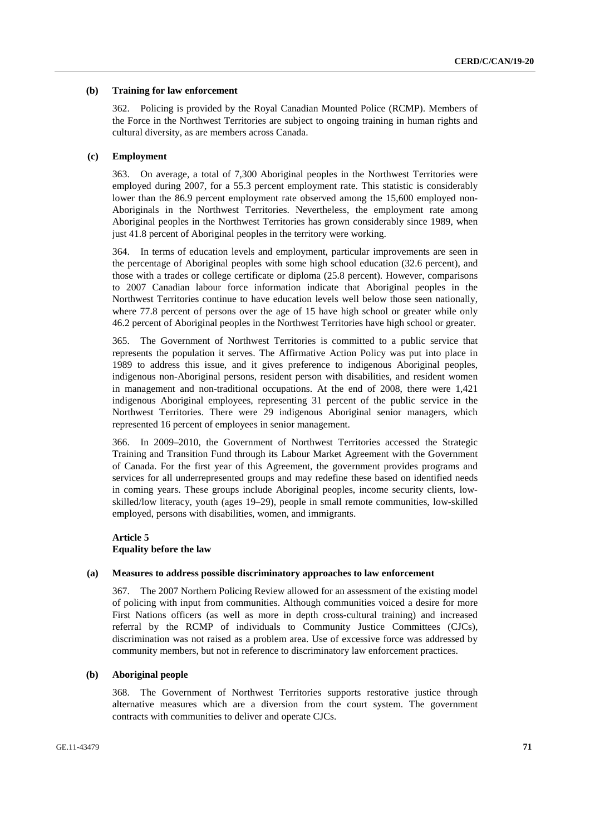### **(b) Training for law enforcement**

362. Policing is provided by the Royal Canadian Mounted Police (RCMP). Members of the Force in the Northwest Territories are subject to ongoing training in human rights and cultural diversity, as are members across Canada.

### **(c) Employment**

363. On average, a total of 7,300 Aboriginal peoples in the Northwest Territories were employed during 2007, for a 55.3 percent employment rate. This statistic is considerably lower than the 86.9 percent employment rate observed among the 15,600 employed non-Aboriginals in the Northwest Territories. Nevertheless, the employment rate among Aboriginal peoples in the Northwest Territories has grown considerably since 1989, when just 41.8 percent of Aboriginal peoples in the territory were working.

364. In terms of education levels and employment, particular improvements are seen in the percentage of Aboriginal peoples with some high school education (32.6 percent), and those with a trades or college certificate or diploma (25.8 percent). However, comparisons to 2007 Canadian labour force information indicate that Aboriginal peoples in the Northwest Territories continue to have education levels well below those seen nationally, where 77.8 percent of persons over the age of 15 have high school or greater while only 46.2 percent of Aboriginal peoples in the Northwest Territories have high school or greater.

365. The Government of Northwest Territories is committed to a public service that represents the population it serves. The Affirmative Action Policy was put into place in 1989 to address this issue, and it gives preference to indigenous Aboriginal peoples, indigenous non-Aboriginal persons, resident person with disabilities, and resident women in management and non-traditional occupations. At the end of 2008, there were 1,421 indigenous Aboriginal employees, representing 31 percent of the public service in the Northwest Territories. There were 29 indigenous Aboriginal senior managers, which represented 16 percent of employees in senior management.

366. In 2009–2010, the Government of Northwest Territories accessed the Strategic Training and Transition Fund through its Labour Market Agreement with the Government of Canada. For the first year of this Agreement, the government provides programs and services for all underrepresented groups and may redefine these based on identified needs in coming years. These groups include Aboriginal peoples, income security clients, lowskilled/low literacy, youth (ages 19–29), people in small remote communities, low-skilled employed, persons with disabilities, women, and immigrants.

### **Article 5 Equality before the law**

### **(a) Measures to address possible discriminatory approaches to law enforcement**

367. The 2007 Northern Policing Review allowed for an assessment of the existing model of policing with input from communities. Although communities voiced a desire for more First Nations officers (as well as more in depth cross-cultural training) and increased referral by the RCMP of individuals to Community Justice Committees (CJCs), discrimination was not raised as a problem area. Use of excessive force was addressed by community members, but not in reference to discriminatory law enforcement practices.

#### **(b) Aboriginal people**

368. The Government of Northwest Territories supports restorative justice through alternative measures which are a diversion from the court system. The government contracts with communities to deliver and operate CJCs.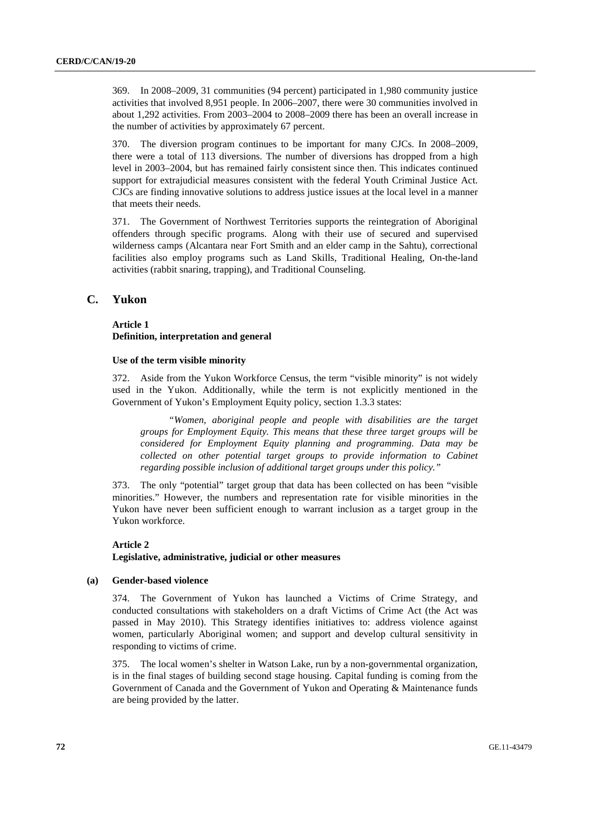369. In 2008–2009, 31 communities (94 percent) participated in 1,980 community justice activities that involved 8,951 people. In 2006–2007, there were 30 communities involved in about 1,292 activities. From 2003–2004 to 2008–2009 there has been an overall increase in the number of activities by approximately 67 percent.

370. The diversion program continues to be important for many CJCs. In 2008–2009, there were a total of 113 diversions. The number of diversions has dropped from a high level in 2003–2004, but has remained fairly consistent since then. This indicates continued support for extrajudicial measures consistent with the federal Youth Criminal Justice Act. CJCs are finding innovative solutions to address justice issues at the local level in a manner that meets their needs.

371. The Government of Northwest Territories supports the reintegration of Aboriginal offenders through specific programs. Along with their use of secured and supervised wilderness camps (Alcantara near Fort Smith and an elder camp in the Sahtu), correctional facilities also employ programs such as Land Skills, Traditional Healing, On-the-land activities (rabbit snaring, trapping), and Traditional Counseling.

# **C. Yukon**

### **Article 1 Definition, interpretation and general**

#### **Use of the term visible minority**

372. Aside from the Yukon Workforce Census, the term "visible minority" is not widely used in the Yukon. Additionally, while the term is not explicitly mentioned in the Government of Yukon's Employment Equity policy, section 1.3.3 states:

 *"Women, aboriginal people and people with disabilities are the target groups for Employment Equity. This means that these three target groups will be considered for Employment Equity planning and programming. Data may be collected on other potential target groups to provide information to Cabinet regarding possible inclusion of additional target groups under this policy."* 

373. The only "potential" target group that data has been collected on has been "visible minorities." However, the numbers and representation rate for visible minorities in the Yukon have never been sufficient enough to warrant inclusion as a target group in the Yukon workforce.

# **Article 2 Legislative, administrative, judicial or other measures**

### **(a) Gender-based violence**

374. The Government of Yukon has launched a Victims of Crime Strategy, and conducted consultations with stakeholders on a draft Victims of Crime Act (the Act was passed in May 2010). This Strategy identifies initiatives to: address violence against women, particularly Aboriginal women; and support and develop cultural sensitivity in responding to victims of crime.

375. The local women's shelter in Watson Lake, run by a non-governmental organization, is in the final stages of building second stage housing. Capital funding is coming from the Government of Canada and the Government of Yukon and Operating & Maintenance funds are being provided by the latter.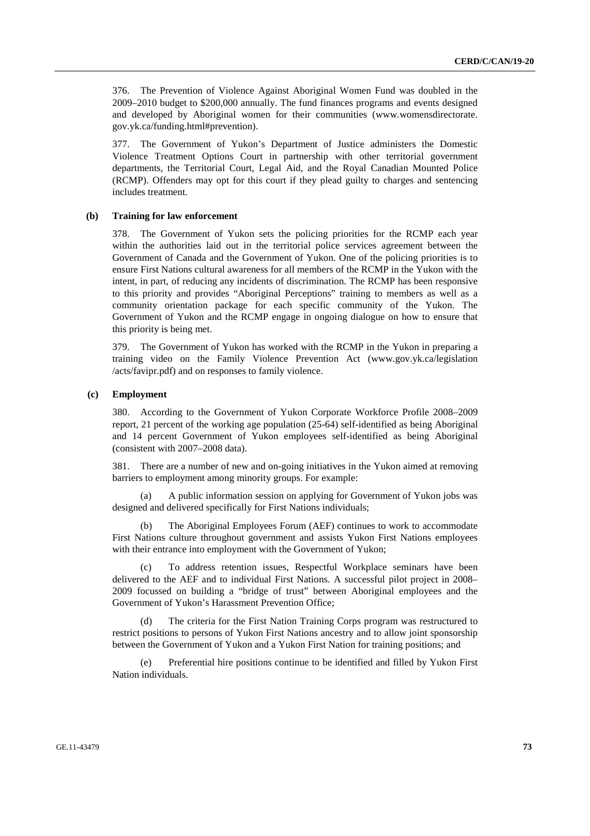376. The Prevention of Violence Against Aboriginal Women Fund was doubled in the 2009–2010 budget to \$200,000 annually. The fund finances programs and events designed and developed by Aboriginal women for their communities (www.womensdirectorate. gov.yk.ca/funding.html#prevention).

377. The Government of Yukon's Department of Justice administers the Domestic Violence Treatment Options Court in partnership with other territorial government departments, the Territorial Court, Legal Aid, and the Royal Canadian Mounted Police (RCMP). Offenders may opt for this court if they plead guilty to charges and sentencing includes treatment.

## **(b) Training for law enforcement**

378. The Government of Yukon sets the policing priorities for the RCMP each year within the authorities laid out in the territorial police services agreement between the Government of Canada and the Government of Yukon. One of the policing priorities is to ensure First Nations cultural awareness for all members of the RCMP in the Yukon with the intent, in part, of reducing any incidents of discrimination. The RCMP has been responsive to this priority and provides "Aboriginal Perceptions" training to members as well as a community orientation package for each specific community of the Yukon. The Government of Yukon and the RCMP engage in ongoing dialogue on how to ensure that this priority is being met.

379. The Government of Yukon has worked with the RCMP in the Yukon in preparing a training video on the Family Violence Prevention Act (www.gov.yk.ca/legislation /acts/favipr.pdf) and on responses to family violence.

#### **(c) Employment**

380. According to the Government of Yukon Corporate Workforce Profile 2008–2009 report, 21 percent of the working age population (25-64) self-identified as being Aboriginal and 14 percent Government of Yukon employees self-identified as being Aboriginal (consistent with 2007–2008 data).

381. There are a number of new and on-going initiatives in the Yukon aimed at removing barriers to employment among minority groups. For example:

 (a) A public information session on applying for Government of Yukon jobs was designed and delivered specifically for First Nations individuals;

 (b) The Aboriginal Employees Forum (AEF) continues to work to accommodate First Nations culture throughout government and assists Yukon First Nations employees with their entrance into employment with the Government of Yukon;

To address retention issues, Respectful Workplace seminars have been delivered to the AEF and to individual First Nations. A successful pilot project in 2008– 2009 focussed on building a "bridge of trust" between Aboriginal employees and the Government of Yukon's Harassment Prevention Office;

The criteria for the First Nation Training Corps program was restructured to restrict positions to persons of Yukon First Nations ancestry and to allow joint sponsorship between the Government of Yukon and a Yukon First Nation for training positions; and

 (e) Preferential hire positions continue to be identified and filled by Yukon First Nation individuals.